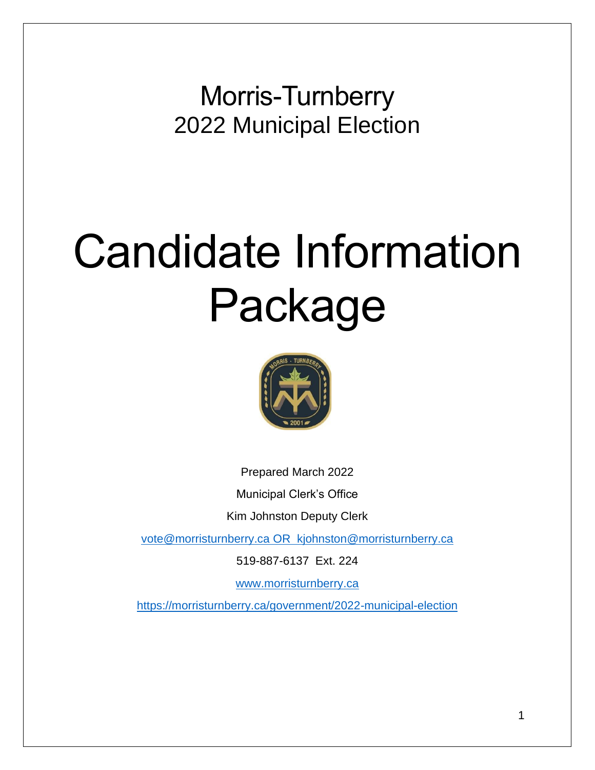Morris-Turnberry 2022 Municipal Election

# Candidate Information Package



Prepared March 2022

Municipal Clerk's Office

Kim Johnston Deputy Clerk

[vote@morristurnberry.ca](mailto:clerk@centralhuron.com) OR kjohnston@morristurnberry.ca

519-887-6137 Ext. 224

[www.morristurnberry.ca](http://www.morristurnberry.ca/)

<https://morristurnberry.ca/government/2022-municipal-election>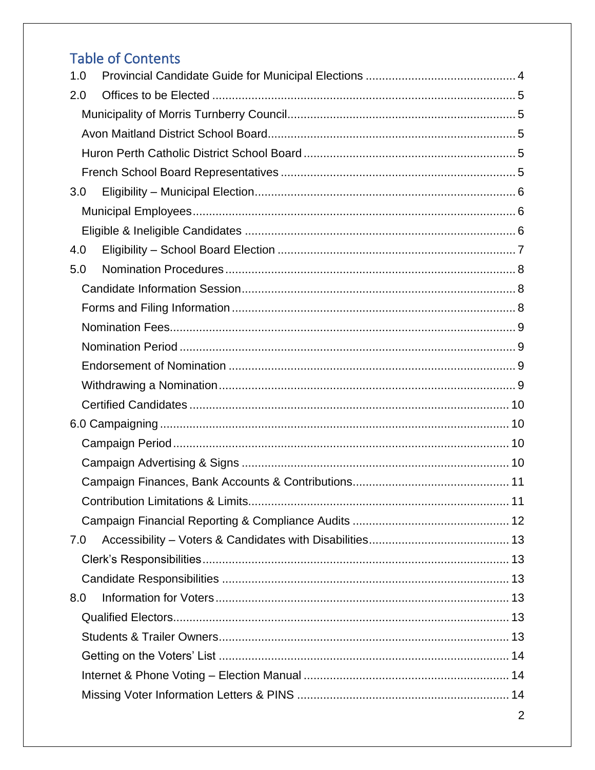# **Table of Contents**

| 1.0 |  |  |  |
|-----|--|--|--|
| 2.0 |  |  |  |
|     |  |  |  |
|     |  |  |  |
|     |  |  |  |
|     |  |  |  |
| 3.0 |  |  |  |
|     |  |  |  |
|     |  |  |  |
| 4.0 |  |  |  |
| 5.0 |  |  |  |
|     |  |  |  |
|     |  |  |  |
|     |  |  |  |
|     |  |  |  |
|     |  |  |  |
|     |  |  |  |
|     |  |  |  |
|     |  |  |  |
|     |  |  |  |
|     |  |  |  |
|     |  |  |  |
|     |  |  |  |
|     |  |  |  |
| 7.0 |  |  |  |
|     |  |  |  |
|     |  |  |  |
| 8.0 |  |  |  |
|     |  |  |  |
|     |  |  |  |
|     |  |  |  |
|     |  |  |  |
|     |  |  |  |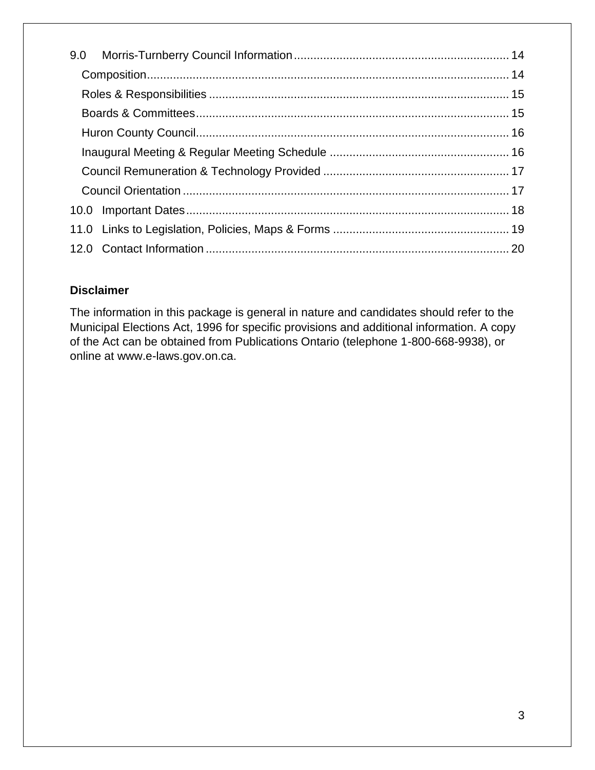# **Disclaimer**

The information in this package is general in nature and candidates should refer to the Municipal Elections Act, 1996 for specific provisions and additional information. A copy of the Act can be obtained from Publications Ontario (telephone 1-800-668-9938), or online at www.e-laws.gov.on.ca.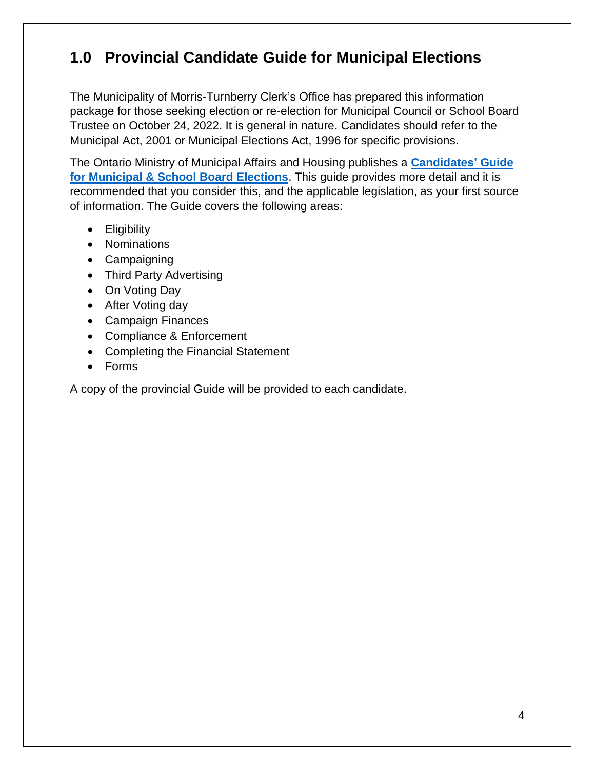# <span id="page-3-0"></span>**1.0 Provincial Candidate Guide for Municipal Elections**

The Municipality of Morris-Turnberry Clerk's Office has prepared this information package for those seeking election or re-election for Municipal Council or School Board Trustee on October 24, 2022. It is general in nature. Candidates should refer to the Municipal Act, 2001 or Municipal Elections Act, 1996 for specific provisions.

The Ontario Ministry of Municipal Affairs and Housing publishes a **[Candidates'](https://www.ontario.ca/document/2018-candidates-guide-ontario-municipal-council-and-school-board-elections) Guide [for Municipal & School Board Elections](https://www.ontario.ca/document/2018-candidates-guide-ontario-municipal-council-and-school-board-elections)**. This guide provides more detail and it is recommended that you consider this, and the applicable legislation, as your first source of information. The Guide covers the following areas:

- Eligibility
- Nominations
- Campaigning
- Third Party Advertising
- On Voting Day
- After Voting day
- Campaign Finances
- Compliance & Enforcement
- Completing the Financial Statement
- Forms

A copy of the provincial Guide will be provided to each candidate.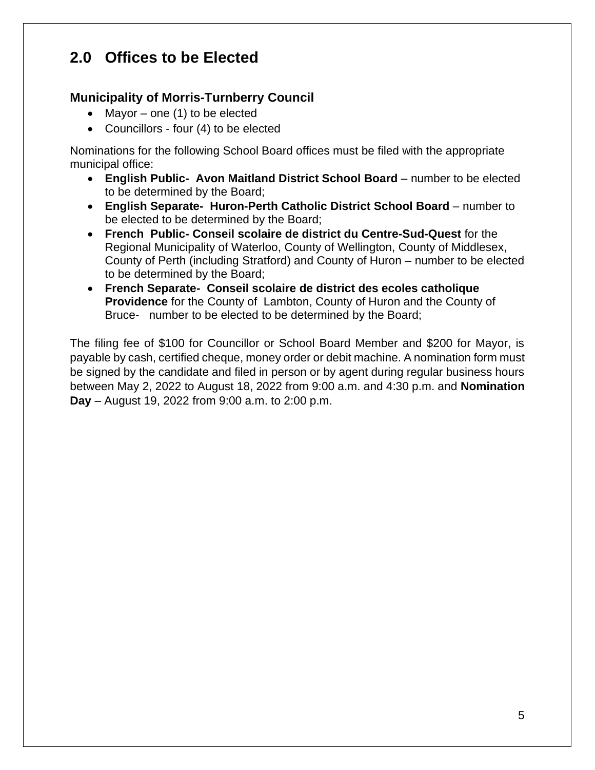# <span id="page-4-0"></span>**2.0 Offices to be Elected**

# <span id="page-4-1"></span>**Municipality of Morris-Turnberry Council**

- Mayor one  $(1)$  to be elected
- Councillors four (4) to be elected

<span id="page-4-2"></span>Nominations for the following School Board offices must be filed with the appropriate municipal office:

- **English Public- Avon Maitland District School Board** number to be elected to be determined by the Board;
- **English Separate- Huron-Perth Catholic District School Board** number to be elected to be determined by the Board;
- **French Public- Conseil scolaire de district du Centre-Sud-Quest** for the Regional Municipality of Waterloo, County of Wellington, County of Middlesex, County of Perth (including Stratford) and County of Huron – number to be elected to be determined by the Board;
- **French Separate- Conseil scolaire de district des ecoles catholique Providence** for the County of Lambton, County of Huron and the County of Bruce- number to be elected to be determined by the Board;

The filing fee of \$100 for Councillor or School Board Member and \$200 for Mayor, is payable by cash, certified cheque, money order or debit machine. A nomination form must be signed by the candidate and filed in person or by agent during regular business hours between May 2, 2022 to August 18, 2022 from 9:00 a.m. and 4:30 p.m. and **Nomination Day** – August 19, 2022 from 9:00 a.m. to 2:00 p.m.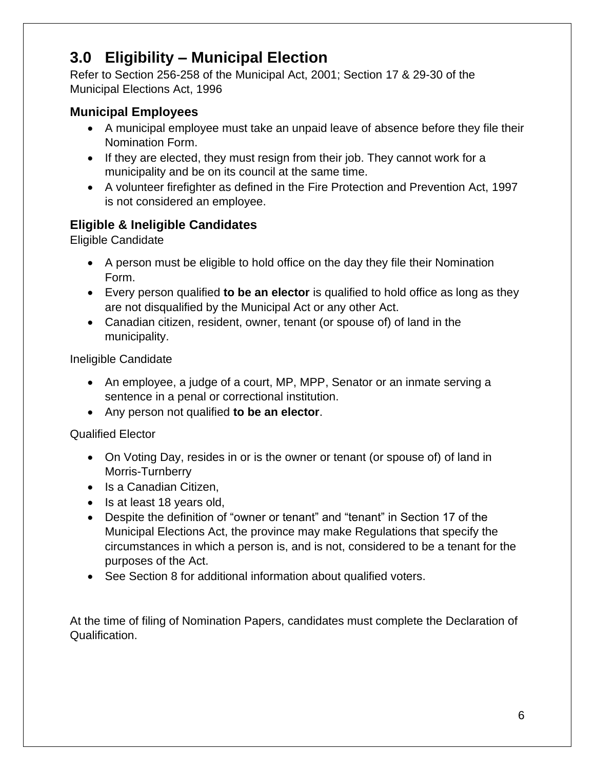# <span id="page-5-0"></span>**3.0 Eligibility – Municipal Election**

Refer to Section 256-258 of the Municipal Act, 2001; Section 17 & 29-30 of the Municipal Elections Act, 1996

# <span id="page-5-1"></span>**Municipal Employees**

- A municipal employee must take an unpaid leave of absence before they file their Nomination Form.
- If they are elected, they must resign from their job. They cannot work for a municipality and be on its council at the same time.
- A volunteer firefighter as defined in the Fire Protection and Prevention Act, 1997 is not considered an employee.

# <span id="page-5-2"></span>**Eligible & Ineligible Candidates**

Eligible Candidate

- A person must be eligible to hold office on the day they file their Nomination Form.
- Every person qualified **to be an elector** is qualified to hold office as long as they are not disqualified by the Municipal Act or any other Act.
- Canadian citizen, resident, owner, tenant (or spouse of) of land in the municipality.

Ineligible Candidate

- An employee, a judge of a court, MP, MPP, Senator or an inmate serving a sentence in a penal or correctional institution.
- Any person not qualified **to be an elector**.

# Qualified Elector

- On Voting Day, resides in or is the owner or tenant (or spouse of) of land in Morris-Turnberry
- Is a Canadian Citizen,
- Is at least 18 years old,
- Despite the definition of "owner or tenant" and "tenant" in Section 17 of the Municipal Elections Act, the province may make Regulations that specify the circumstances in which a person is, and is not, considered to be a tenant for the purposes of the Act.
- See Section 8 for additional information about qualified voters.

At the time of filing of Nomination Papers, candidates must complete the Declaration of Qualification.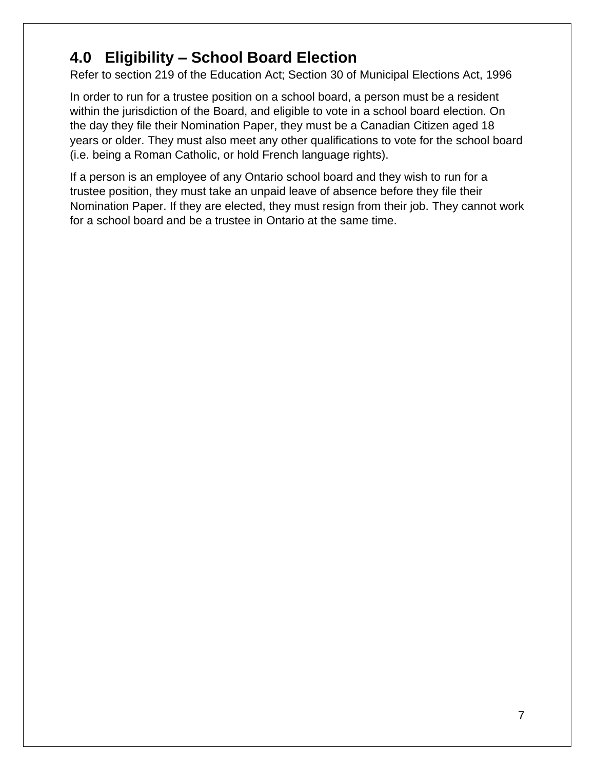# <span id="page-6-0"></span>**4.0 Eligibility – School Board Election**

Refer to section 219 of the Education Act; Section 30 of Municipal Elections Act, 1996

In order to run for a trustee position on a school board, a person must be a resident within the jurisdiction of the Board, and eligible to vote in a school board election. On the day they file their Nomination Paper, they must be a Canadian Citizen aged 18 years or older. They must also meet any other qualifications to vote for the school board (i.e. being a Roman Catholic, or hold French language rights).

If a person is an employee of any Ontario school board and they wish to run for a trustee position, they must take an unpaid leave of absence before they file their Nomination Paper. If they are elected, they must resign from their job. They cannot work for a school board and be a trustee in Ontario at the same time.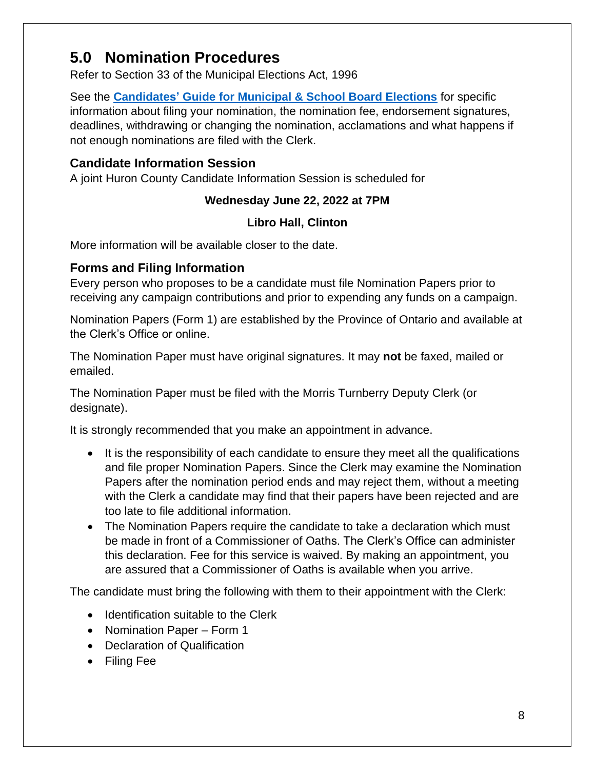# <span id="page-7-0"></span>**5.0 Nomination Procedures**

Refer to Section 33 of the Municipal Elections Act, 1996

See the **Candidates' [Guide for Municipal & School Board Elections](https://www.ontario.ca/document/2018-candidates-guide-ontario-municipal-council-and-school-board-elections)** for specific information about filing your nomination, the nomination fee, endorsement signatures, deadlines, withdrawing or changing the nomination, acclamations and what happens if not enough nominations are filed with the Clerk.

# <span id="page-7-1"></span>**Candidate Information Session**

A joint Huron County Candidate Information Session is scheduled for

# **Wednesday June 22, 2022 at 7PM**

## **Libro Hall, Clinton**

More information will be available closer to the date.

# <span id="page-7-2"></span>**Forms and Filing Information**

Every person who proposes to be a candidate must file Nomination Papers prior to receiving any campaign contributions and prior to expending any funds on a campaign.

Nomination Papers (Form 1) are established by the Province of Ontario and available at the Clerk's Office or online.

The Nomination Paper must have original signatures. It may **not** be faxed, mailed or emailed.

The Nomination Paper must be filed with the Morris Turnberry Deputy Clerk (or designate).

It is strongly recommended that you make an appointment in advance.

- It is the responsibility of each candidate to ensure they meet all the qualifications and file proper Nomination Papers. Since the Clerk may examine the Nomination Papers after the nomination period ends and may reject them, without a meeting with the Clerk a candidate may find that their papers have been rejected and are too late to file additional information.
- The Nomination Papers require the candidate to take a declaration which must be made in front of a Commissioner of Oaths. The Clerk's Office can administer this declaration. Fee for this service is waived. By making an appointment, you are assured that a Commissioner of Oaths is available when you arrive.

The candidate must bring the following with them to their appointment with the Clerk:

- Identification suitable to the Clerk
- Nomination Paper Form 1
- Declaration of Qualification
- Filing Fee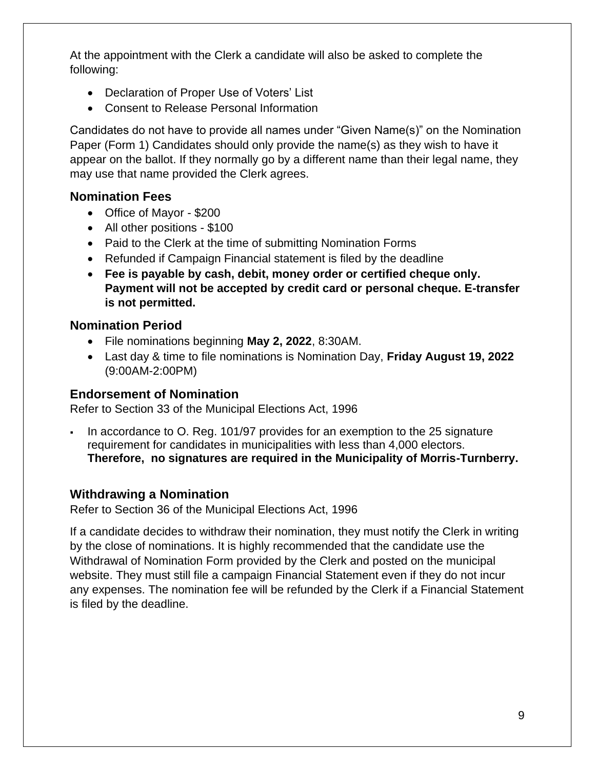At the appointment with the Clerk a candidate will also be asked to complete the following:

- Declaration of Proper Use of Voters' List
- Consent to Release Personal Information

Candidates do not have to provide all names under "Given Name(s)" on the Nomination Paper (Form 1) Candidates should only provide the name(s) as they wish to have it appear on the ballot. If they normally go by a different name than their legal name, they may use that name provided the Clerk agrees.

## <span id="page-8-0"></span>**Nomination Fees**

- Office of Mayor \$200
- All other positions \$100
- Paid to the Clerk at the time of submitting Nomination Forms
- Refunded if Campaign Financial statement is filed by the deadline
- **Fee is payable by cash, debit, money order or certified cheque only. Payment will not be accepted by credit card or personal cheque. E-transfer is not permitted.**

## <span id="page-8-1"></span>**Nomination Period**

- File nominations beginning **May 2, 2022**, 8:30AM.
- Last day & time to file nominations is Nomination Day, **Friday August 19, 2022** (9:00AM-2:00PM)

#### <span id="page-8-2"></span>**Endorsement of Nomination**

Refer to Section 33 of the Municipal Elections Act, 1996

In accordance to O. Reg. 101/97 provides for an exemption to the 25 signature requirement for candidates in municipalities with less than 4,000 electors. **Therefore, no signatures are required in the Municipality of Morris-Turnberry.** 

#### <span id="page-8-3"></span>**Withdrawing a Nomination**

Refer to Section 36 of the Municipal Elections Act, 1996

If a candidate decides to withdraw their nomination, they must notify the Clerk in writing by the close of nominations. It is highly recommended that the candidate use the Withdrawal of Nomination Form provided by the Clerk and posted on the municipal website. They must still file a campaign Financial Statement even if they do not incur any expenses. The nomination fee will be refunded by the Clerk if a Financial Statement is filed by the deadline.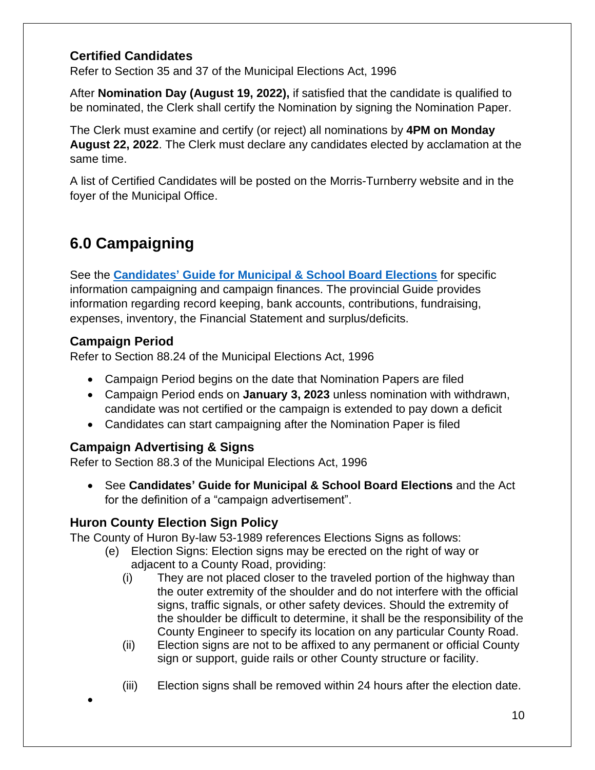# <span id="page-9-0"></span>**Certified Candidates**

Refer to Section 35 and 37 of the Municipal Elections Act, 1996

After **Nomination Day (August 19, 2022),** if satisfied that the candidate is qualified to be nominated, the Clerk shall certify the Nomination by signing the Nomination Paper.

The Clerk must examine and certify (or reject) all nominations by **4PM on Monday August 22, 2022**. The Clerk must declare any candidates elected by acclamation at the same time.

A list of Certified Candidates will be posted on the Morris-Turnberry website and in the foyer of the Municipal Office.

# <span id="page-9-1"></span>**6.0 Campaigning**

See the **Candidates' [Guide for Municipal & School Board Elections](https://www.ontario.ca/document/2018-candidates-guide-ontario-municipal-council-and-school-board-elections)** for specific information campaigning and campaign finances. The provincial Guide provides information regarding record keeping, bank accounts, contributions, fundraising, expenses, inventory, the Financial Statement and surplus/deficits.

# <span id="page-9-2"></span>**Campaign Period**

•

Refer to Section 88.24 of the Municipal Elections Act, 1996

- Campaign Period begins on the date that Nomination Papers are filed
- Campaign Period ends on **January 3, 2023** unless nomination with withdrawn, candidate was not certified or the campaign is extended to pay down a deficit
- Candidates can start campaigning after the Nomination Paper is filed

# <span id="page-9-3"></span>**Campaign Advertising & Signs**

Refer to Section 88.3 of the Municipal Elections Act, 1996

• See **Candidates' Guide for Municipal & School Board Elections** and the Act for the definition of a "campaign advertisement".

# **Huron County Election Sign Policy**

The County of Huron By-law 53-1989 references Elections Signs as follows:

- (e) Election Signs: Election signs may be erected on the right of way or adjacent to a County Road, providing:
	- (i) They are not placed closer to the traveled portion of the highway than the outer extremity of the shoulder and do not interfere with the official signs, traffic signals, or other safety devices. Should the extremity of the shoulder be difficult to determine, it shall be the responsibility of the County Engineer to specify its location on any particular County Road.
	- (ii) Election signs are not to be affixed to any permanent or official County sign or support, guide rails or other County structure or facility.
	- (iii) Election signs shall be removed within 24 hours after the election date.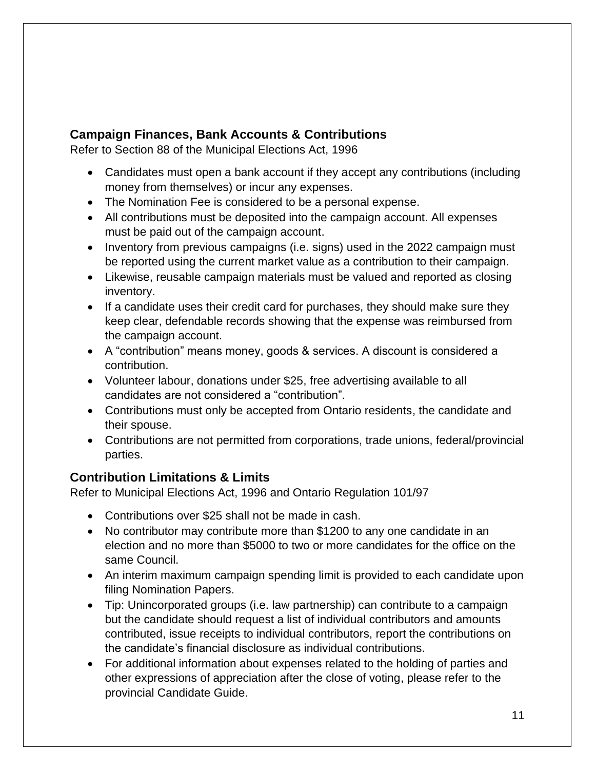# <span id="page-10-0"></span>**Campaign Finances, Bank Accounts & Contributions**

Refer to Section 88 of the Municipal Elections Act, 1996

- Candidates must open a bank account if they accept any contributions (including money from themselves) or incur any expenses.
- The Nomination Fee is considered to be a personal expense.
- All contributions must be deposited into the campaign account. All expenses must be paid out of the campaign account.
- Inventory from previous campaigns (i.e. signs) used in the 2022 campaign must be reported using the current market value as a contribution to their campaign.
- Likewise, reusable campaign materials must be valued and reported as closing inventory.
- If a candidate uses their credit card for purchases, they should make sure they keep clear, defendable records showing that the expense was reimbursed from the campaign account.
- A "contribution" means money, goods & services. A discount is considered a contribution.
- Volunteer labour, donations under \$25, free advertising available to all candidates are not considered a "contribution".
- Contributions must only be accepted from Ontario residents, the candidate and their spouse.
- Contributions are not permitted from corporations, trade unions, federal/provincial parties.

# <span id="page-10-1"></span>**Contribution Limitations & Limits**

Refer to Municipal Elections Act, 1996 and Ontario Regulation 101/97

- Contributions over \$25 shall not be made in cash.
- No contributor may contribute more than \$1200 to any one candidate in an election and no more than \$5000 to two or more candidates for the office on the same Council.
- An interim maximum campaign spending limit is provided to each candidate upon filing Nomination Papers.
- Tip: Unincorporated groups (i.e. law partnership) can contribute to a campaign but the candidate should request a list of individual contributors and amounts contributed, issue receipts to individual contributors, report the contributions on the candidate's financial disclosure as individual contributions.
- For additional information about expenses related to the holding of parties and other expressions of appreciation after the close of voting, please refer to the provincial Candidate Guide.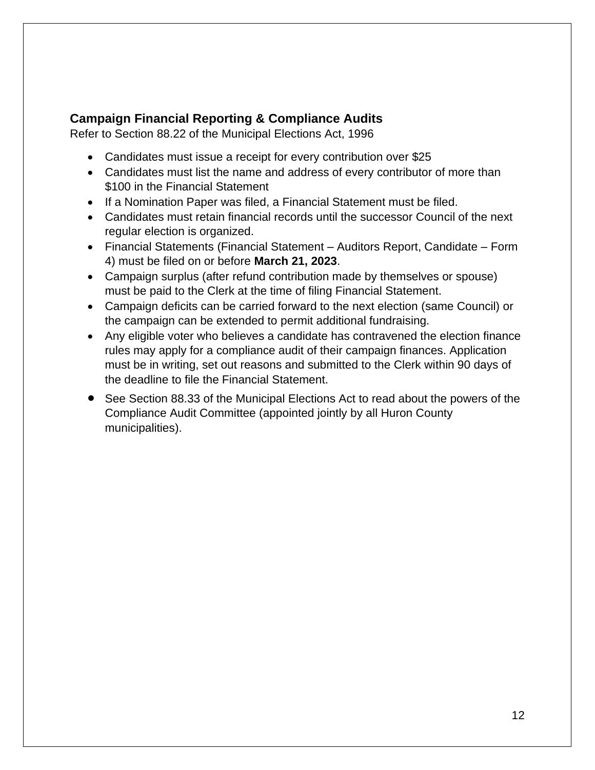# <span id="page-11-0"></span>**Campaign Financial Reporting & Compliance Audits**

Refer to Section 88.22 of the Municipal Elections Act, 1996

- Candidates must issue a receipt for every contribution over \$25
- Candidates must list the name and address of every contributor of more than \$100 in the Financial Statement
- If a Nomination Paper was filed, a Financial Statement must be filed.
- Candidates must retain financial records until the successor Council of the next regular election is organized.
- Financial Statements (Financial Statement Auditors Report, Candidate Form 4) must be filed on or before **March 21, 2023**.
- Campaign surplus (after refund contribution made by themselves or spouse) must be paid to the Clerk at the time of filing Financial Statement.
- Campaign deficits can be carried forward to the next election (same Council) or the campaign can be extended to permit additional fundraising.
- Any eligible voter who believes a candidate has contravened the election finance rules may apply for a compliance audit of their campaign finances. Application must be in writing, set out reasons and submitted to the Clerk within 90 days of the deadline to file the Financial Statement.
- See Section 88.33 of the Municipal Elections Act to read about the powers of the Compliance Audit Committee (appointed jointly by all Huron County municipalities).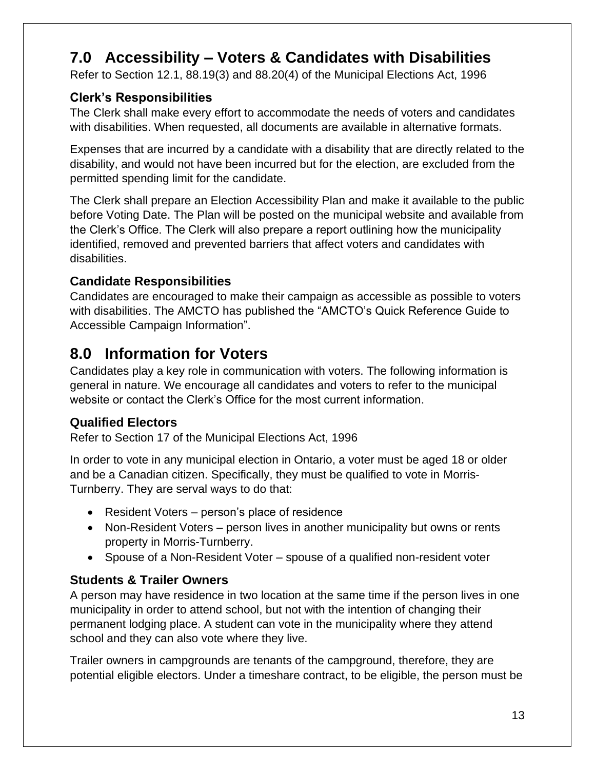# <span id="page-12-0"></span>**7.0 Accessibility – Voters & Candidates with Disabilities**

Refer to Section 12.1, 88.19(3) and 88.20(4) of the Municipal Elections Act, 1996

# <span id="page-12-1"></span>**Clerk's Responsibilities**

The Clerk shall make every effort to accommodate the needs of voters and candidates with disabilities. When requested, all documents are available in alternative formats.

Expenses that are incurred by a candidate with a disability that are directly related to the disability, and would not have been incurred but for the election, are excluded from the permitted spending limit for the candidate.

The Clerk shall prepare an Election Accessibility Plan and make it available to the public before Voting Date. The Plan will be posted on the municipal website and available from the Clerk's Office. The Clerk will also prepare a report outlining how the municipality identified, removed and prevented barriers that affect voters and candidates with disabilities.

# <span id="page-12-2"></span>**Candidate Responsibilities**

Candidates are encouraged to make their campaign as accessible as possible to voters with disabilities. The AMCTO has published the "AMCTO's Quick Reference Guide to Accessible Campaign Information".

# <span id="page-12-3"></span>**8.0 Information for Voters**

Candidates play a key role in communication with voters. The following information is general in nature. We encourage all candidates and voters to refer to the municipal website or contact the Clerk's Office for the most current information.

# <span id="page-12-4"></span>**Qualified Electors**

Refer to Section 17 of the Municipal Elections Act, 1996

In order to vote in any municipal election in Ontario, a voter must be aged 18 or older and be a Canadian citizen. Specifically, they must be qualified to vote in Morris-Turnberry. They are serval ways to do that:

- Resident Voters person's place of residence
- Non-Resident Voters person lives in another municipality but owns or rents property in Morris-Turnberry.
- Spouse of a Non-Resident Voter spouse of a qualified non-resident voter

# <span id="page-12-5"></span>**Students & Trailer Owners**

A person may have residence in two location at the same time if the person lives in one municipality in order to attend school, but not with the intention of changing their permanent lodging place. A student can vote in the municipality where they attend school and they can also vote where they live.

Trailer owners in campgrounds are tenants of the campground, therefore, they are potential eligible electors. Under a timeshare contract, to be eligible, the person must be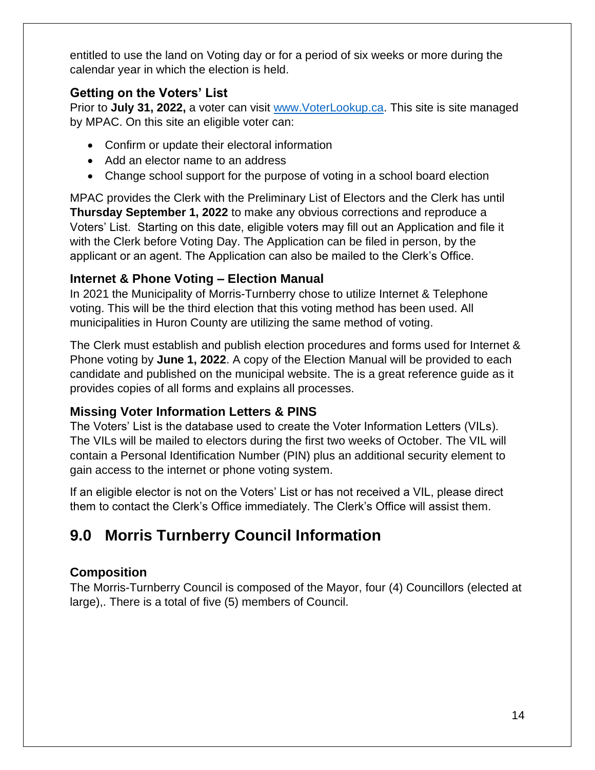entitled to use the land on Voting day or for a period of six weeks or more during the calendar year in which the election is held.

# <span id="page-13-0"></span>**Getting on the Voters' List**

Prior to **July 31, 2022,** a voter can visit [www.VoterLookup.ca.](http://www.voterlookup.ca/) This site is site managed by MPAC. On this site an eligible voter can:

- Confirm or update their electoral information
- Add an elector name to an address
- Change school support for the purpose of voting in a school board election

MPAC provides the Clerk with the Preliminary List of Electors and the Clerk has until **Thursday September 1, 2022** to make any obvious corrections and reproduce a Voters' List. Starting on this date, eligible voters may fill out an Application and file it with the Clerk before Voting Day. The Application can be filed in person, by the applicant or an agent. The Application can also be mailed to the Clerk's Office.

# <span id="page-13-1"></span>**Internet & Phone Voting – Election Manual**

In 2021 the Municipality of Morris-Turnberry chose to utilize Internet & Telephone voting. This will be the third election that this voting method has been used. All municipalities in Huron County are utilizing the same method of voting.

The Clerk must establish and publish election procedures and forms used for Internet & Phone voting by **June 1, 2022**. A copy of the Election Manual will be provided to each candidate and published on the municipal website. The is a great reference guide as it provides copies of all forms and explains all processes.

# <span id="page-13-2"></span>**Missing Voter Information Letters & PINS**

The Voters' List is the database used to create the Voter Information Letters (VILs). The VILs will be mailed to electors during the first two weeks of October. The VIL will contain a Personal Identification Number (PIN) plus an additional security element to gain access to the internet or phone voting system.

If an eligible elector is not on the Voters' List or has not received a VIL, please direct them to contact the Clerk's Office immediately. The Clerk's Office will assist them.

# <span id="page-13-3"></span>**9.0 Morris Turnberry Council Information**

# <span id="page-13-4"></span>**Composition**

The Morris-Turnberry Council is composed of the Mayor, four (4) Councillors (elected at large),. There is a total of five (5) members of Council.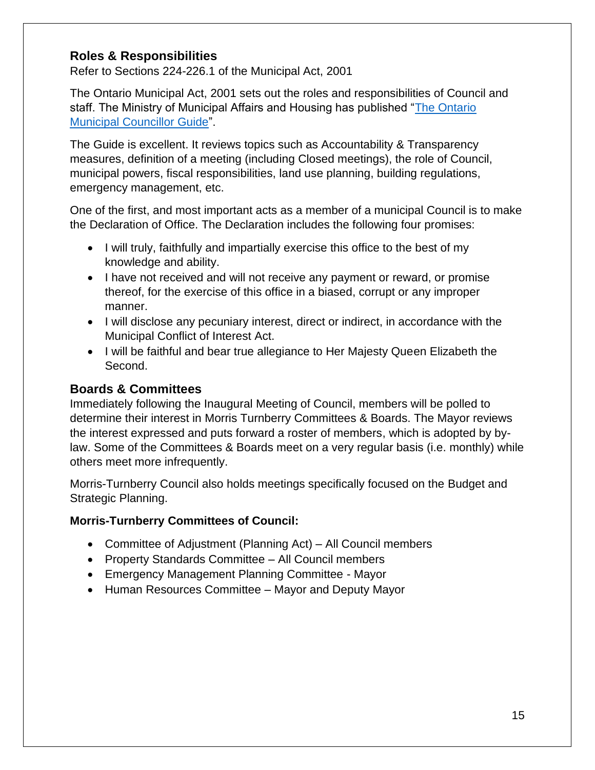## <span id="page-14-0"></span>**Roles & Responsibilities**

Refer to Sections 224-226.1 of the Municipal Act, 2001

The Ontario Municipal Act, 2001 sets out the roles and responsibilities of Council and staff. The Ministry of Municipal Affairs and Housing has published ["The Ontario](https://www.ontario.ca/document/ontario-municipal-councillors-guide/1-role-council-councillor-and-staff)  [Municipal Councillor Guide"](https://www.ontario.ca/document/ontario-municipal-councillors-guide/1-role-council-councillor-and-staff).

The Guide is excellent. It reviews topics such as Accountability & Transparency measures, definition of a meeting (including Closed meetings), the role of Council, municipal powers, fiscal responsibilities, land use planning, building regulations, emergency management, etc.

One of the first, and most important acts as a member of a municipal Council is to make the Declaration of Office. The Declaration includes the following four promises:

- I will truly, faithfully and impartially exercise this office to the best of my knowledge and ability.
- I have not received and will not receive any payment or reward, or promise thereof, for the exercise of this office in a biased, corrupt or any improper manner.
- I will disclose any pecuniary interest, direct or indirect, in accordance with the Municipal Conflict of Interest Act.
- I will be faithful and bear true allegiance to Her Majesty Queen Elizabeth the Second.

#### <span id="page-14-1"></span>**Boards & Committees**

Immediately following the Inaugural Meeting of Council, members will be polled to determine their interest in Morris Turnberry Committees & Boards. The Mayor reviews the interest expressed and puts forward a roster of members, which is adopted by bylaw. Some of the Committees & Boards meet on a very regular basis (i.e. monthly) while others meet more infrequently.

Morris-Turnberry Council also holds meetings specifically focused on the Budget and Strategic Planning.

#### **Morris-Turnberry Committees of Council:**

- Committee of Adjustment (Planning Act) All Council members
- Property Standards Committee All Council members
- Emergency Management Planning Committee Mayor
- Human Resources Committee Mayor and Deputy Mayor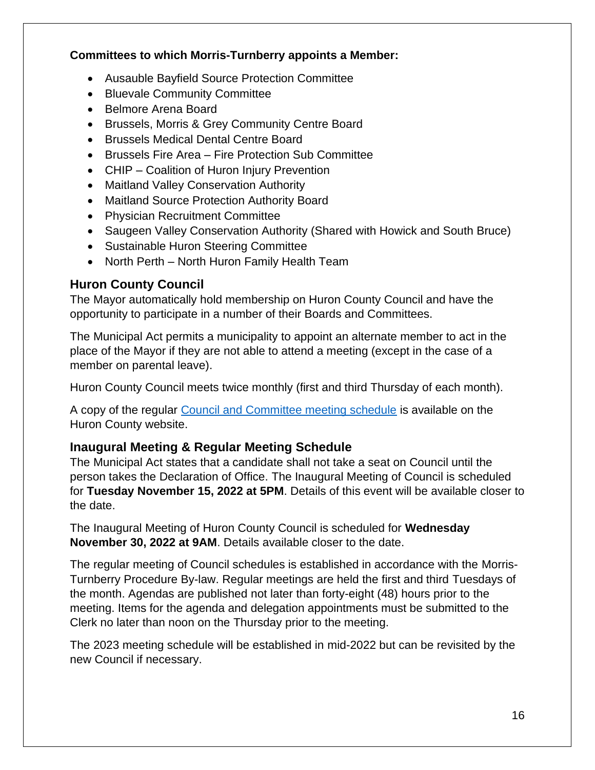#### **Committees to which Morris-Turnberry appoints a Member:**

- Ausauble Bayfield Source Protection Committee
- Bluevale Community Committee
- Belmore Arena Board
- Brussels, Morris & Grey Community Centre Board
- Brussels Medical Dental Centre Board
- Brussels Fire Area Fire Protection Sub Committee
- CHIP Coalition of Huron Injury Prevention
- Maitland Valley Conservation Authority
- Maitland Source Protection Authority Board
- Physician Recruitment Committee
- Saugeen Valley Conservation Authority (Shared with Howick and South Bruce)
- Sustainable Huron Steering Committee
- North Perth North Huron Family Health Team

# <span id="page-15-0"></span>**Huron County Council**

The Mayor automatically hold membership on Huron County Council and have the opportunity to participate in a number of their Boards and Committees.

The Municipal Act permits a municipality to appoint an alternate member to act in the place of the Mayor if they are not able to attend a meeting (except in the case of a member on parental leave).

Huron County Council meets twice monthly (first and third Thursday of each month).

A copy of the regular [Council and Committee meeting schedule](https://www.huroncounty.ca/minutes-and-agendas/county-council/) is available on the Huron County website.

# <span id="page-15-1"></span>**Inaugural Meeting & Regular Meeting Schedule**

The Municipal Act states that a candidate shall not take a seat on Council until the person takes the Declaration of Office. The Inaugural Meeting of Council is scheduled for **Tuesday November 15, 2022 at 5PM**. Details of this event will be available closer to the date.

The Inaugural Meeting of Huron County Council is scheduled for **Wednesday November 30, 2022 at 9AM**. Details available closer to the date.

The regular meeting of Council schedules is established in accordance with the Morris-Turnberry Procedure By-law. Regular meetings are held the first and third Tuesdays of the month. Agendas are published not later than forty-eight (48) hours prior to the meeting. Items for the agenda and delegation appointments must be submitted to the Clerk no later than noon on the Thursday prior to the meeting.

The 2023 meeting schedule will be established in mid-2022 but can be revisited by the new Council if necessary.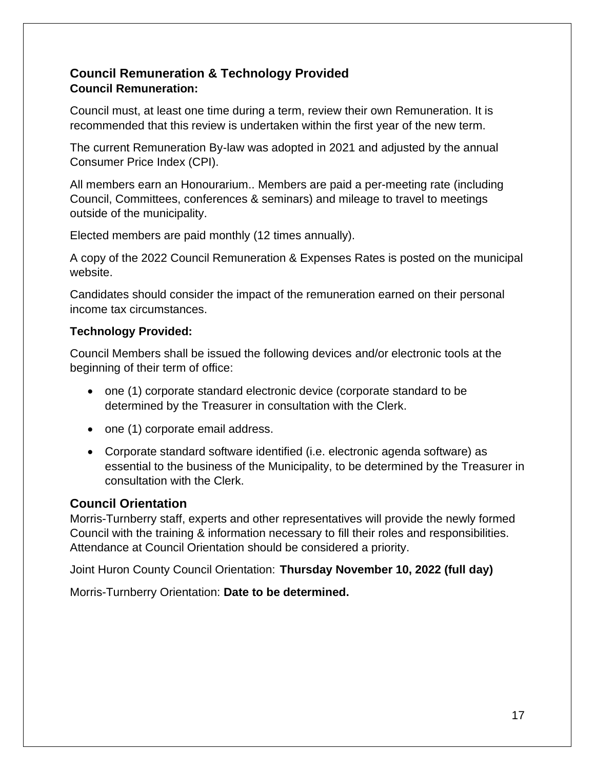## <span id="page-16-0"></span>**Council Remuneration & Technology Provided Council Remuneration:**

Council must, at least one time during a term, review their own Remuneration. It is recommended that this review is undertaken within the first year of the new term.

The current Remuneration By-law was adopted in 2021 and adjusted by the annual Consumer Price Index (CPI).

All members earn an Honourarium.. Members are paid a per-meeting rate (including Council, Committees, conferences & seminars) and mileage to travel to meetings outside of the municipality.

Elected members are paid monthly (12 times annually).

A copy of the 2022 Council Remuneration & Expenses Rates is posted on the municipal website.

Candidates should consider the impact of the remuneration earned on their personal income tax circumstances.

#### **Technology Provided:**

Council Members shall be issued the following devices and/or electronic tools at the beginning of their term of office:

- one (1) corporate standard electronic device (corporate standard to be determined by the Treasurer in consultation with the Clerk.
- one (1) corporate email address.
- Corporate standard software identified (i.e. electronic agenda software) as essential to the business of the Municipality, to be determined by the Treasurer in consultation with the Clerk.

# <span id="page-16-1"></span>**Council Orientation**

Morris-Turnberry staff, experts and other representatives will provide the newly formed Council with the training & information necessary to fill their roles and responsibilities. Attendance at Council Orientation should be considered a priority.

Joint Huron County Council Orientation: **Thursday November 10, 2022 (full day)**

Morris-Turnberry Orientation: **Date to be determined.**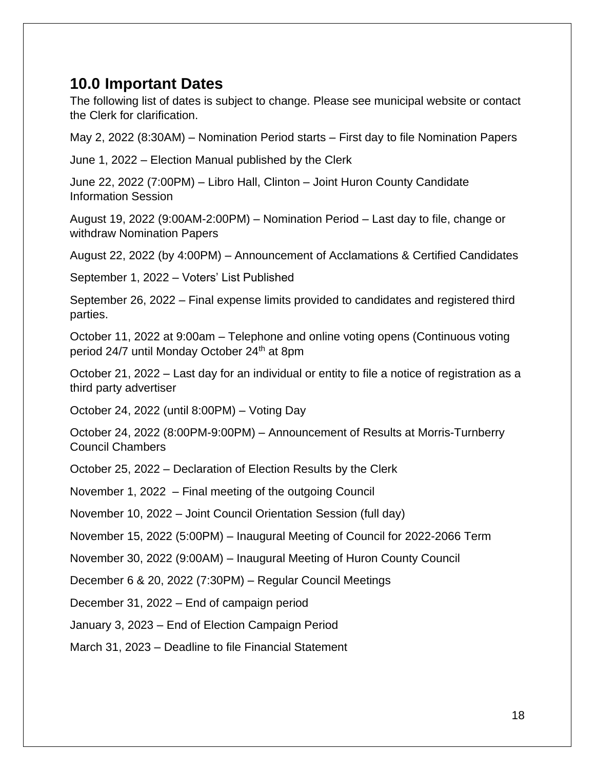# <span id="page-17-0"></span>**10.0 Important Dates**

The following list of dates is subject to change. Please see municipal website or contact the Clerk for clarification.

May 2, 2022 (8:30AM) – Nomination Period starts – First day to file Nomination Papers

June 1, 2022 – Election Manual published by the Clerk

June 22, 2022 (7:00PM) – Libro Hall, Clinton – Joint Huron County Candidate Information Session

August 19, 2022 (9:00AM-2:00PM) – Nomination Period – Last day to file, change or withdraw Nomination Papers

August 22, 2022 (by 4:00PM) – Announcement of Acclamations & Certified Candidates

September 1, 2022 – Voters' List Published

September 26, 2022 – Final expense limits provided to candidates and registered third parties.

October 11, 2022 at 9:00am – Telephone and online voting opens (Continuous voting period 24/7 until Monday October 24<sup>th</sup> at 8pm

October 21, 2022 – Last day for an individual or entity to file a notice of registration as a third party advertiser

October 24, 2022 (until 8:00PM) – Voting Day

October 24, 2022 (8:00PM-9:00PM) – Announcement of Results at Morris-Turnberry Council Chambers

October 25, 2022 – Declaration of Election Results by the Clerk

November 1, 2022 – Final meeting of the outgoing Council

November 10, 2022 – Joint Council Orientation Session (full day)

November 15, 2022 (5:00PM) – Inaugural Meeting of Council for 2022-2066 Term

November 30, 2022 (9:00AM) – Inaugural Meeting of Huron County Council

December 6 & 20, 2022 (7:30PM) – Regular Council Meetings

December 31, 2022 – End of campaign period

January 3, 2023 – End of Election Campaign Period

March 31, 2023 – Deadline to file Financial Statement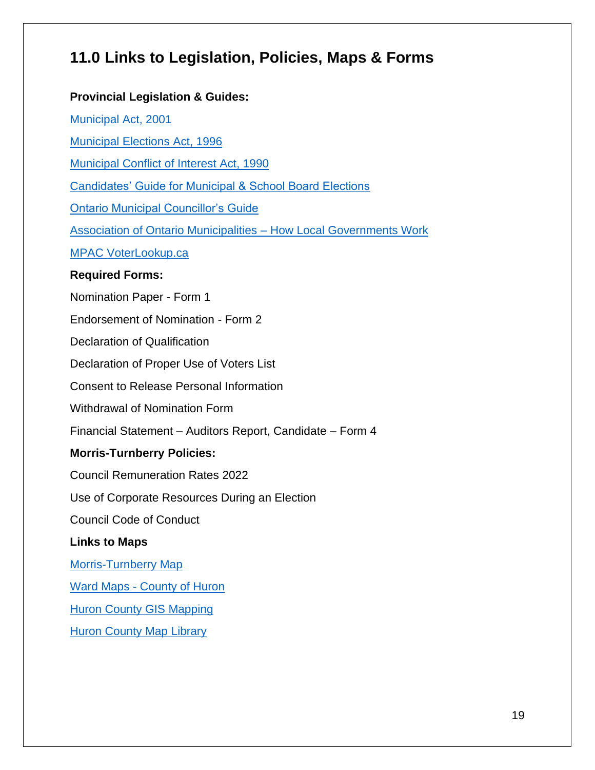# <span id="page-18-0"></span>**11.0 Links to Legislation, Policies, Maps & Forms**

#### **Provincial Legislation & Guides:**

[Municipal Act, 2001](https://www.ontario.ca/laws/statute/s01025)

[Municipal Elections Act, 1996](https://www.ontario.ca/laws/statute/96m32)

[Municipal Conflict of Interest Act, 1990](https://www.ontario.ca/laws/statute/90m50)

[Candidates' Guide for Municipal & School Board Elections](https://www.ontario.ca/document/2018-candidates-guide-ontario-municipal-council-and-school-board-elections)

[Ontario Municipal Councillor's Guide](https://www.ontario.ca/document/ontario-municipal-councillors-guide)

[Association of Ontario Municipalities –](https://www.amo.on.ca/about-us/municipal-101/how-local-government-works) How Local Governments Work

[MPAC VoterLookup.ca](https://www.voterlookup.ca/home.aspx)

#### **Required Forms:**

Nomination Paper - Form 1

Endorsement of Nomination - Form 2

Declaration of Qualification

Declaration of Proper Use of Voters List

Consent to Release Personal Information

Withdrawal of Nomination Form

Financial Statement – Auditors Report, Candidate – Form 4

#### **Morris-Turnberry Policies:**

Council Remuneration Rates 2022

Use of Corporate Resources During an Election

Council Code of Conduct

#### **Links to Maps**

[Morris-Turnberry](file://///mt-dc/munisoft/Trevor/C00%20-%20Council,%20Boards%20and%20By-Laws/C07%20-%20Elections/C07-%20Election%202022/Candidates/MorrisTurnberry_Location_Map.pdf) Map

Ward Maps - [County of Huron](https://www.huroncounty.ca/wp-content/uploads/2021/09/24x36_HC_Wards.pdf)

[Huron County GIS Mapping](https://www.huroncounty.ca/gis-services/interactive-mapping/)

[Huron County Map Library](https://www.huroncounty.ca/gis-services/map-library/)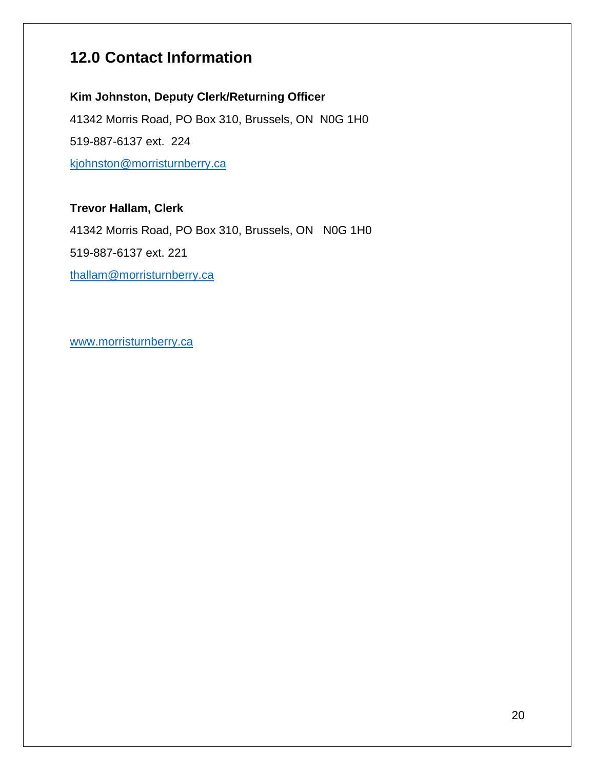# <span id="page-19-0"></span>**12.0 Contact Information**

# **Kim Johnston, Deputy Clerk/Returning Officer**

41342 Morris Road, PO Box 310, Brussels, ON N0G 1H0 519-887-6137 ext. 224 [kjohnston@morristurnberry.ca](mailto:kjohnston@morristurnberry.ca)

# **Trevor Hallam, Clerk**

41342 Morris Road, PO Box 310, Brussels, ON N0G 1H0 519-887-6137 ext. 221 [thallam@morristurnberry.ca](mailto:thallam@morristurnberry.ca)

[www.morristurnberry.ca](http://www.centralhuron.ca/)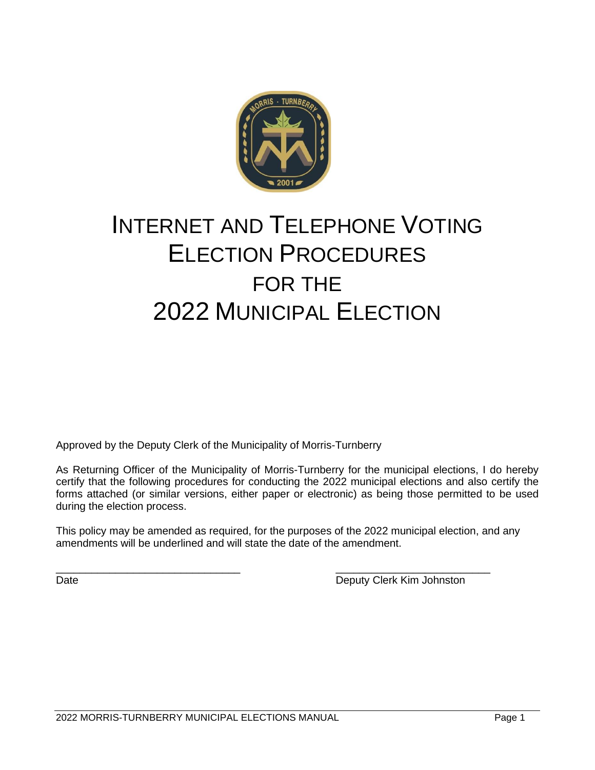

# INTERNET AND TELEPHONE VOTING ELECTION PROCEDURES FOR THE 2022 MUNICIPAL ELECTION

Approved by the Deputy Clerk of the Municipality of Morris-Turnberry

As Returning Officer of the Municipality of Morris-Turnberry for the municipal elections, I do hereby certify that the following procedures for conducting the 2022 municipal elections and also certify the forms attached (or similar versions, either paper or electronic) as being those permitted to be used during the election process.

This policy may be amended as required, for the purposes of the 2022 municipal election, and any amendments will be underlined and will state the date of the amendment.

\_\_\_\_\_\_\_\_\_\_\_\_\_\_\_\_\_\_\_\_\_\_\_\_\_\_\_\_\_\_\_ \_\_\_\_\_\_\_\_\_\_\_\_\_\_\_\_\_\_\_\_\_\_\_\_\_\_ Date **Date** Deputy Clerk Kim Johnston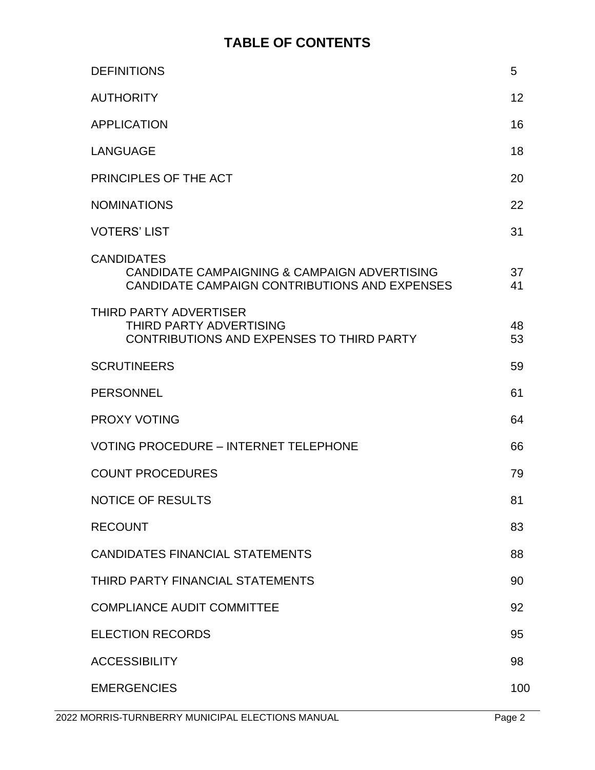# **TABLE OF CONTENTS**

| <b>DEFINITIONS</b>                                                                                                 | 5        |
|--------------------------------------------------------------------------------------------------------------------|----------|
| <b>AUTHORITY</b>                                                                                                   | 12       |
| <b>APPLICATION</b>                                                                                                 | 16       |
| <b>LANGUAGE</b>                                                                                                    | 18       |
| PRINCIPLES OF THE ACT                                                                                              | 20       |
| <b>NOMINATIONS</b>                                                                                                 | 22       |
| <b>VOTERS' LIST</b>                                                                                                | 31       |
| <b>CANDIDATES</b><br>CANDIDATE CAMPAIGNING & CAMPAIGN ADVERTISING<br>CANDIDATE CAMPAIGN CONTRIBUTIONS AND EXPENSES | 37<br>41 |
| <b>THIRD PARTY ADVERTISER</b><br>THIRD PARTY ADVERTISING<br>CONTRIBUTIONS AND EXPENSES TO THIRD PARTY              | 48<br>53 |
| <b>SCRUTINEERS</b>                                                                                                 | 59       |
| <b>PERSONNEL</b>                                                                                                   | 61       |
| <b>PROXY VOTING</b>                                                                                                | 64       |
| <b>VOTING PROCEDURE - INTERNET TELEPHONE</b>                                                                       | 66       |
| <b>COUNT PROCEDURES</b>                                                                                            | 79       |
| <b>NOTICE OF RESULTS</b>                                                                                           | 81       |
| <b>RECOUNT</b>                                                                                                     | 83       |
| <b>CANDIDATES FINANCIAL STATEMENTS</b>                                                                             | 88       |
| THIRD PARTY FINANCIAL STATEMENTS                                                                                   | 90       |
| <b>COMPLIANCE AUDIT COMMITTEE</b>                                                                                  | 92       |
| <b>ELECTION RECORDS</b>                                                                                            | 95       |
| <b>ACCESSIBILITY</b>                                                                                               | 98       |
| <b>EMERGENCIES</b>                                                                                                 | 100      |
|                                                                                                                    |          |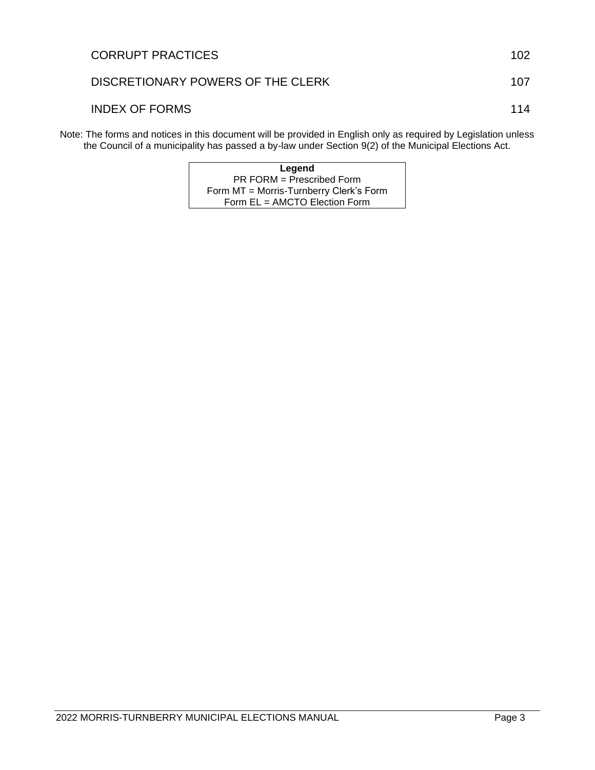| <b>INDEX OF FORMS</b>                                                                                                                                                                                                   | 114 |
|-------------------------------------------------------------------------------------------------------------------------------------------------------------------------------------------------------------------------|-----|
| Note: The forms and notices in this document will be provided in English only as required by Legislation unless<br>the Council of a municipality has passed a by-law under Section 9(2) of the Municipal Elections Act. |     |

| Legend                                  |
|-----------------------------------------|
| $PR$ FORM = Prescribed Form             |
| Form MT = Morris-Turnberry Clerk's Form |
| Form EL = AMCTO Election Form           |

CORRUPT PRACTICES 102

DISCRETIONARY POWERS OF THE CLERK 107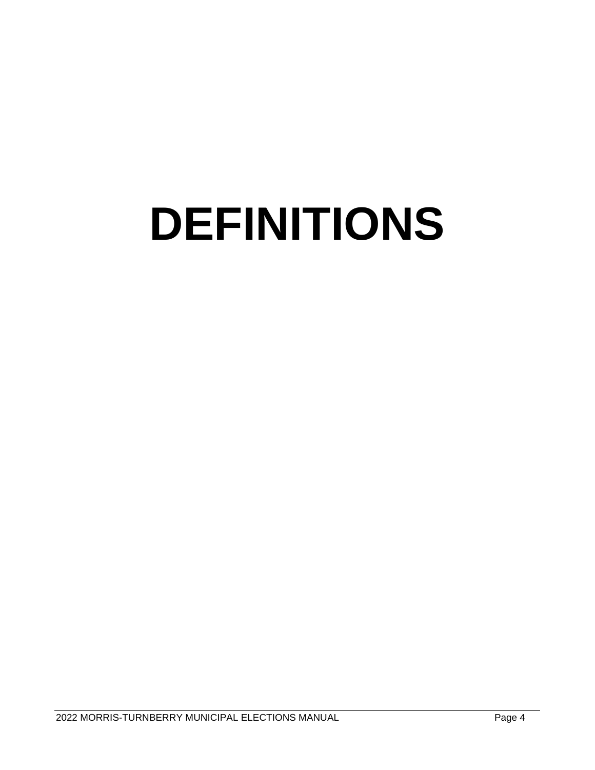# **DEFINITIONS**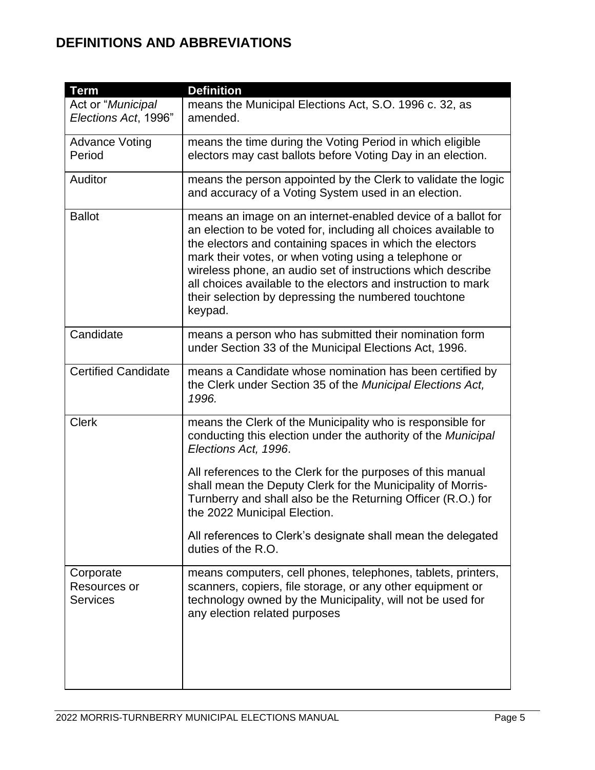# **DEFINITIONS AND ABBREVIATIONS**

| <b>Term</b>                                  | <b>Definition</b>                                                                                                                                                                                                                                                                                                                                                                                                                                       |
|----------------------------------------------|---------------------------------------------------------------------------------------------------------------------------------------------------------------------------------------------------------------------------------------------------------------------------------------------------------------------------------------------------------------------------------------------------------------------------------------------------------|
| Act or "Municipal<br>Elections Act, 1996"    | means the Municipal Elections Act, S.O. 1996 c. 32, as<br>amended.                                                                                                                                                                                                                                                                                                                                                                                      |
| <b>Advance Voting</b><br>Period              | means the time during the Voting Period in which eligible<br>electors may cast ballots before Voting Day in an election.                                                                                                                                                                                                                                                                                                                                |
| Auditor                                      | means the person appointed by the Clerk to validate the logic<br>and accuracy of a Voting System used in an election.                                                                                                                                                                                                                                                                                                                                   |
| <b>Ballot</b>                                | means an image on an internet-enabled device of a ballot for<br>an election to be voted for, including all choices available to<br>the electors and containing spaces in which the electors<br>mark their votes, or when voting using a telephone or<br>wireless phone, an audio set of instructions which describe<br>all choices available to the electors and instruction to mark<br>their selection by depressing the numbered touchtone<br>keypad. |
| Candidate                                    | means a person who has submitted their nomination form<br>under Section 33 of the Municipal Elections Act, 1996.                                                                                                                                                                                                                                                                                                                                        |
| <b>Certified Candidate</b>                   | means a Candidate whose nomination has been certified by<br>the Clerk under Section 35 of the Municipal Elections Act,<br>1996.                                                                                                                                                                                                                                                                                                                         |
| <b>Clerk</b>                                 | means the Clerk of the Municipality who is responsible for<br>conducting this election under the authority of the Municipal<br>Elections Act, 1996.                                                                                                                                                                                                                                                                                                     |
|                                              | All references to the Clerk for the purposes of this manual<br>shall mean the Deputy Clerk for the Municipality of Morris-<br>Turnberry and shall also be the Returning Officer (R.O.) for<br>the 2022 Municipal Election.                                                                                                                                                                                                                              |
|                                              | All references to Clerk's designate shall mean the delegated<br>duties of the R.O.                                                                                                                                                                                                                                                                                                                                                                      |
| Corporate<br>Resources or<br><b>Services</b> | means computers, cell phones, telephones, tablets, printers,<br>scanners, copiers, file storage, or any other equipment or<br>technology owned by the Municipality, will not be used for<br>any election related purposes                                                                                                                                                                                                                               |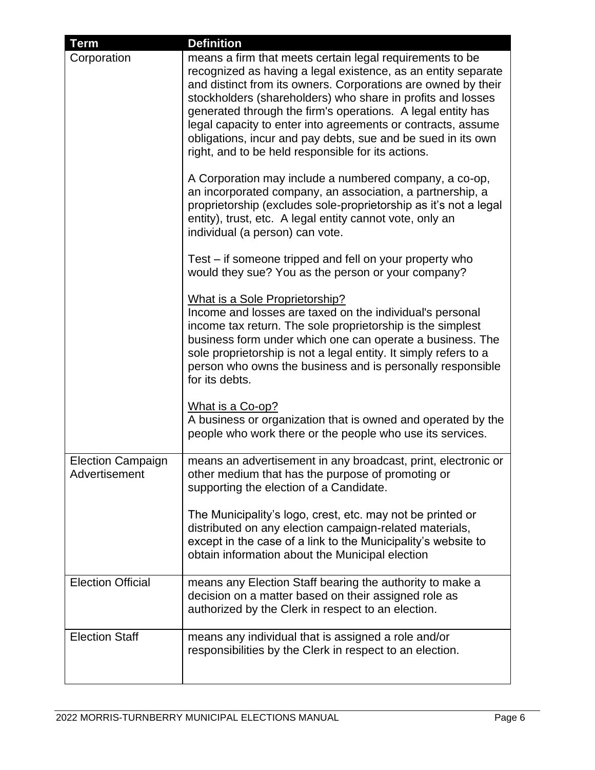| <b>Term</b>                               | <b>Definition</b>                                                                                                                                                                                                                                                                                                                                                                                                                                                                                                                                                        |
|-------------------------------------------|--------------------------------------------------------------------------------------------------------------------------------------------------------------------------------------------------------------------------------------------------------------------------------------------------------------------------------------------------------------------------------------------------------------------------------------------------------------------------------------------------------------------------------------------------------------------------|
| Corporation                               | means a firm that meets certain legal requirements to be<br>recognized as having a legal existence, as an entity separate<br>and distinct from its owners. Corporations are owned by their<br>stockholders (shareholders) who share in profits and losses<br>generated through the firm's operations. A legal entity has<br>legal capacity to enter into agreements or contracts, assume<br>obligations, incur and pay debts, sue and be sued in its own<br>right, and to be held responsible for its actions.<br>A Corporation may include a numbered company, a co-op, |
|                                           | an incorporated company, an association, a partnership, a<br>proprietorship (excludes sole-proprietorship as it's not a legal<br>entity), trust, etc. A legal entity cannot vote, only an<br>individual (a person) can vote.                                                                                                                                                                                                                                                                                                                                             |
|                                           | Test – if someone tripped and fell on your property who<br>would they sue? You as the person or your company?                                                                                                                                                                                                                                                                                                                                                                                                                                                            |
|                                           | What is a Sole Proprietorship?<br>Income and losses are taxed on the individual's personal<br>income tax return. The sole proprietorship is the simplest<br>business form under which one can operate a business. The<br>sole proprietorship is not a legal entity. It simply refers to a<br>person who owns the business and is personally responsible<br>for its debts.                                                                                                                                                                                                |
|                                           | What is a Co-op?<br>A business or organization that is owned and operated by the<br>people who work there or the people who use its services.                                                                                                                                                                                                                                                                                                                                                                                                                            |
| <b>Election Campaign</b><br>Advertisement | means an advertisement in any broadcast, print, electronic or<br>other medium that has the purpose of promoting or<br>supporting the election of a Candidate.                                                                                                                                                                                                                                                                                                                                                                                                            |
|                                           | The Municipality's logo, crest, etc. may not be printed or<br>distributed on any election campaign-related materials,<br>except in the case of a link to the Municipality's website to<br>obtain information about the Municipal election                                                                                                                                                                                                                                                                                                                                |
| <b>Election Official</b>                  | means any Election Staff bearing the authority to make a<br>decision on a matter based on their assigned role as<br>authorized by the Clerk in respect to an election.                                                                                                                                                                                                                                                                                                                                                                                                   |
| <b>Election Staff</b>                     | means any individual that is assigned a role and/or<br>responsibilities by the Clerk in respect to an election.                                                                                                                                                                                                                                                                                                                                                                                                                                                          |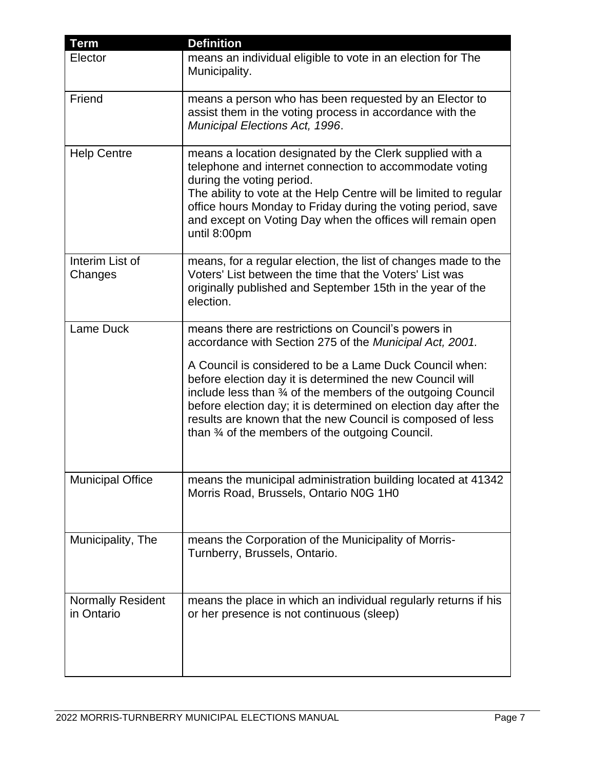| <b>Term</b>                            | <b>Definition</b>                                                                                                                                                                                                                                                                                                                                                                  |
|----------------------------------------|------------------------------------------------------------------------------------------------------------------------------------------------------------------------------------------------------------------------------------------------------------------------------------------------------------------------------------------------------------------------------------|
| Elector                                | means an individual eligible to vote in an election for The<br>Municipality.                                                                                                                                                                                                                                                                                                       |
| Friend                                 | means a person who has been requested by an Elector to<br>assist them in the voting process in accordance with the<br>Municipal Elections Act, 1996.                                                                                                                                                                                                                               |
| <b>Help Centre</b>                     | means a location designated by the Clerk supplied with a<br>telephone and internet connection to accommodate voting<br>during the voting period.<br>The ability to vote at the Help Centre will be limited to regular<br>office hours Monday to Friday during the voting period, save<br>and except on Voting Day when the offices will remain open<br>until 8:00pm                |
| Interim List of<br>Changes             | means, for a regular election, the list of changes made to the<br>Voters' List between the time that the Voters' List was<br>originally published and September 15th in the year of the<br>election.                                                                                                                                                                               |
| Lame Duck                              | means there are restrictions on Council's powers in<br>accordance with Section 275 of the Municipal Act, 2001.                                                                                                                                                                                                                                                                     |
|                                        | A Council is considered to be a Lame Duck Council when:<br>before election day it is determined the new Council will<br>include less than 34 of the members of the outgoing Council<br>before election day; it is determined on election day after the<br>results are known that the new Council is composed of less<br>than $\frac{3}{4}$ of the members of the outgoing Council. |
| <b>Municipal Office</b>                | means the municipal administration building located at 41342<br>Morris Road, Brussels, Ontario N0G 1H0                                                                                                                                                                                                                                                                             |
| Municipality, The                      | means the Corporation of the Municipality of Morris-<br>Turnberry, Brussels, Ontario.                                                                                                                                                                                                                                                                                              |
| <b>Normally Resident</b><br>in Ontario | means the place in which an individual regularly returns if his<br>or her presence is not continuous (sleep)                                                                                                                                                                                                                                                                       |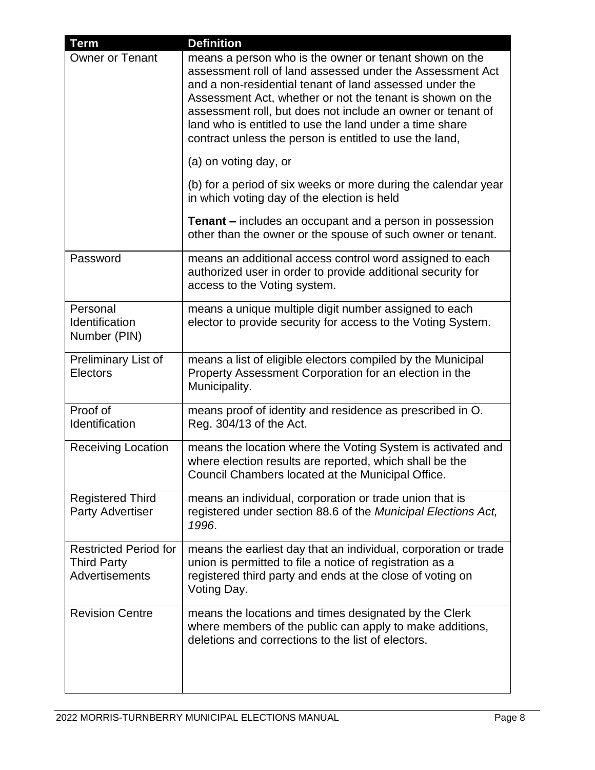| <b>Term</b>                                                                 | <b>Definition</b>                                                                                                                                                                                                                                                                                                                                                                                                                                         |
|-----------------------------------------------------------------------------|-----------------------------------------------------------------------------------------------------------------------------------------------------------------------------------------------------------------------------------------------------------------------------------------------------------------------------------------------------------------------------------------------------------------------------------------------------------|
| <b>Owner or Tenant</b>                                                      | means a person who is the owner or tenant shown on the<br>assessment roll of land assessed under the Assessment Act<br>and a non-residential tenant of land assessed under the<br>Assessment Act, whether or not the tenant is shown on the<br>assessment roll, but does not include an owner or tenant of<br>land who is entitled to use the land under a time share<br>contract unless the person is entitled to use the land,<br>(a) on voting day, or |
|                                                                             | (b) for a period of six weeks or more during the calendar year<br>in which voting day of the election is held                                                                                                                                                                                                                                                                                                                                             |
|                                                                             | <b>Tenant</b> – includes an occupant and a person in possession<br>other than the owner or the spouse of such owner or tenant.                                                                                                                                                                                                                                                                                                                            |
| Password                                                                    | means an additional access control word assigned to each<br>authorized user in order to provide additional security for<br>access to the Voting system.                                                                                                                                                                                                                                                                                                   |
| Personal<br>Identification<br>Number (PIN)                                  | means a unique multiple digit number assigned to each<br>elector to provide security for access to the Voting System.                                                                                                                                                                                                                                                                                                                                     |
| Preliminary List of<br><b>Electors</b>                                      | means a list of eligible electors compiled by the Municipal<br>Property Assessment Corporation for an election in the<br>Municipality.                                                                                                                                                                                                                                                                                                                    |
| Proof of<br>Identification                                                  | means proof of identity and residence as prescribed in O.<br>Reg. 304/13 of the Act.                                                                                                                                                                                                                                                                                                                                                                      |
| <b>Receiving Location</b>                                                   | means the location where the Voting System is activated and<br>where election results are reported, which shall be the<br>Council Chambers located at the Municipal Office.                                                                                                                                                                                                                                                                               |
| <b>Registered Third</b><br><b>Party Advertiser</b>                          | means an individual, corporation or trade union that is<br>registered under section 88.6 of the Municipal Elections Act,<br>1996.                                                                                                                                                                                                                                                                                                                         |
| <b>Restricted Period for</b><br><b>Third Party</b><br><b>Advertisements</b> | means the earliest day that an individual, corporation or trade<br>union is permitted to file a notice of registration as a<br>registered third party and ends at the close of voting on<br>Voting Day.                                                                                                                                                                                                                                                   |
| <b>Revision Centre</b>                                                      | means the locations and times designated by the Clerk<br>where members of the public can apply to make additions,<br>deletions and corrections to the list of electors.                                                                                                                                                                                                                                                                                   |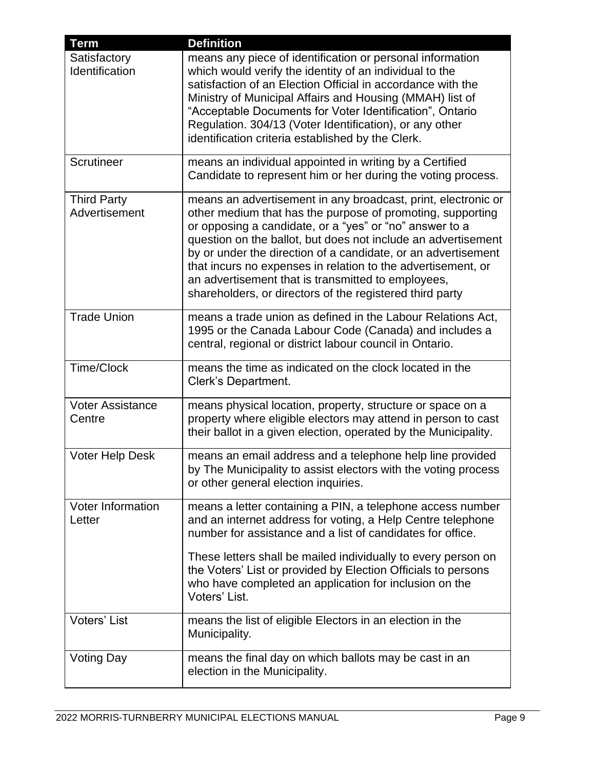| <b>Term</b>                         | <b>Definition</b>                                                                                                                                                                                                                                                                                                                                                                                                                                                                                          |
|-------------------------------------|------------------------------------------------------------------------------------------------------------------------------------------------------------------------------------------------------------------------------------------------------------------------------------------------------------------------------------------------------------------------------------------------------------------------------------------------------------------------------------------------------------|
| Satisfactory<br>Identification      | means any piece of identification or personal information<br>which would verify the identity of an individual to the<br>satisfaction of an Election Official in accordance with the<br>Ministry of Municipal Affairs and Housing (MMAH) list of<br>"Acceptable Documents for Voter Identification", Ontario<br>Regulation. 304/13 (Voter Identification), or any other<br>identification criteria established by the Clerk.                                                                                |
| Scrutineer                          | means an individual appointed in writing by a Certified<br>Candidate to represent him or her during the voting process.                                                                                                                                                                                                                                                                                                                                                                                    |
| <b>Third Party</b><br>Advertisement | means an advertisement in any broadcast, print, electronic or<br>other medium that has the purpose of promoting, supporting<br>or opposing a candidate, or a "yes" or "no" answer to a<br>question on the ballot, but does not include an advertisement<br>by or under the direction of a candidate, or an advertisement<br>that incurs no expenses in relation to the advertisement, or<br>an advertisement that is transmitted to employees,<br>shareholders, or directors of the registered third party |
| <b>Trade Union</b>                  | means a trade union as defined in the Labour Relations Act,<br>1995 or the Canada Labour Code (Canada) and includes a<br>central, regional or district labour council in Ontario.                                                                                                                                                                                                                                                                                                                          |
| <b>Time/Clock</b>                   | means the time as indicated on the clock located in the<br>Clerk's Department.                                                                                                                                                                                                                                                                                                                                                                                                                             |
| <b>Voter Assistance</b><br>Centre   | means physical location, property, structure or space on a<br>property where eligible electors may attend in person to cast<br>their ballot in a given election, operated by the Municipality.                                                                                                                                                                                                                                                                                                             |
| <b>Voter Help Desk</b>              | means an email address and a telephone help line provided<br>by The Municipality to assist electors with the voting process<br>or other general election inquiries.                                                                                                                                                                                                                                                                                                                                        |
| Voter Information<br>Letter         | means a letter containing a PIN, a telephone access number<br>and an internet address for voting, a Help Centre telephone<br>number for assistance and a list of candidates for office.<br>These letters shall be mailed individually to every person on<br>the Voters' List or provided by Election Officials to persons<br>who have completed an application for inclusion on the<br>Voters' List.                                                                                                       |
| Voters' List                        | means the list of eligible Electors in an election in the<br>Municipality.                                                                                                                                                                                                                                                                                                                                                                                                                                 |
| Voting Day                          | means the final day on which ballots may be cast in an<br>election in the Municipality.                                                                                                                                                                                                                                                                                                                                                                                                                    |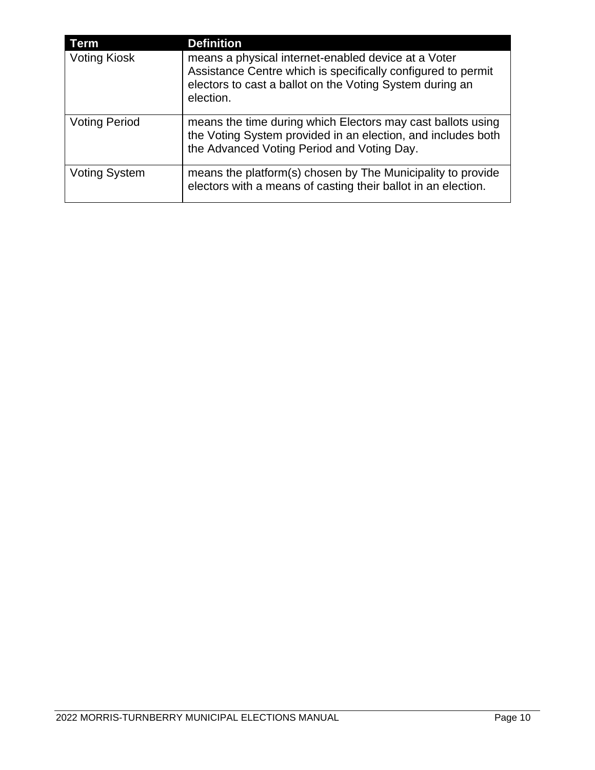| <b>Term</b>          | <b>Definition</b>                                                                                                                                                                            |
|----------------------|----------------------------------------------------------------------------------------------------------------------------------------------------------------------------------------------|
| <b>Voting Kiosk</b>  | means a physical internet-enabled device at a Voter<br>Assistance Centre which is specifically configured to permit<br>electors to cast a ballot on the Voting System during an<br>election. |
| <b>Voting Period</b> | means the time during which Electors may cast ballots using<br>the Voting System provided in an election, and includes both<br>the Advanced Voting Period and Voting Day.                    |
| <b>Voting System</b> | means the platform(s) chosen by The Municipality to provide<br>electors with a means of casting their ballot in an election.                                                                 |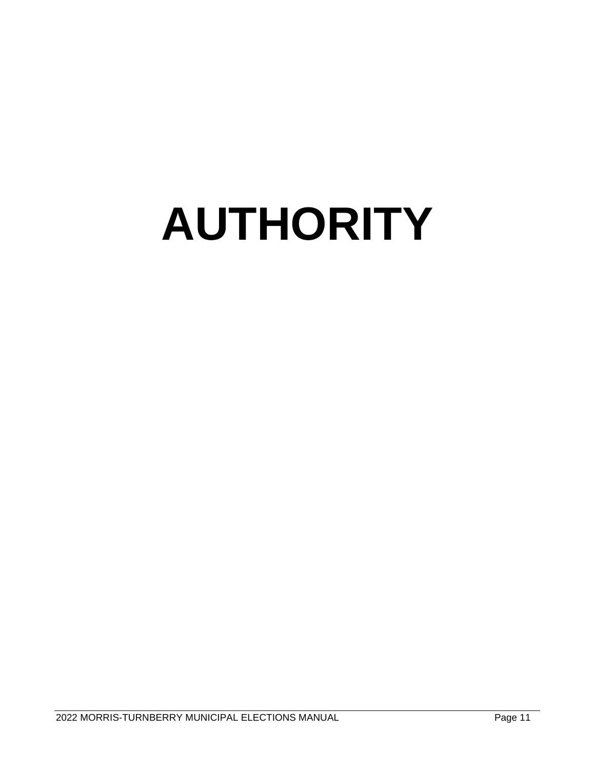# **AUTHORITY**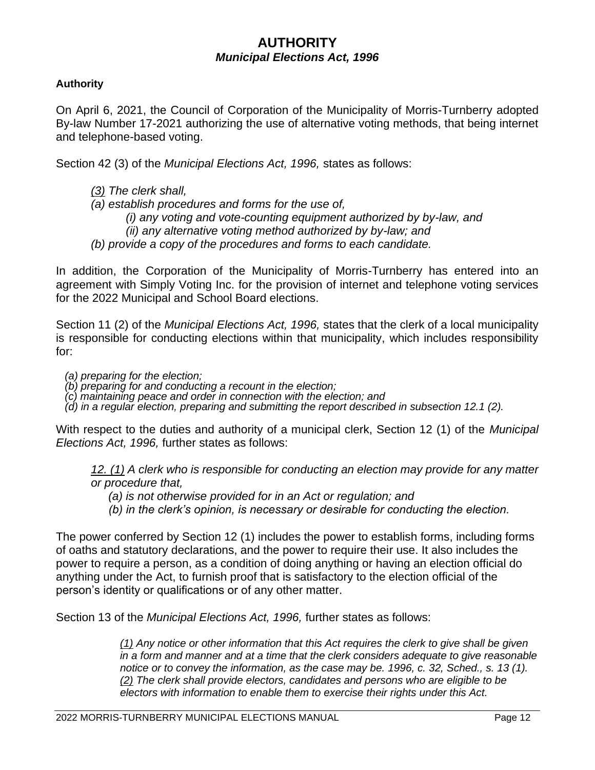# **AUTHORITY** *Municipal Elections Act, 1996*

#### **Authority**

On April 6, 2021, the Council of Corporation of the Municipality of Morris-Turnberry adopted By-law Number 17-2021 authorizing the use of alternative voting methods, that being internet and telephone-based voting.

Section 42 (3) of the *Municipal Elections Act, 1996,* states as follows:

- *[\(3\)](http://www.e-laws.gov.on.ca/html/statutes/french/elaws_statutes_96m32_f.htm#s42s3) The clerk shall,*
- *(a) establish procedures and forms for the use of,*
	- *(i) any voting and vote-counting equipment authorized by by-law, and* 
		- *(ii) any alternative voting method authorized by by-law; and*
- *(b) provide a copy of the procedures and forms to each candidate.*

In addition, the Corporation of the Municipality of Morris-Turnberry has entered into an agreement with Simply Voting Inc. for the provision of internet and telephone voting services for the 2022 Municipal and School Board elections.

Section 11 (2) of the *Municipal Elections Act, 1996,* states that the clerk of a local municipality is responsible for conducting elections within that municipality, which includes responsibility for:

*(a) preparing for the election;*

*(b) preparing for and conducting a recount in the election;*

*(c) maintaining peace and order in connection with the election; and*

*(d) in a regular election, preparing and submitting the report described in subsection 12.1 (2).*

With respect to the duties and authority of a municipal clerk, Section 12 (1) of the *Municipal Elections Act, 1996,* further states as follows:

*[12.](http://www.e-laws.gov.on.ca/html/statutes/french/elaws_statutes_96m32_f.htm#s12s1) [\(1\)](http://www.e-laws.gov.on.ca/html/statutes/french/elaws_statutes_96m32_f.htm#s12s1) A clerk who is responsible for conducting an election may provide for any matter or procedure that,*

*(a) is not otherwise provided for in an Act or regulation; and*

*(b) in the clerk's opinion, is necessary or desirable for conducting the election.*

The power conferred by Section 12 (1) includes the power to establish forms, including forms of oaths and statutory declarations, and the power to require their use. It also includes the power to require a person, as a condition of doing anything or having an election official do anything under the Act, to furnish proof that is satisfactory to the election official of the person's identity or qualifications or of any other matter.

Section 13 of the *Municipal Elections Act, 1996,* further states as follows:

*[\(1\)](http://www.e-laws.gov.on.ca/html/statutes/french/elaws_statutes_96m32_f.htm#s13s1) Any notice or other information that this Act requires the clerk to give shall be given in a form and manner and at a time that the clerk considers adequate to give reasonable notice or to convey the information, as the case may be. 1996, c. 32, Sched., s. 13 (1). [\(2\)](http://www.e-laws.gov.on.ca/html/statutes/french/elaws_statutes_96m32_f.htm#s13s2) The clerk shall provide electors, candidates and persons who are eligible to be electors with information to enable them to exercise their rights under this Act.*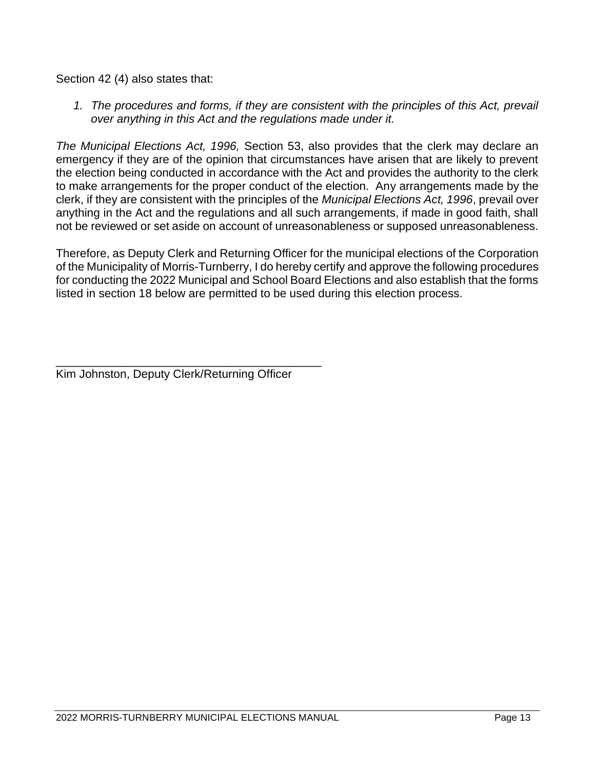Section 42 (4) also states that:

1. The procedures and forms, if they are consistent with the principles of this Act, prevail *over anything in this Act and the regulations made under it.*

*The Municipal Elections Act, 1996,* Section 53, also provides that the clerk may declare an emergency if they are of the opinion that circumstances have arisen that are likely to prevent the election being conducted in accordance with the Act and provides the authority to the clerk to make arrangements for the proper conduct of the election. Any arrangements made by the clerk, if they are consistent with the principles of the *Municipal Elections Act, 1996*, prevail over anything in the Act and the regulations and all such arrangements, if made in good faith, shall not be reviewed or set aside on account of unreasonableness or supposed unreasonableness.

Therefore, as Deputy Clerk and Returning Officer for the municipal elections of the Corporation of the Municipality of Morris-Turnberry, I do hereby certify and approve the following procedures for conducting the 2022 Municipal and School Board Elections and also establish that the forms listed in section 18 below are permitted to be used during this election process.

\_\_\_\_\_\_\_\_\_\_\_\_\_\_\_\_\_\_\_\_\_\_\_\_\_\_\_\_\_\_\_\_\_\_\_\_\_\_\_\_\_ Kim Johnston, Deputy Clerk/Returning Officer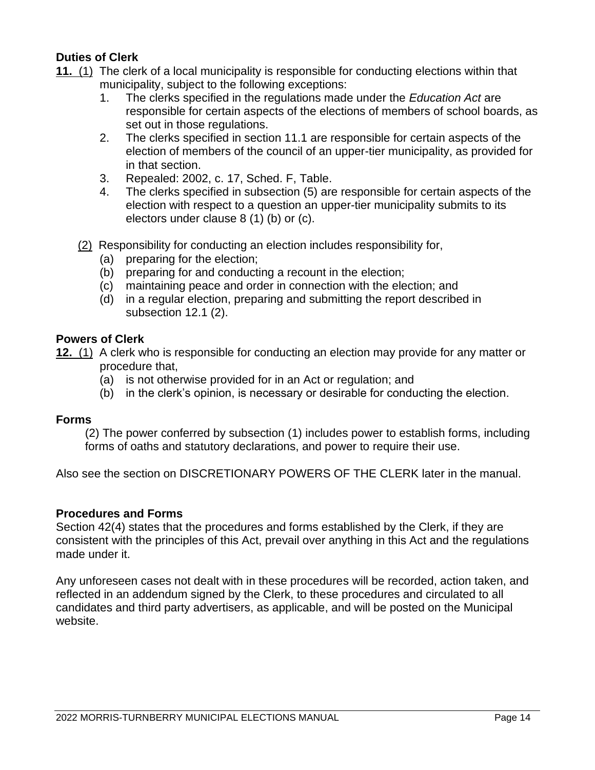#### **Duties of Clerk**

- **[11.](http://www.e-laws.gov.on.ca/html/statutes/french/elaws_statutes_96m32_f.htm#s11s1)** [\(1\)](http://www.e-laws.gov.on.ca/html/statutes/french/elaws_statutes_96m32_f.htm#s11s1) The clerk of a local municipality is responsible for conducting elections within that municipality, subject to the following exceptions:
	- 1. The clerks specified in the regulations made under the *Education Act* are responsible for certain aspects of the elections of members of school boards, as set out in those regulations.
	- 2. The clerks specified in section 11.1 are responsible for certain aspects of the election of members of the council of an upper-tier municipality, as provided for in that section.
	- 3. Repealed: 2002, c. 17, Sched. F, Table.
	- 4. The clerks specified in subsection (5) are responsible for certain aspects of the election with respect to a question an upper-tier municipality submits to its electors under clause 8 (1) (b) or (c).
	- [\(2\)](http://www.e-laws.gov.on.ca/html/statutes/french/elaws_statutes_96m32_f.htm#s11s2) Responsibility for conducting an election includes responsibility for,
		- (a) preparing for the election;
		- (b) preparing for and conducting a recount in the election;
		- (c) maintaining peace and order in connection with the election; and
		- (d) in a regular election, preparing and submitting the report described in subsection 12.1 (2).

#### **Powers of Clerk**

**[12.](http://www.e-laws.gov.on.ca/html/statutes/french/elaws_statutes_96m32_f.htm#s12s1)** [\(1\)](http://www.e-laws.gov.on.ca/html/statutes/french/elaws_statutes_96m32_f.htm#s12s1) A clerk who is responsible for conducting an election may provide for any matter or procedure that,

- (a) is not otherwise provided for in an Act or regulation; and
- (b) in the clerk's opinion, is necessary or desirable for conducting the election.

#### **Forms**

(2) The power conferred by subsection (1) includes power to establish forms, including forms of oaths and statutory declarations, and power to require their use.

Also see the section on DISCRETIONARY POWERS OF THE CLERK later in the manual.

#### **Procedures and Forms**

Section 42(4) states that the procedures and forms established by the Clerk, if they are consistent with the principles of this Act, prevail over anything in this Act and the regulations made under it.

Any unforeseen cases not dealt with in these procedures will be recorded, action taken, and reflected in an addendum signed by the Clerk, to these procedures and circulated to all candidates and third party advertisers, as applicable, and will be posted on the Municipal website.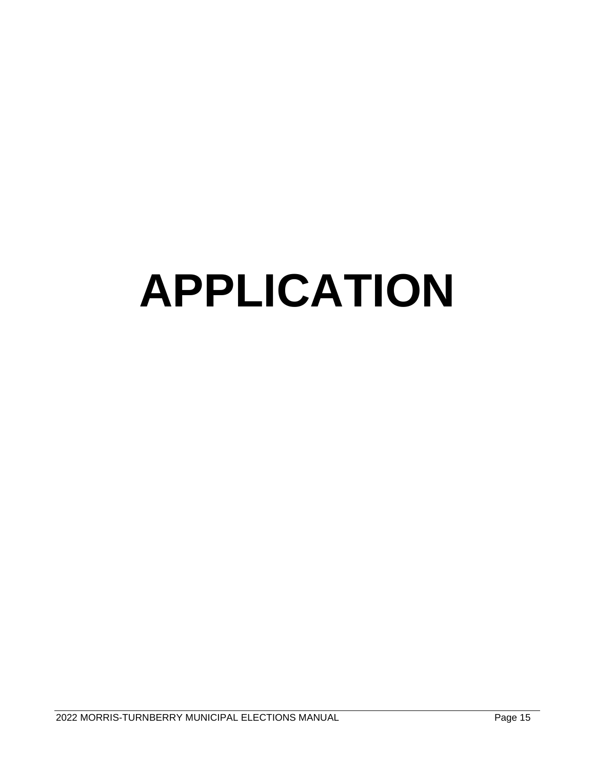# **APPLICATION**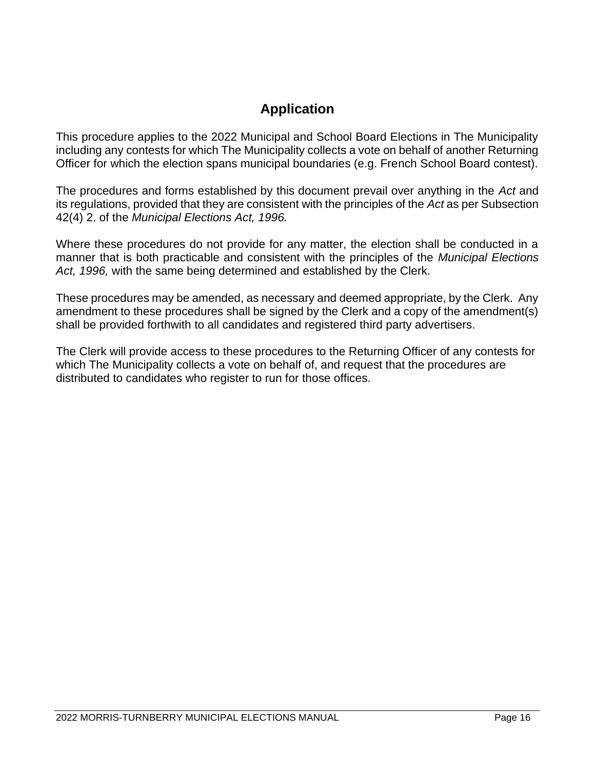# **Application**

This procedure applies to the 2022 Municipal and School Board Elections in The Municipality including any contests for which The Municipality collects a vote on behalf of another Returning Officer for which the election spans municipal boundaries (e.g. French School Board contest).

The procedures and forms established by this document prevail over anything in the *Act* and its regulations, provided that they are consistent with the principles of the *Act* as per Subsection 42(4) 2. of the *Municipal Elections Act, 1996.*

Where these procedures do not provide for any matter, the election shall be conducted in a manner that is both practicable and consistent with the principles of the *Municipal Elections Act, 1996,* with the same being determined and established by the Clerk.

These procedures may be amended, as necessary and deemed appropriate, by the Clerk. Any amendment to these procedures shall be signed by the Clerk and a copy of the amendment(s) shall be provided forthwith to all candidates and registered third party advertisers.

The Clerk will provide access to these procedures to the Returning Officer of any contests for which The Municipality collects a vote on behalf of, and request that the procedures are distributed to candidates who register to run for those offices.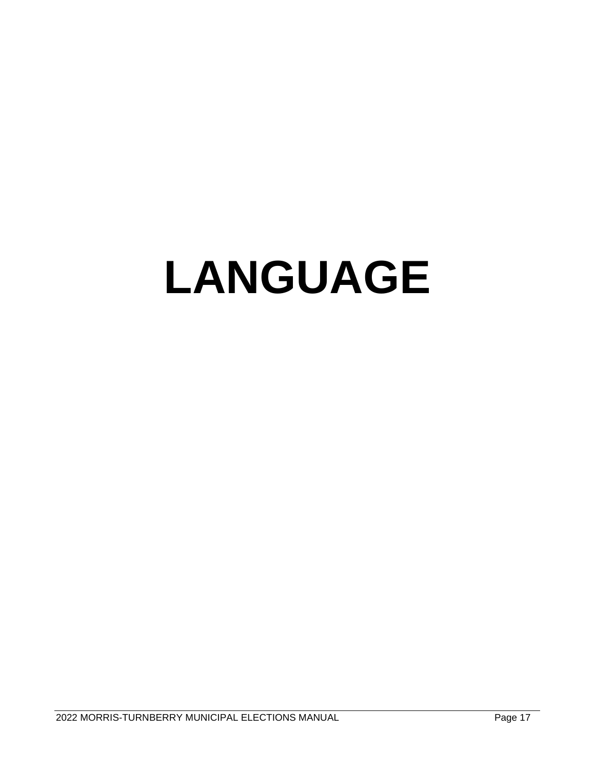# **LANGUAGE**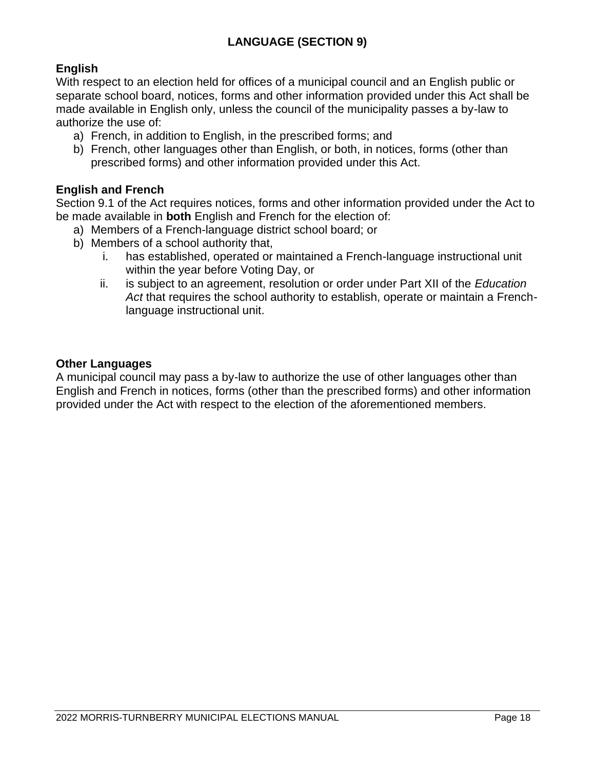#### **English**

With respect to an election held for offices of a municipal council and an English public or separate school board, notices, forms and other information provided under this Act shall be made available in English only, unless the council of the municipality passes a by-law to authorize the use of:

- a) French, in addition to English, in the prescribed forms; and
- b) French, other languages other than English, or both, in notices, forms (other than prescribed forms) and other information provided under this Act.

#### **English and French**

Section 9.1 of the Act requires notices, forms and other information provided under the Act to be made available in **both** English and French for the election of:

- a) Members of a French-language district school board; or
- b) Members of a school authority that,
	- i. has established, operated or maintained a French-language instructional unit within the year before Voting Day, or
	- ii. is subject to an agreement, resolution or order under Part XII of the *Education Act* that requires the school authority to establish, operate or maintain a Frenchlanguage instructional unit.

#### **Other Languages**

A municipal council may pass a by-law to authorize the use of other languages other than English and French in notices, forms (other than the prescribed forms) and other information provided under the Act with respect to the election of the aforementioned members.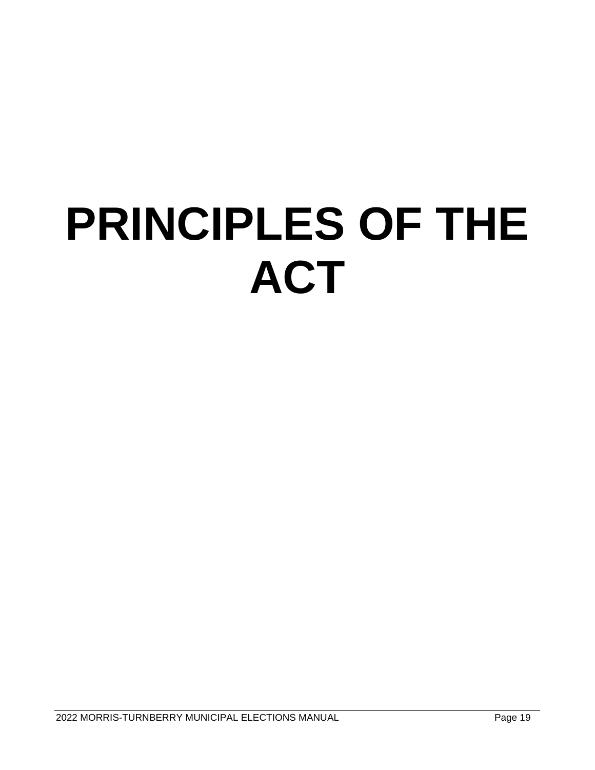# **PRINCIPLES OF THE ACT**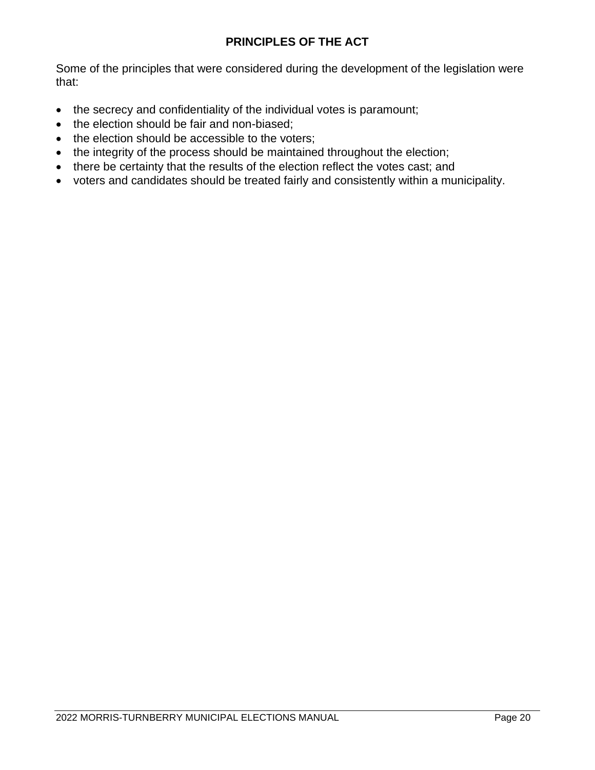#### **PRINCIPLES OF THE ACT**

Some of the principles that were considered during the development of the legislation were that:

- the secrecy and confidentiality of the individual votes is paramount;
- the election should be fair and non-biased;
- the election should be accessible to the voters;
- the integrity of the process should be maintained throughout the election;
- there be certainty that the results of the election reflect the votes cast; and
- voters and candidates should be treated fairly and consistently within a municipality.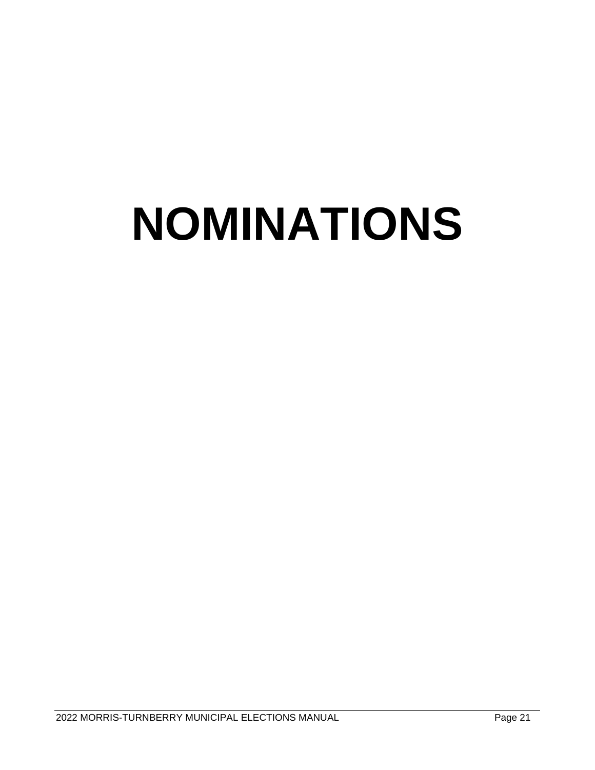# **NOMINATIONS**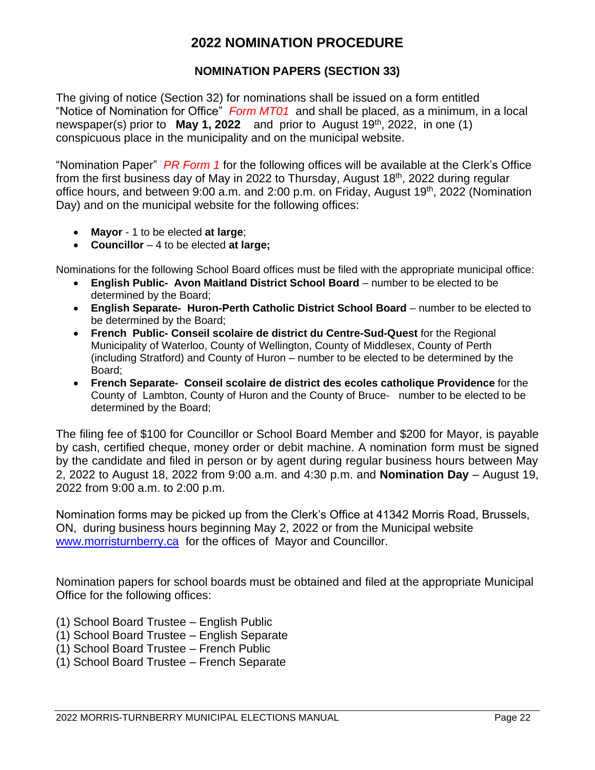#### **2022 NOMINATION PROCEDURE**

#### **NOMINATION PAPERS (SECTION 33)**

The giving of notice (Section 32) for nominations shall be issued on a form entitled "Notice of Nomination for Office" *Form MT01* and shall be placed, as a minimum, in a local newspaper(s) prior to **May 1, 2022** and prior to August 19th, 2022, in one (1) conspicuous place in the municipality and on the municipal website.

"Nomination Paper" *PR Form 1* for the following offices will be available at the Clerk's Office from the first business day of May in 2022 to Thursday, August 18th, 2022 during regular office hours, and between 9:00 a.m. and 2:00 p.m. on Friday, August 19th, 2022 (Nomination Day) and on the municipal website for the following offices:

- **Mayor** 1 to be elected **at large**;
- **Councillor**  4 to be elected **at large;**

Nominations for the following School Board offices must be filed with the appropriate municipal office:

- **English Public- Avon Maitland District School Board** number to be elected to be determined by the Board;
- **English Separate- Huron-Perth Catholic District School Board** number to be elected to be determined by the Board;
- **French Public- Conseil scolaire de district du Centre-Sud-Quest** for the Regional Municipality of Waterloo, County of Wellington, County of Middlesex, County of Perth (including Stratford) and County of Huron – number to be elected to be determined by the Board;
- **French Separate- Conseil scolaire de district des ecoles catholique Providence** for the County of Lambton, County of Huron and the County of Bruce- number to be elected to be determined by the Board;

The filing fee of \$100 for Councillor or School Board Member and \$200 for Mayor, is payable by cash, certified cheque, money order or debit machine. A nomination form must be signed by the candidate and filed in person or by agent during regular business hours between May 2, 2022 to August 18, 2022 from 9:00 a.m. and 4:30 p.m. and **Nomination Day** – August 19, 2022 from 9:00 a.m. to 2:00 p.m.

Nomination forms may be picked up from the Clerk's Office at 41342 Morris Road, Brussels, ON, during business hours beginning May 2, 2022 or from the Municipal website [www.morristurnberry.ca](http://www.morristurnberry.ca/) for the offices of Mayor and Councillor.

Nomination papers for school boards must be obtained and filed at the appropriate Municipal Office for the following offices:

- (1) School Board Trustee English Public
- (1) School Board Trustee English Separate
- (1) School Board Trustee French Public
- (1) School Board Trustee French Separate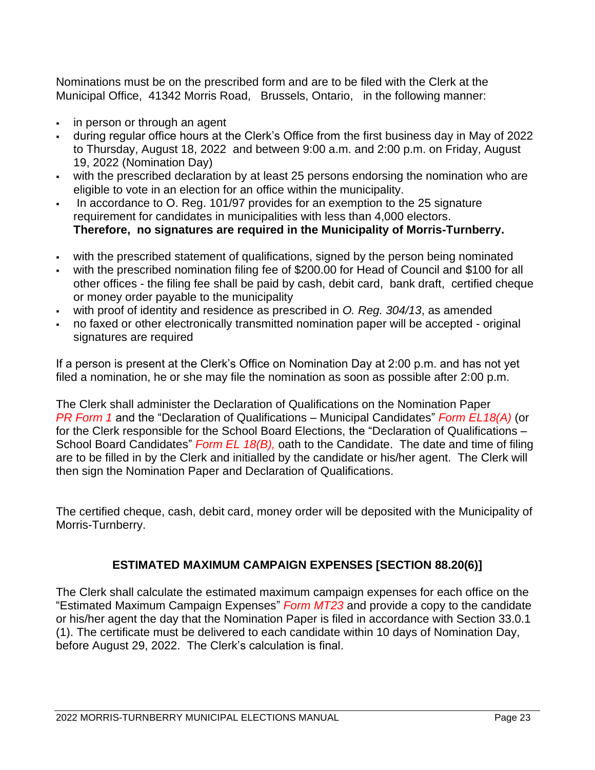Nominations must be on the prescribed form and are to be filed with the Clerk at the Municipal Office, 41342 Morris Road, Brussels, Ontario, in the following manner:

- in person or through an agent
- during regular office hours at the Clerk's Office from the first business day in May of 2022 to Thursday, August 18, 2022 and between 9:00 a.m. and 2:00 p.m. on Friday, August 19, 2022 (Nomination Day)
- with the prescribed declaration by at least 25 persons endorsing the nomination who are eligible to vote in an election for an office within the municipality.
- In accordance to O. Reg. 101/97 provides for an exemption to the 25 signature requirement for candidates in municipalities with less than 4,000 electors. **Therefore, no signatures are required in the Municipality of Morris-Turnberry.**
- with the prescribed statement of qualifications, signed by the person being nominated
- with the prescribed nomination filing fee of \$200.00 for Head of Council and \$100 for all other offices - the filing fee shall be paid by cash, debit card, bank draft, certified cheque or money order payable to the municipality
- with proof of identity and residence as prescribed in *O. Reg. 304/13*, as amended
- no faxed or other electronically transmitted nomination paper will be accepted original signatures are required

If a person is present at the Clerk's Office on Nomination Day at 2:00 p.m. and has not yet filed a nomination, he or she may file the nomination as soon as possible after 2:00 p.m.

The Clerk shall administer the Declaration of Qualifications on the Nomination Paper *PR Form 1* and the "Declaration of Qualifications – Municipal Candidates" *Form EL18(A)* (or for the Clerk responsible for the School Board Elections, the "Declaration of Qualifications – School Board Candidates" *Form EL 18(B),* oath to the Candidate. The date and time of filing are to be filled in by the Clerk and initialled by the candidate or his/her agent. The Clerk will then sign the Nomination Paper and Declaration of Qualifications.

The certified cheque, cash, debit card, money order will be deposited with the Municipality of Morris-Turnberry.

#### **ESTIMATED MAXIMUM CAMPAIGN EXPENSES [SECTION 88.20(6)]**

The Clerk shall calculate the estimated maximum campaign expenses for each office on the "Estimated Maximum Campaign Expenses" *Form MT23* and provide a copy to the candidate or his/her agent the day that the Nomination Paper is filed in accordance with Section 33.0.1 (1). The certificate must be delivered to each candidate within 10 days of Nomination Day, before August 29, 2022. The Clerk's calculation is final.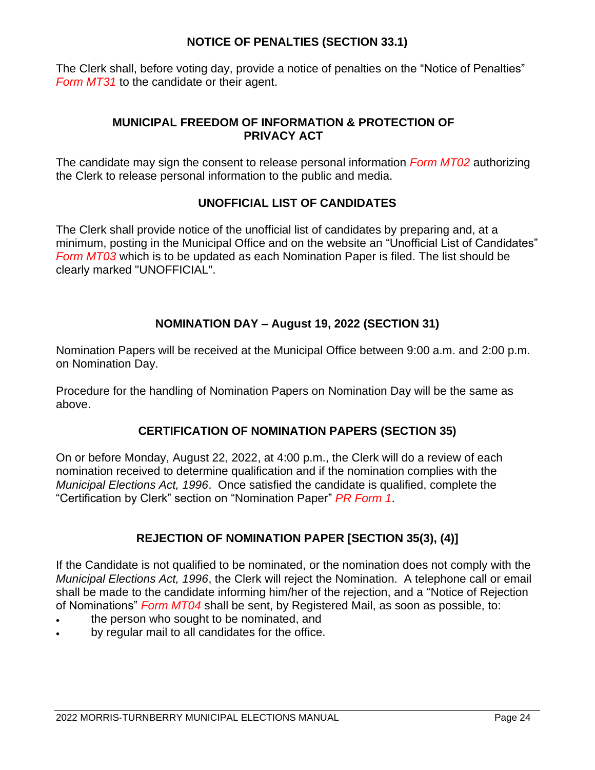#### **NOTICE OF PENALTIES (SECTION 33.1)**

The Clerk shall, before voting day, provide a notice of penalties on the "Notice of Penalties" *Form MT31* to the candidate or their agent.

#### **MUNICIPAL FREEDOM OF INFORMATION & PROTECTION OF PRIVACY ACT**

The candidate may sign the consent to release personal information *Form MT02* authorizing the Clerk to release personal information to the public and media.

#### **UNOFFICIAL LIST OF CANDIDATES**

The Clerk shall provide notice of the unofficial list of candidates by preparing and, at a minimum, posting in the Municipal Office and on the website an "Unofficial List of Candidates" *Form MT03* which is to be updated as each Nomination Paper is filed. The list should be clearly marked "UNOFFICIAL".

#### **NOMINATION DAY – August 19, 2022 (SECTION 31)**

Nomination Papers will be received at the Municipal Office between 9:00 a.m. and 2:00 p.m. on Nomination Day.

Procedure for the handling of Nomination Papers on Nomination Day will be the same as above.

#### **CERTIFICATION OF NOMINATION PAPERS (SECTION 35)**

On or before Monday, August 22, 2022, at 4:00 p.m., the Clerk will do a review of each nomination received to determine qualification and if the nomination complies with the *Municipal Elections Act, 1996*. Once satisfied the candidate is qualified, complete the "Certification by Clerk" section on "Nomination Paper" *PR Form 1*.

#### **REJECTION OF NOMINATION PAPER [SECTION 35(3), (4)]**

If the Candidate is not qualified to be nominated, or the nomination does not comply with the *Municipal Elections Act, 1996*, the Clerk will reject the Nomination. A telephone call or email shall be made to the candidate informing him/her of the rejection, and a "Notice of Rejection of Nominations" *Form MT04* shall be sent, by Registered Mail, as soon as possible, to:

- the person who sought to be nominated, and
- by regular mail to all candidates for the office.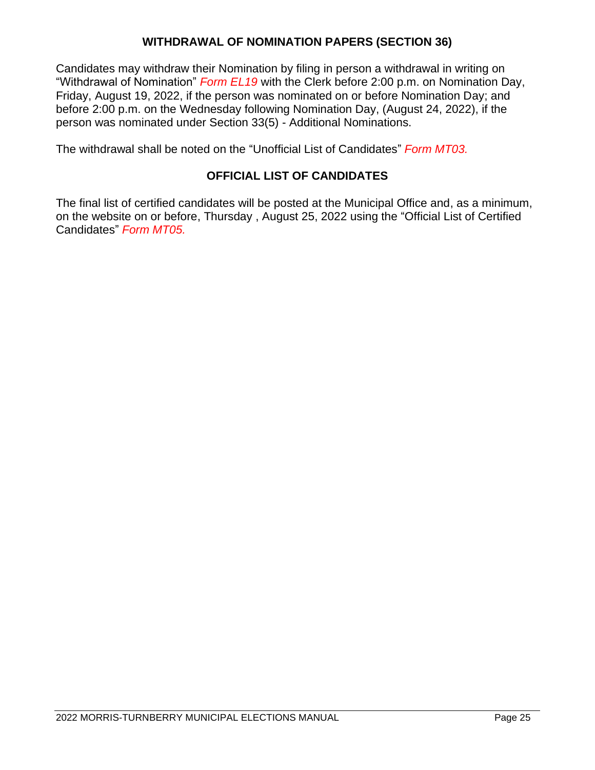#### **WITHDRAWAL OF NOMINATION PAPERS (SECTION 36)**

Candidates may withdraw their Nomination by filing in person a withdrawal in writing on "Withdrawal of Nomination" *Form EL19* with the Clerk before 2:00 p.m. on Nomination Day, Friday, August 19, 2022, if the person was nominated on or before Nomination Day; and before 2:00 p.m. on the Wednesday following Nomination Day, (August 24, 2022), if the person was nominated under Section 33(5) - Additional Nominations.

The withdrawal shall be noted on the "Unofficial List of Candidates" *Form MT03.*

#### **OFFICIAL LIST OF CANDIDATES**

The final list of certified candidates will be posted at the Municipal Office and, as a minimum, on the website on or before, Thursday , August 25, 2022 using the "Official List of Certified Candidates" *Form MT05.*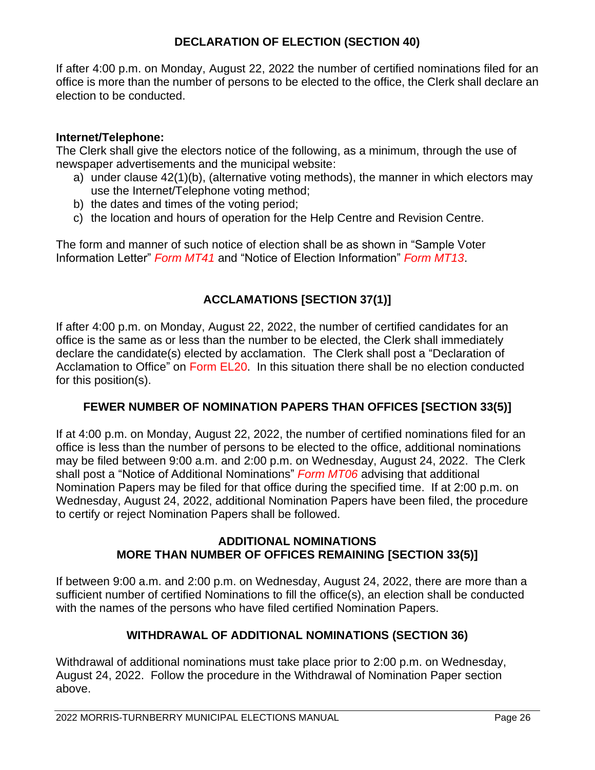#### **DECLARATION OF ELECTION (SECTION 40)**

If after 4:00 p.m. on Monday, August 22, 2022 the number of certified nominations filed for an office is more than the number of persons to be elected to the office, the Clerk shall declare an election to be conducted.

#### **Internet/Telephone:**

The Clerk shall give the electors notice of the following, as a minimum, through the use of newspaper advertisements and the municipal website:

- a) under clause 42(1)(b), (alternative voting methods), the manner in which electors may use the Internet/Telephone voting method;
- b) the dates and times of the voting period;
- c) the location and hours of operation for the Help Centre and Revision Centre.

The form and manner of such notice of election shall be as shown in "Sample Voter Information Letter" *Form MT41* and "Notice of Election Information" *Form MT13*.

#### **ACCLAMATIONS [SECTION 37(1)]**

If after 4:00 p.m. on Monday, August 22, 2022, the number of certified candidates for an office is the same as or less than the number to be elected, the Clerk shall immediately declare the candidate(s) elected by acclamation. The Clerk shall post a "Declaration of Acclamation to Office" on Form EL20. In this situation there shall be no election conducted for this position(s).

#### **FEWER NUMBER OF NOMINATION PAPERS THAN OFFICES [SECTION 33(5)]**

If at 4:00 p.m. on Monday, August 22, 2022, the number of certified nominations filed for an office is less than the number of persons to be elected to the office, additional nominations may be filed between 9:00 a.m. and 2:00 p.m. on Wednesday, August 24, 2022. The Clerk shall post a "Notice of Additional Nominations" *Form MT06* advising that additional Nomination Papers may be filed for that office during the specified time. If at 2:00 p.m. on Wednesday, August 24, 2022, additional Nomination Papers have been filed, the procedure to certify or reject Nomination Papers shall be followed.

#### **ADDITIONAL NOMINATIONS MORE THAN NUMBER OF OFFICES REMAINING [SECTION 33(5)]**

If between 9:00 a.m. and 2:00 p.m. on Wednesday, August 24, 2022, there are more than a sufficient number of certified Nominations to fill the office(s), an election shall be conducted with the names of the persons who have filed certified Nomination Papers.

#### **WITHDRAWAL OF ADDITIONAL NOMINATIONS (SECTION 36)**

Withdrawal of additional nominations must take place prior to 2:00 p.m. on Wednesday, August 24, 2022. Follow the procedure in the Withdrawal of Nomination Paper section above.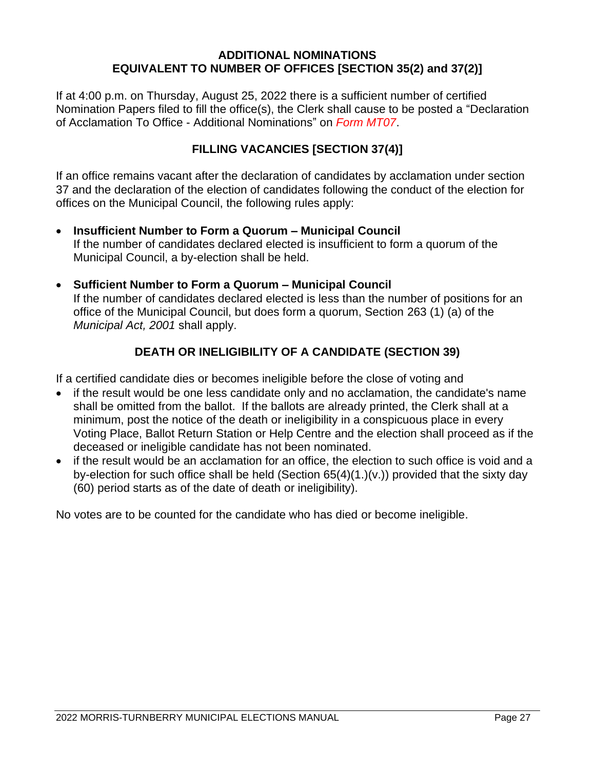#### **ADDITIONAL NOMINATIONS EQUIVALENT TO NUMBER OF OFFICES [SECTION 35(2) and 37(2)]**

If at 4:00 p.m. on Thursday, August 25, 2022 there is a sufficient number of certified Nomination Papers filed to fill the office(s), the Clerk shall cause to be posted a "Declaration of Acclamation To Office - Additional Nominations" on *Form MT07*.

#### **FILLING VACANCIES [SECTION 37(4)]**

If an office remains vacant after the declaration of candidates by acclamation under section 37 and the declaration of the election of candidates following the conduct of the election for offices on the Municipal Council, the following rules apply:

- **Insufficient Number to Form a Quorum – Municipal Council**  If the number of candidates declared elected is insufficient to form a quorum of the Municipal Council, a by-election shall be held.
- **Sufficient Number to Form a Quorum – Municipal Council**  If the number of candidates declared elected is less than the number of positions for an office of the Municipal Council, but does form a quorum, Section 263 (1) (a) of the *Municipal Act, 2001* shall apply.

#### **DEATH OR INELIGIBILITY OF A CANDIDATE (SECTION 39)**

If a certified candidate dies or becomes ineligible before the close of voting and

- if the result would be one less candidate only and no acclamation, the candidate's name shall be omitted from the ballot. If the ballots are already printed, the Clerk shall at a minimum, post the notice of the death or ineligibility in a conspicuous place in every Voting Place, Ballot Return Station or Help Centre and the election shall proceed as if the deceased or ineligible candidate has not been nominated.
- if the result would be an acclamation for an office, the election to such office is void and a by-election for such office shall be held (Section 65(4)(1.)(v.)) provided that the sixty day (60) period starts as of the date of death or ineligibility).

No votes are to be counted for the candidate who has died or become ineligible.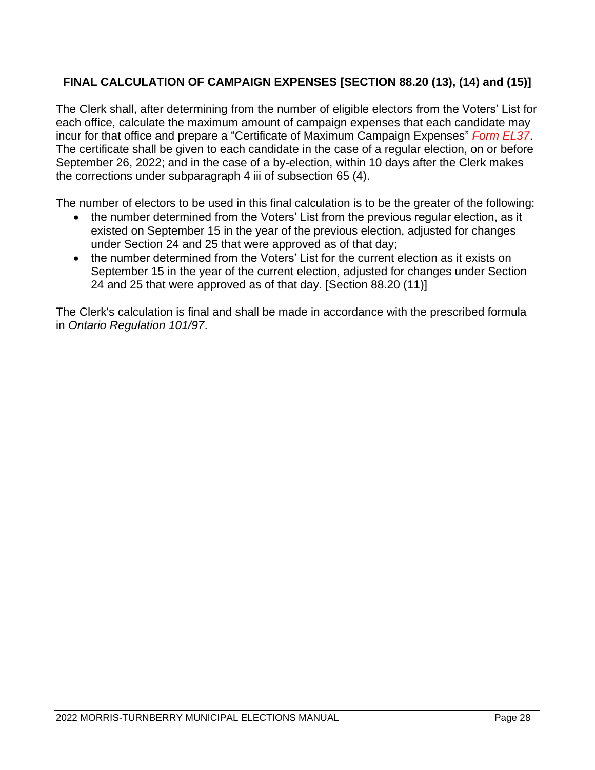#### **FINAL CALCULATION OF CAMPAIGN EXPENSES [SECTION 88.20 (13), (14) and (15)]**

The Clerk shall, after determining from the number of eligible electors from the Voters' List for each office, calculate the maximum amount of campaign expenses that each candidate may incur for that office and prepare a "Certificate of Maximum Campaign Expenses" *Form EL37*. The certificate shall be given to each candidate in the case of a regular election, on or before September 26, 2022; and in the case of a by-election, within 10 days after the Clerk makes the corrections under subparagraph 4 iii of subsection 65 (4).

The number of electors to be used in this final calculation is to be the greater of the following:

- the number determined from the Voters' List from the previous regular election, as it existed on September 15 in the year of the previous election, adjusted for changes under Section 24 and 25 that were approved as of that day;
- the number determined from the Voters' List for the current election as it exists on September 15 in the year of the current election, adjusted for changes under Section 24 and 25 that were approved as of that day. [Section 88.20 (11)]

The Clerk's calculation is final and shall be made in accordance with the prescribed formula in *Ontario Regulation 101/97*.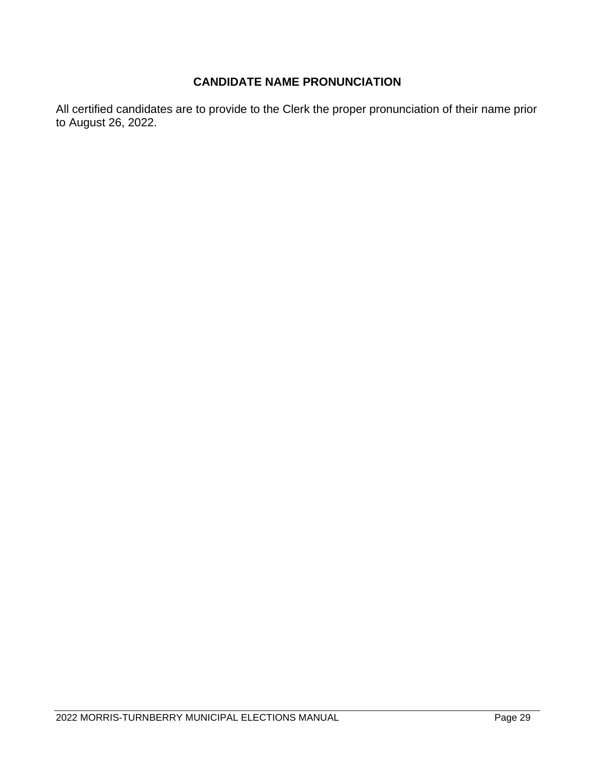#### **CANDIDATE NAME PRONUNCIATION**

All certified candidates are to provide to the Clerk the proper pronunciation of their name prior to August 26, 2022.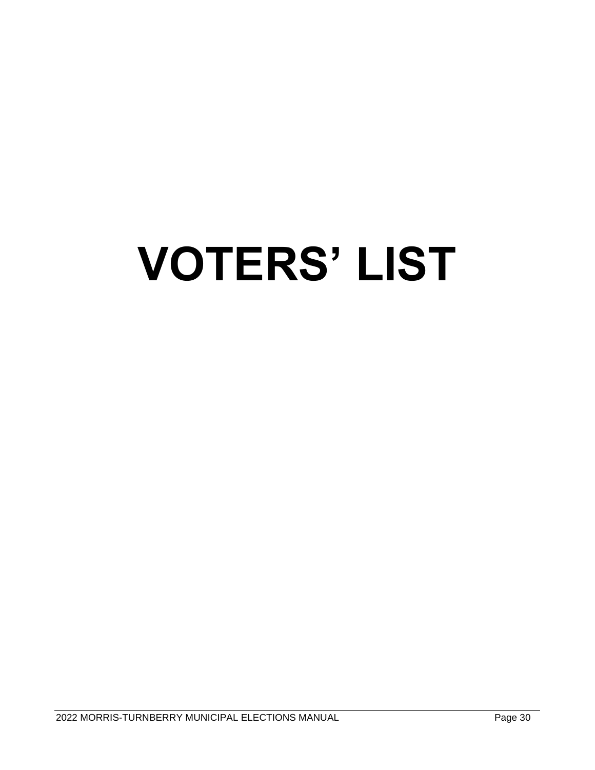# **VOTERS' LIST**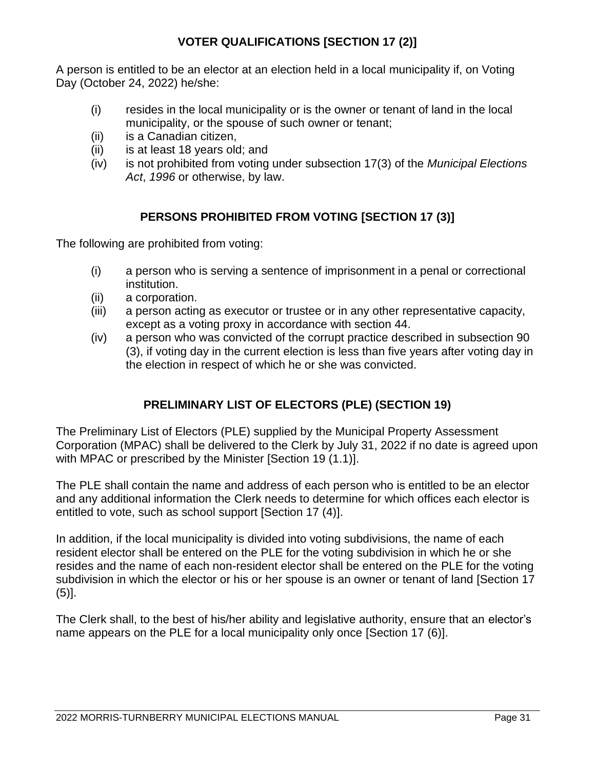#### **VOTER QUALIFICATIONS [SECTION 17 (2)]**

A person is entitled to be an elector at an election held in a local municipality if, on Voting Day (October 24, 2022) he/she:

- (i) resides in the local municipality or is the owner or tenant of land in the local municipality, or the spouse of such owner or tenant;
- (ii) is a Canadian citizen,
- (ii) is at least 18 years old; and
- (iv) is not prohibited from voting under subsection 17(3) of the *Municipal Elections Act*, *1996* or otherwise, by law.

#### **PERSONS PROHIBITED FROM VOTING [SECTION 17 (3)]**

The following are prohibited from voting:

- (i) a person who is serving a sentence of imprisonment in a penal or correctional institution.
- (ii) a corporation.
- (iii) a person acting as executor or trustee or in any other representative capacity, except as a voting proxy in accordance with section 44.
- (iv) a person who was convicted of the corrupt practice described in subsection 90 (3), if voting day in the current election is less than five years after voting day in the election in respect of which he or she was convicted.

#### **PRELIMINARY LIST OF ELECTORS (PLE) (SECTION 19)**

The Preliminary List of Electors (PLE) supplied by the Municipal Property Assessment Corporation (MPAC) shall be delivered to the Clerk by July 31, 2022 if no date is agreed upon with MPAC or prescribed by the Minister [Section 19 (1.1)].

The PLE shall contain the name and address of each person who is entitled to be an elector and any additional information the Clerk needs to determine for which offices each elector is entitled to vote, such as school support [Section 17 (4)].

In addition, if the local municipality is divided into voting subdivisions, the name of each resident elector shall be entered on the PLE for the voting subdivision in which he or she resides and the name of each non-resident elector shall be entered on the PLE for the voting subdivision in which the elector or his or her spouse is an owner or tenant of land [Section 17  $(5)$ ].

The Clerk shall, to the best of his/her ability and legislative authority, ensure that an elector's name appears on the PLE for a local municipality only once [Section 17 (6)].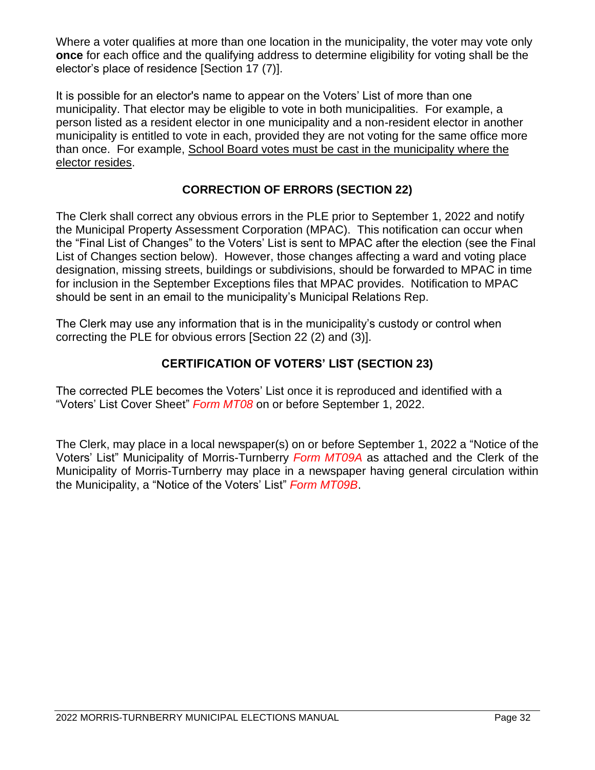Where a voter qualifies at more than one location in the municipality, the voter may vote only **once** for each office and the qualifying address to determine eligibility for voting shall be the elector's place of residence [Section 17 (7)].

It is possible for an elector's name to appear on the Voters' List of more than one municipality. That elector may be eligible to vote in both municipalities. For example, a person listed as a resident elector in one municipality and a non-resident elector in another municipality is entitled to vote in each, provided they are not voting for the same office more than once. For example, School Board votes must be cast in the municipality where the elector resides.

#### **CORRECTION OF ERRORS (SECTION 22)**

The Clerk shall correct any obvious errors in the PLE prior to September 1, 2022 and notify the Municipal Property Assessment Corporation (MPAC). This notification can occur when the "Final List of Changes" to the Voters' List is sent to MPAC after the election (see the Final List of Changes section below). However, those changes affecting a ward and voting place designation, missing streets, buildings or subdivisions, should be forwarded to MPAC in time for inclusion in the September Exceptions files that MPAC provides. Notification to MPAC should be sent in an email to the municipality's Municipal Relations Rep.

The Clerk may use any information that is in the municipality's custody or control when correcting the PLE for obvious errors [Section 22 (2) and (3)].

#### **CERTIFICATION OF VOTERS' LIST (SECTION 23)**

The corrected PLE becomes the Voters' List once it is reproduced and identified with a "Voters' List Cover Sheet" *Form MT08* on or before September 1, 2022.

The Clerk, may place in a local newspaper(s) on or before September 1, 2022 a "Notice of the Voters' List" Municipality of Morris-Turnberry *Form MT09A* as attached and the Clerk of the Municipality of Morris-Turnberry may place in a newspaper having general circulation within the Municipality, a "Notice of the Voters' List" *Form MT09B*.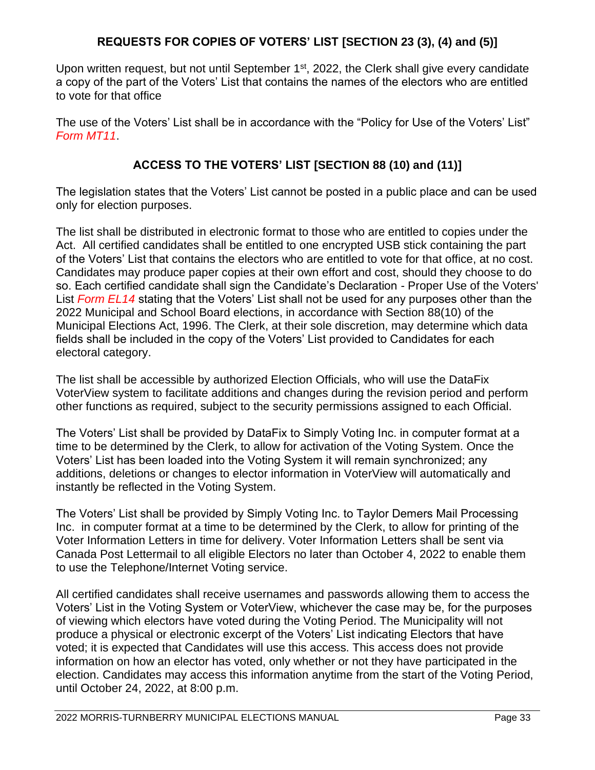#### **REQUESTS FOR COPIES OF VOTERS' LIST [SECTION 23 (3), (4) and (5)]**

Upon written request, but not until September 1<sup>st</sup>, 2022, the Clerk shall give every candidate a copy of the part of the Voters' List that contains the names of the electors who are entitled to vote for that office

The use of the Voters' List shall be in accordance with the "Policy for Use of the Voters' List" *Form MT11*.

#### **ACCESS TO THE VOTERS' LIST [SECTION 88 (10) and (11)]**

The legislation states that the Voters' List cannot be posted in a public place and can be used only for election purposes.

The list shall be distributed in electronic format to those who are entitled to copies under the Act. All certified candidates shall be entitled to one encrypted USB stick containing the part of the Voters' List that contains the electors who are entitled to vote for that office, at no cost. Candidates may produce paper copies at their own effort and cost, should they choose to do so. Each certified candidate shall sign the Candidate's Declaration - Proper Use of the Voters' List *Form EL14* stating that the Voters' List shall not be used for any purposes other than the 2022 Municipal and School Board elections, in accordance with Section 88(10) of the Municipal Elections Act, 1996. The Clerk, at their sole discretion, may determine which data fields shall be included in the copy of the Voters' List provided to Candidates for each electoral category.

The list shall be accessible by authorized Election Officials, who will use the DataFix VoterView system to facilitate additions and changes during the revision period and perform other functions as required, subject to the security permissions assigned to each Official.

The Voters' List shall be provided by DataFix to Simply Voting Inc. in computer format at a time to be determined by the Clerk, to allow for activation of the Voting System. Once the Voters' List has been loaded into the Voting System it will remain synchronized; any additions, deletions or changes to elector information in VoterView will automatically and instantly be reflected in the Voting System.

The Voters' List shall be provided by Simply Voting Inc. to Taylor Demers Mail Processing Inc. in computer format at a time to be determined by the Clerk, to allow for printing of the Voter Information Letters in time for delivery. Voter Information Letters shall be sent via Canada Post Lettermail to all eligible Electors no later than October 4, 2022 to enable them to use the Telephone/Internet Voting service.

All certified candidates shall receive usernames and passwords allowing them to access the Voters' List in the Voting System or VoterView, whichever the case may be, for the purposes of viewing which electors have voted during the Voting Period. The Municipality will not produce a physical or electronic excerpt of the Voters' List indicating Electors that have voted; it is expected that Candidates will use this access. This access does not provide information on how an elector has voted, only whether or not they have participated in the election. Candidates may access this information anytime from the start of the Voting Period, until October 24, 2022, at 8:00 p.m.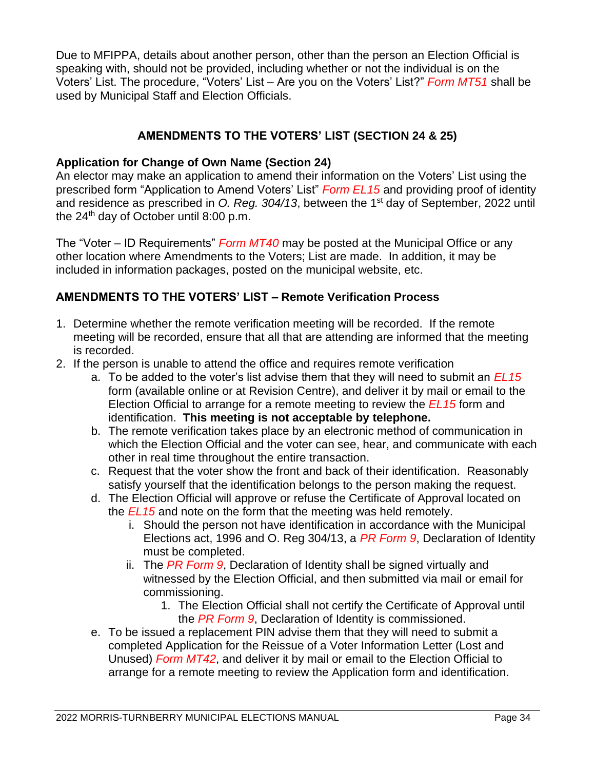Due to MFIPPA, details about another person, other than the person an Election Official is speaking with, should not be provided, including whether or not the individual is on the Voters' List. The procedure, "Voters' List – Are you on the Voters' List?" *Form MT51* shall be used by Municipal Staff and Election Officials.

#### **AMENDMENTS TO THE VOTERS' LIST (SECTION 24 & 25)**

#### **Application for Change of Own Name (Section 24)**

An elector may make an application to amend their information on the Voters' List using the prescribed form "Application to Amend Voters' List" *Form EL15* and providing proof of identity and residence as prescribed in O. Reg. 304/13, between the 1<sup>st</sup> day of September, 2022 until the 24 th day of October until 8:00 p.m.

The "Voter – ID Requirements" *Form MT40* may be posted at the Municipal Office or any other location where Amendments to the Voters; List are made. In addition, it may be included in information packages, posted on the municipal website, etc.

#### **AMENDMENTS TO THE VOTERS' LIST – Remote Verification Process**

- 1. Determine whether the remote verification meeting will be recorded. If the remote meeting will be recorded, ensure that all that are attending are informed that the meeting is recorded.
- 2. If the person is unable to attend the office and requires remote verification
	- a. To be added to the voter's list advise them that they will need to submit an *EL15*  form (available online or at Revision Centre), and deliver it by mail or email to the Election Official to arrange for a remote meeting to review the *EL15* form and identification. **This meeting is not acceptable by telephone.**
	- b. The remote verification takes place by an electronic method of communication in which the Election Official and the voter can see, hear, and communicate with each other in real time throughout the entire transaction.
	- c. Request that the voter show the front and back of their identification. Reasonably satisfy yourself that the identification belongs to the person making the request.
	- d. The Election Official will approve or refuse the Certificate of Approval located on the *EL15* and note on the form that the meeting was held remotely.
		- i. Should the person not have identification in accordance with the Municipal Elections act, 1996 and O. Reg 304/13, a *PR Form 9*, Declaration of Identity must be completed.
		- ii. The *PR Form 9*, Declaration of Identity shall be signed virtually and witnessed by the Election Official, and then submitted via mail or email for commissioning.
			- 1. The Election Official shall not certify the Certificate of Approval until the *PR Form 9*, Declaration of Identity is commissioned.
	- e. To be issued a replacement PIN advise them that they will need to submit a completed Application for the Reissue of a Voter Information Letter (Lost and Unused) *Form MT42*, and deliver it by mail or email to the Election Official to arrange for a remote meeting to review the Application form and identification.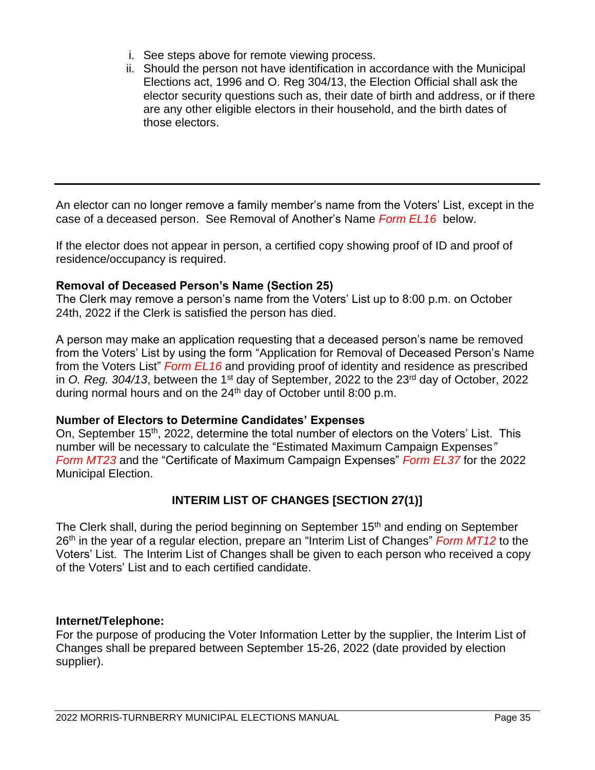- i. See steps above for remote viewing process.
- ii. Should the person not have identification in accordance with the Municipal Elections act, 1996 and O. Reg 304/13, the Election Official shall ask the elector security questions such as, their date of birth and address, or if there are any other eligible electors in their household, and the birth dates of those electors.

An elector can no longer remove a family member's name from the Voters' List, except in the case of a deceased person. See Removal of Another's Name *Form EL16* below.

If the elector does not appear in person, a certified copy showing proof of ID and proof of residence/occupancy is required.

#### **Removal of Deceased Person's Name (Section 25)**

The Clerk may remove a person's name from the Voters' List up to 8:00 p.m. on October 24th, 2022 if the Clerk is satisfied the person has died.

A person may make an application requesting that a deceased person's name be removed from the Voters' List by using the form "Application for Removal of Deceased Person's Name from the Voters List" *Form EL16* and providing proof of identity and residence as prescribed in O. Reg. 304/13, between the 1<sup>st</sup> day of September, 2022 to the 23<sup>rd</sup> day of October, 2022 during normal hours and on the 24<sup>th</sup> day of October until 8:00 p.m.

#### **Number of Electors to Determine Candidates' Expenses**

On, September 15<sup>th</sup>, 2022, determine the total number of electors on the Voters' List. This number will be necessary to calculate the "Estimated Maximum Campaign Expenses*" Form MT23* and the "Certificate of Maximum Campaign Expenses" *Form EL37* for the 2022 Municipal Election.

#### **INTERIM LIST OF CHANGES [SECTION 27(1)]**

The Clerk shall, during the period beginning on September 15<sup>th</sup> and ending on September 26<sup>th</sup> in the year of a regular election, prepare an "Interim List of Changes" *Form MT12* to the Voters' List. The Interim List of Changes shall be given to each person who received a copy of the Voters' List and to each certified candidate.

#### **Internet/Telephone:**

For the purpose of producing the Voter Information Letter by the supplier, the Interim List of Changes shall be prepared between September 15-26, 2022 (date provided by election supplier).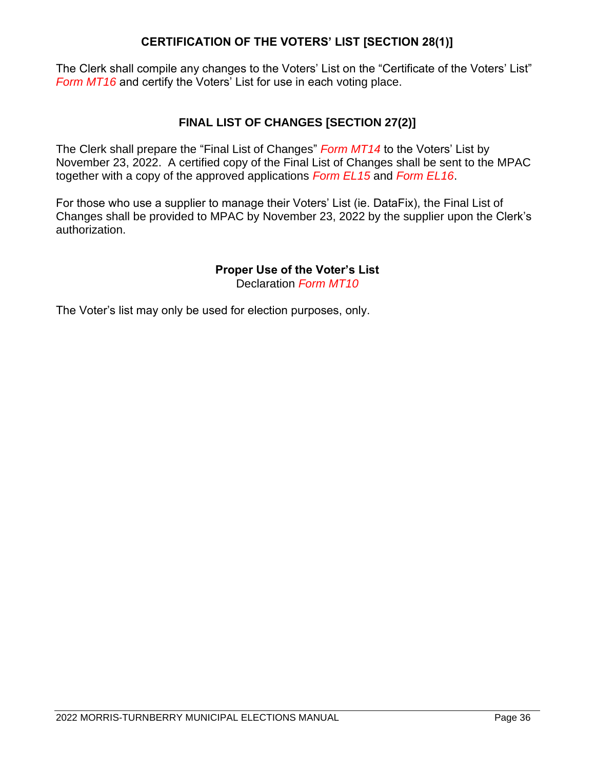#### **CERTIFICATION OF THE VOTERS' LIST [SECTION 28(1)]**

The Clerk shall compile any changes to the Voters' List on the "Certificate of the Voters' List" *Form MT16* and certify the Voters' List for use in each voting place.

#### **FINAL LIST OF CHANGES [SECTION 27(2)]**

The Clerk shall prepare the "Final List of Changes" *Form MT14* to the Voters' List by November 23, 2022. A certified copy of the Final List of Changes shall be sent to the MPAC together with a copy of the approved applications *Form EL15* and *Form EL16*.

For those who use a supplier to manage their Voters' List (ie. DataFix), the Final List of Changes shall be provided to MPAC by November 23, 2022 by the supplier upon the Clerk's authorization.

#### **Proper Use of the Voter's List**

Declaration *Form MT10*

The Voter's list may only be used for election purposes, only.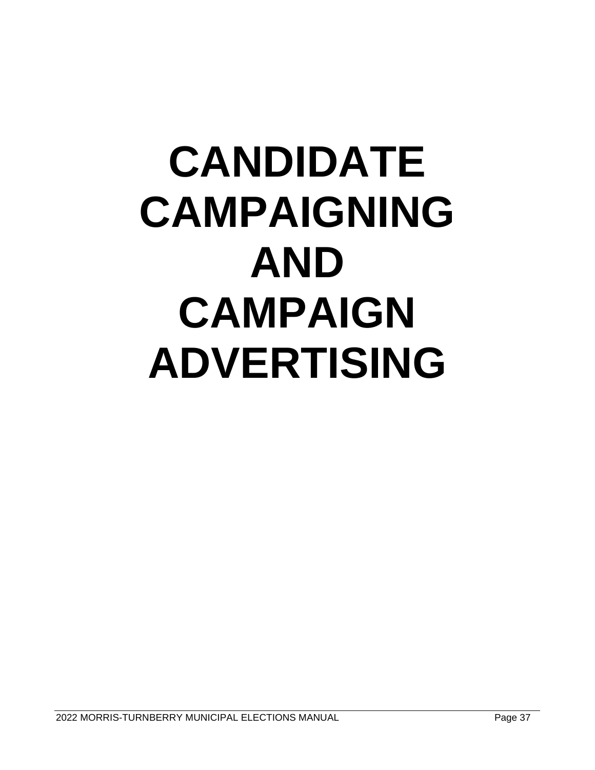### **CANDIDATE CAMPAIGNING AND CAMPAIGN ADVERTISING**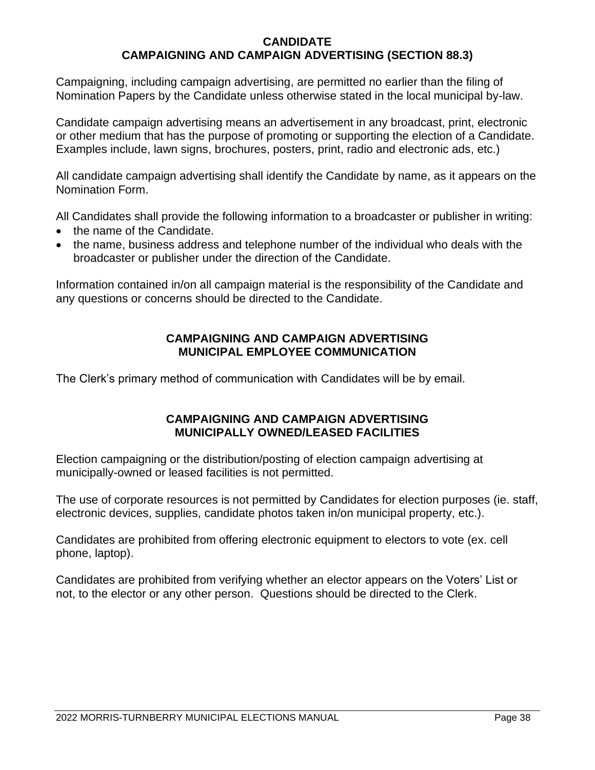#### **CANDIDATE CAMPAIGNING AND CAMPAIGN ADVERTISING (SECTION 88.3)**

Campaigning, including campaign advertising, are permitted no earlier than the filing of Nomination Papers by the Candidate unless otherwise stated in the local municipal by-law.

Candidate campaign advertising means an advertisement in any broadcast, print, electronic or other medium that has the purpose of promoting or supporting the election of a Candidate. Examples include, lawn signs, brochures, posters, print, radio and electronic ads, etc.)

All candidate campaign advertising shall identify the Candidate by name, as it appears on the Nomination Form.

All Candidates shall provide the following information to a broadcaster or publisher in writing:

- the name of the Candidate.
- the name, business address and telephone number of the individual who deals with the broadcaster or publisher under the direction of the Candidate.

Information contained in/on all campaign material is the responsibility of the Candidate and any questions or concerns should be directed to the Candidate.

#### **CAMPAIGNING AND CAMPAIGN ADVERTISING MUNICIPAL EMPLOYEE COMMUNICATION**

The Clerk's primary method of communication with Candidates will be by email.

#### **CAMPAIGNING AND CAMPAIGN ADVERTISING MUNICIPALLY OWNED/LEASED FACILITIES**

Election campaigning or the distribution/posting of election campaign advertising at municipally-owned or leased facilities is not permitted.

The use of corporate resources is not permitted by Candidates for election purposes (ie. staff, electronic devices, supplies, candidate photos taken in/on municipal property, etc.).

Candidates are prohibited from offering electronic equipment to electors to vote (ex. cell phone, laptop).

Candidates are prohibited from verifying whether an elector appears on the Voters' List or not, to the elector or any other person. Questions should be directed to the Clerk.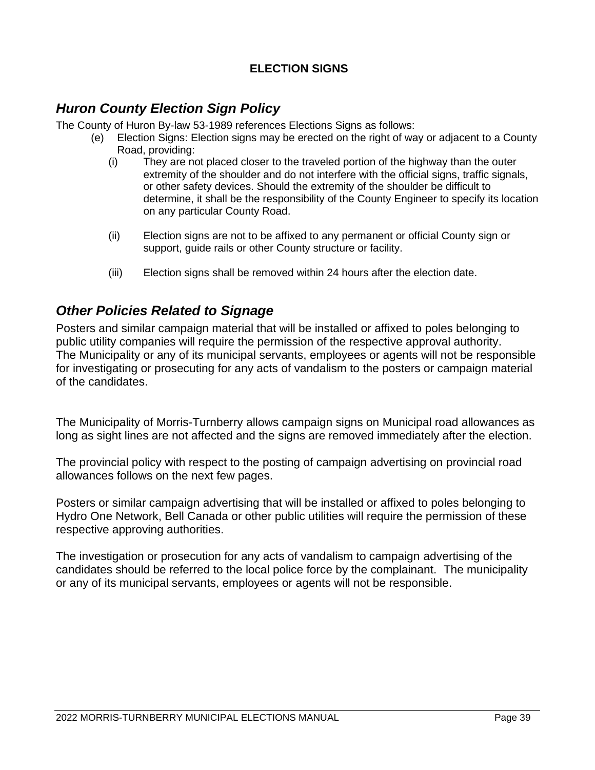#### **ELECTION SIGNS**

#### *Huron County Election Sign Policy*

The County of Huron By-law 53-1989 references Elections Signs as follows:

- (e) Election Signs: Election signs may be erected on the right of way or adjacent to a County Road, providing:
	- (i) They are not placed closer to the traveled portion of the highway than the outer extremity of the shoulder and do not interfere with the official signs, traffic signals, or other safety devices. Should the extremity of the shoulder be difficult to determine, it shall be the responsibility of the County Engineer to specify its location on any particular County Road.
	- (ii) Election signs are not to be affixed to any permanent or official County sign or support, guide rails or other County structure or facility.
	- (iii) Election signs shall be removed within 24 hours after the election date.

#### *Other Policies Related to Signage*

Posters and similar campaign material that will be installed or affixed to poles belonging to public utility companies will require the permission of the respective approval authority. The Municipality or any of its municipal servants, employees or agents will not be responsible for investigating or prosecuting for any acts of vandalism to the posters or campaign material of the candidates.

The Municipality of Morris-Turnberry allows campaign signs on Municipal road allowances as long as sight lines are not affected and the signs are removed immediately after the election.

The provincial policy with respect to the posting of campaign advertising on provincial road allowances follows on the next few pages.

Posters or similar campaign advertising that will be installed or affixed to poles belonging to Hydro One Network, Bell Canada or other public utilities will require the permission of these respective approving authorities.

The investigation or prosecution for any acts of vandalism to campaign advertising of the candidates should be referred to the local police force by the complainant. The municipality or any of its municipal servants, employees or agents will not be responsible.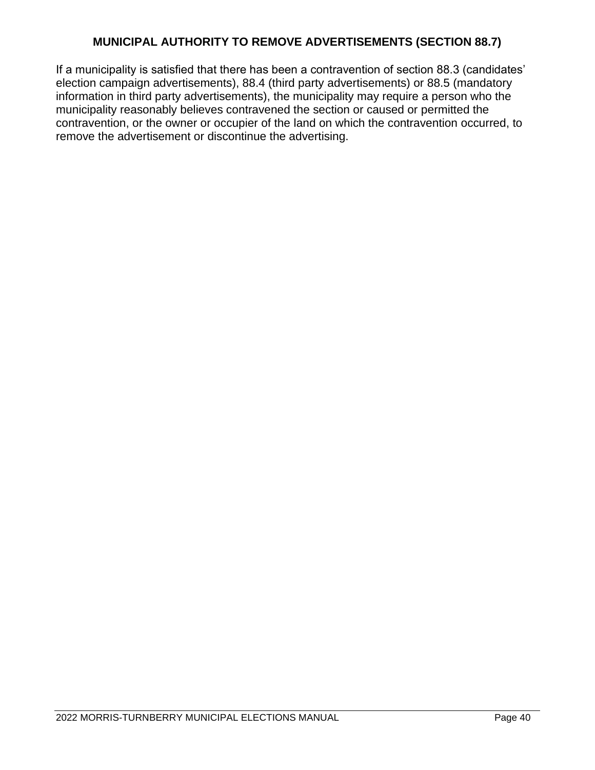#### **MUNICIPAL AUTHORITY TO REMOVE ADVERTISEMENTS (SECTION 88.7)**

If a municipality is satisfied that there has been a contravention of section 88.3 (candidates' election campaign advertisements), 88.4 (third party advertisements) or 88.5 (mandatory information in third party advertisements), the municipality may require a person who the municipality reasonably believes contravened the section or caused or permitted the contravention, or the owner or occupier of the land on which the contravention occurred, to remove the advertisement or discontinue the advertising.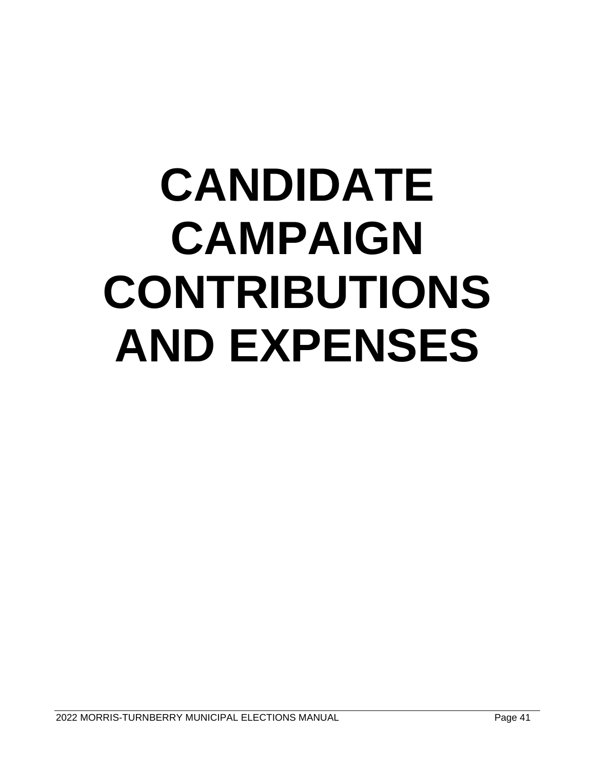## **CANDIDATE CAMPAIGN CONTRIBUTIONS AND EXPENSES**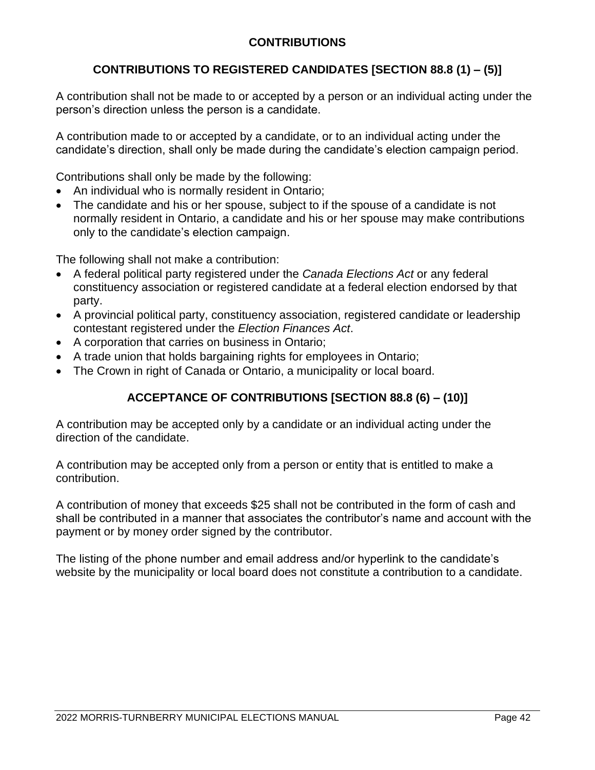#### **CONTRIBUTIONS**

#### **CONTRIBUTIONS TO REGISTERED CANDIDATES [SECTION 88.8 (1) – (5)]**

A contribution shall not be made to or accepted by a person or an individual acting under the person's direction unless the person is a candidate.

A contribution made to or accepted by a candidate, or to an individual acting under the candidate's direction, shall only be made during the candidate's election campaign period.

Contributions shall only be made by the following:

- An individual who is normally resident in Ontario;
- The candidate and his or her spouse, subject to if the spouse of a candidate is not normally resident in Ontario, a candidate and his or her spouse may make contributions only to the candidate's election campaign.

The following shall not make a contribution:

- A federal political party registered under the *Canada Elections Act* or any federal constituency association or registered candidate at a federal election endorsed by that party.
- A provincial political party, constituency association, registered candidate or leadership contestant registered under the *Election Finances Act*.
- A corporation that carries on business in Ontario;
- A trade union that holds bargaining rights for employees in Ontario;
- The Crown in right of Canada or Ontario, a municipality or local board.

#### **ACCEPTANCE OF CONTRIBUTIONS [SECTION 88.8 (6) – (10)]**

A contribution may be accepted only by a candidate or an individual acting under the direction of the candidate.

A contribution may be accepted only from a person or entity that is entitled to make a contribution.

A contribution of money that exceeds \$25 shall not be contributed in the form of cash and shall be contributed in a manner that associates the contributor's name and account with the payment or by money order signed by the contributor.

The listing of the phone number and email address and/or hyperlink to the candidate's website by the municipality or local board does not constitute a contribution to a candidate.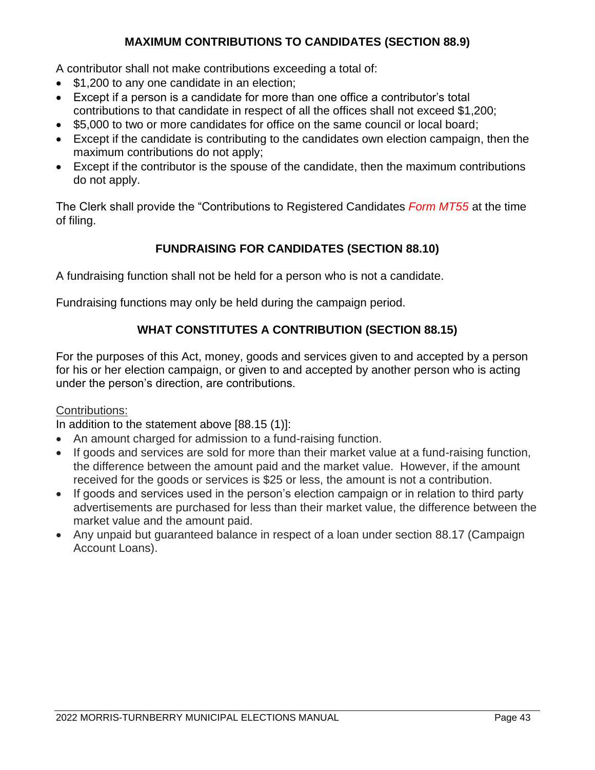#### **MAXIMUM CONTRIBUTIONS TO CANDIDATES (SECTION 88.9)**

A contributor shall not make contributions exceeding a total of:

- \$1,200 to any one candidate in an election:
- Except if a person is a candidate for more than one office a contributor's total contributions to that candidate in respect of all the offices shall not exceed \$1,200;
- \$5,000 to two or more candidates for office on the same council or local board;
- Except if the candidate is contributing to the candidates own election campaign, then the maximum contributions do not apply;
- Except if the contributor is the spouse of the candidate, then the maximum contributions do not apply.

The Clerk shall provide the "Contributions to Registered Candidates *Form MT55* at the time of filing.

#### **FUNDRAISING FOR CANDIDATES (SECTION 88.10)**

A fundraising function shall not be held for a person who is not a candidate.

Fundraising functions may only be held during the campaign period.

#### **WHAT CONSTITUTES A CONTRIBUTION (SECTION 88.15)**

For the purposes of this Act, money, goods and services given to and accepted by a person for his or her election campaign, or given to and accepted by another person who is acting under the person's direction, are contributions.

#### Contributions:

In addition to the statement above [88.15 (1)]:

- An amount charged for admission to a fund-raising function.
- If goods and services are sold for more than their market value at a fund-raising function, the difference between the amount paid and the market value. However, if the amount received for the goods or services is \$25 or less, the amount is not a contribution.
- If goods and services used in the person's election campaign or in relation to third party advertisements are purchased for less than their market value, the difference between the market value and the amount paid.
- Any unpaid but guaranteed balance in respect of a loan under section 88.17 (Campaign Account Loans).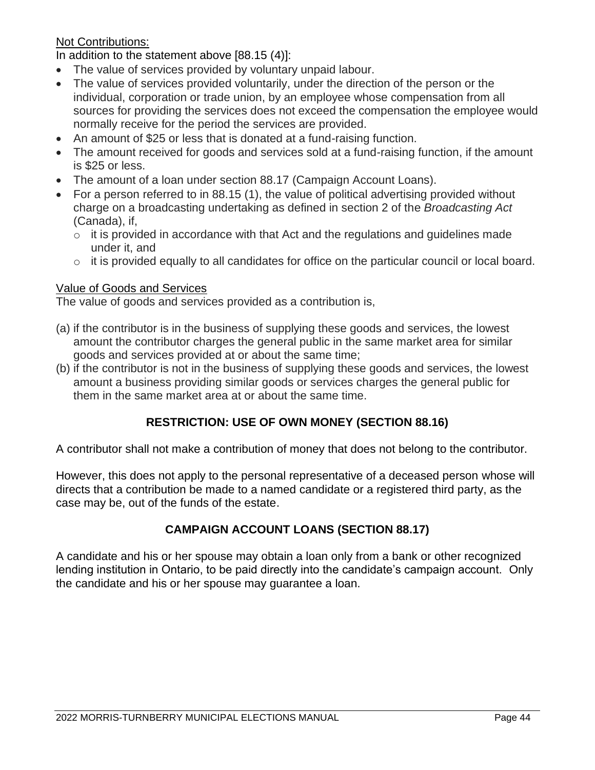#### Not Contributions:

In addition to the statement above [88.15 (4)]:

- The value of services provided by voluntary unpaid labour.
- The value of services provided voluntarily, under the direction of the person or the individual, corporation or trade union, by an employee whose compensation from all sources for providing the services does not exceed the compensation the employee would normally receive for the period the services are provided.
- An amount of \$25 or less that is donated at a fund-raising function.
- The amount received for goods and services sold at a fund-raising function, if the amount is \$25 or less.
- The amount of a loan under section 88.17 (Campaign Account Loans).
- For a person referred to in 88.15 (1), the value of political advertising provided without charge on a broadcasting undertaking as defined in section 2 of the *Broadcasting Act* (Canada), if,
	- $\circ$  it is provided in accordance with that Act and the regulations and guidelines made under it, and
	- o it is provided equally to all candidates for office on the particular council or local board.

#### Value of Goods and Services

The value of goods and services provided as a contribution is,

- (a) if the contributor is in the business of supplying these goods and services, the lowest amount the contributor charges the general public in the same market area for similar goods and services provided at or about the same time;
- (b) if the contributor is not in the business of supplying these goods and services, the lowest amount a business providing similar goods or services charges the general public for them in the same market area at or about the same time.

#### **RESTRICTION: USE OF OWN MONEY (SECTION 88.16)**

A contributor shall not make a contribution of money that does not belong to the contributor.

However, this does not apply to the personal representative of a deceased person whose will directs that a contribution be made to a named candidate or a registered third party, as the case may be, out of the funds of the estate.

#### **CAMPAIGN ACCOUNT LOANS (SECTION 88.17)**

A candidate and his or her spouse may obtain a loan only from a bank or other recognized lending institution in Ontario, to be paid directly into the candidate's campaign account. Only the candidate and his or her spouse may guarantee a loan.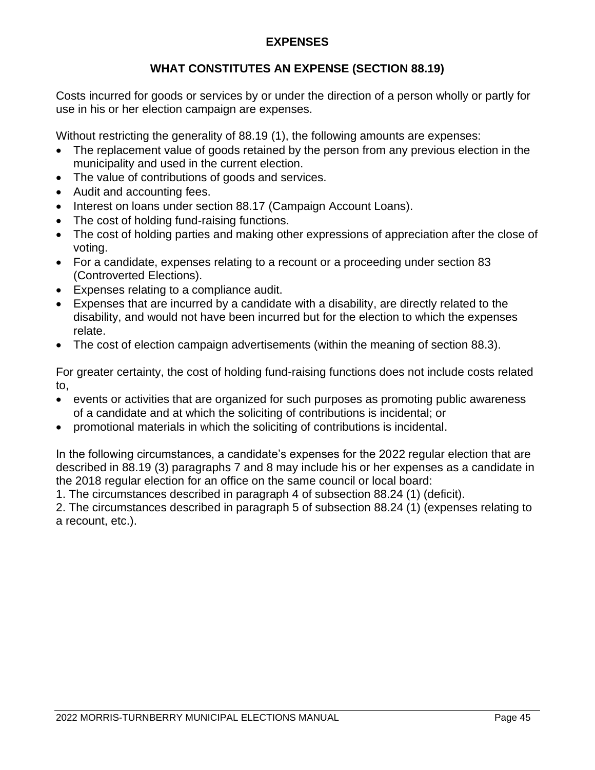#### **EXPENSES**

#### **WHAT CONSTITUTES AN EXPENSE (SECTION 88.19)**

Costs incurred for goods or services by or under the direction of a person wholly or partly for use in his or her election campaign are expenses.

Without restricting the generality of 88.19 (1), the following amounts are expenses:

- The replacement value of goods retained by the person from any previous election in the municipality and used in the current election.
- The value of contributions of goods and services.
- Audit and accounting fees.
- Interest on loans under section 88.17 (Campaign Account Loans).
- The cost of holding fund-raising functions.
- The cost of holding parties and making other expressions of appreciation after the close of voting.
- For a candidate, expenses relating to a recount or a proceeding under section 83 (Controverted Elections).
- Expenses relating to a compliance audit.
- Expenses that are incurred by a candidate with a disability, are directly related to the disability, and would not have been incurred but for the election to which the expenses relate.
- The cost of election campaign advertisements (within the meaning of section 88.3).

For greater certainty, the cost of holding fund-raising functions does not include costs related to,

- events or activities that are organized for such purposes as promoting public awareness of a candidate and at which the soliciting of contributions is incidental; or
- promotional materials in which the soliciting of contributions is incidental.

In the following circumstances, a candidate's expenses for the 2022 regular election that are described in 88.19 (3) paragraphs 7 and 8 may include his or her expenses as a candidate in the 2018 regular election for an office on the same council or local board:

1. The circumstances described in paragraph 4 of subsection 88.24 (1) (deficit).

2. The circumstances described in paragraph 5 of subsection 88.24 (1) (expenses relating to a recount, etc.).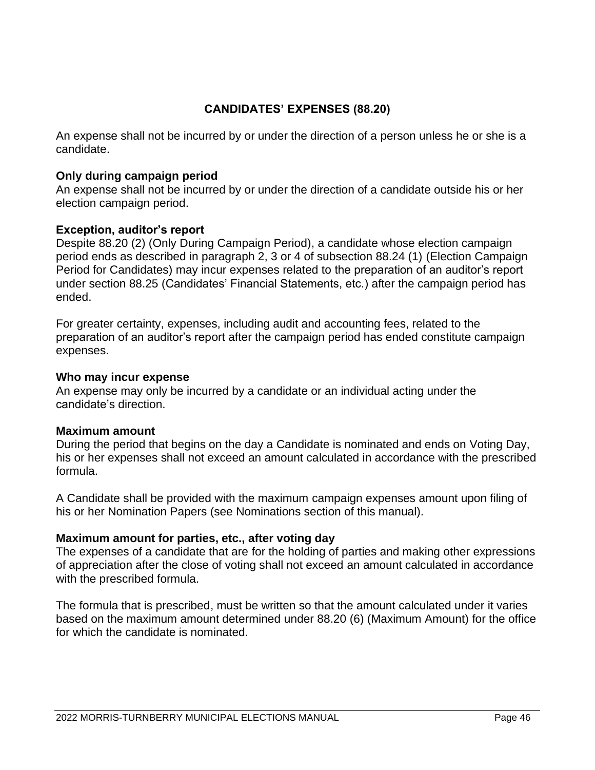#### **CANDIDATES' EXPENSES (88.20)**

An expense shall not be incurred by or under the direction of a person unless he or she is a candidate.

#### **Only during campaign period**

An expense shall not be incurred by or under the direction of a candidate outside his or her election campaign period.

#### **Exception, auditor's report**

Despite 88.20 (2) (Only During Campaign Period), a candidate whose election campaign period ends as described in paragraph 2, 3 or 4 of subsection 88.24 (1) (Election Campaign Period for Candidates) may incur expenses related to the preparation of an auditor's report under section 88.25 (Candidates' Financial Statements, etc.) after the campaign period has ended.

For greater certainty, expenses, including audit and accounting fees, related to the preparation of an auditor's report after the campaign period has ended constitute campaign expenses.

#### **Who may incur expense**

An expense may only be incurred by a candidate or an individual acting under the candidate's direction.

#### **Maximum amount**

During the period that begins on the day a Candidate is nominated and ends on Voting Day, his or her expenses shall not exceed an amount calculated in accordance with the prescribed formula.

A Candidate shall be provided with the maximum campaign expenses amount upon filing of his or her Nomination Papers (see Nominations section of this manual).

#### **Maximum amount for parties, etc., after voting day**

The expenses of a candidate that are for the holding of parties and making other expressions of appreciation after the close of voting shall not exceed an amount calculated in accordance with the prescribed formula.

The formula that is prescribed, must be written so that the amount calculated under it varies based on the maximum amount determined under 88.20 (6) (Maximum Amount) for the office for which the candidate is nominated.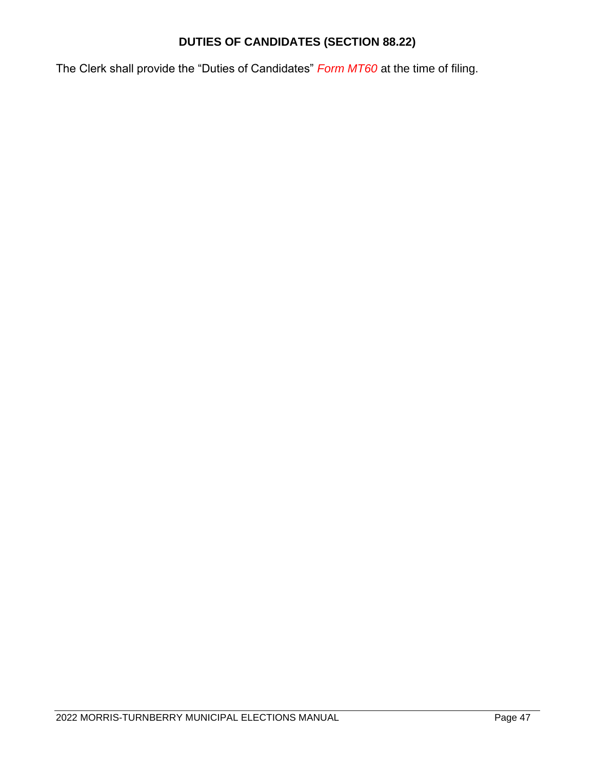#### **DUTIES OF CANDIDATES (SECTION 88.22)**

The Clerk shall provide the "Duties of Candidates" *Form MT60* at the time of filing.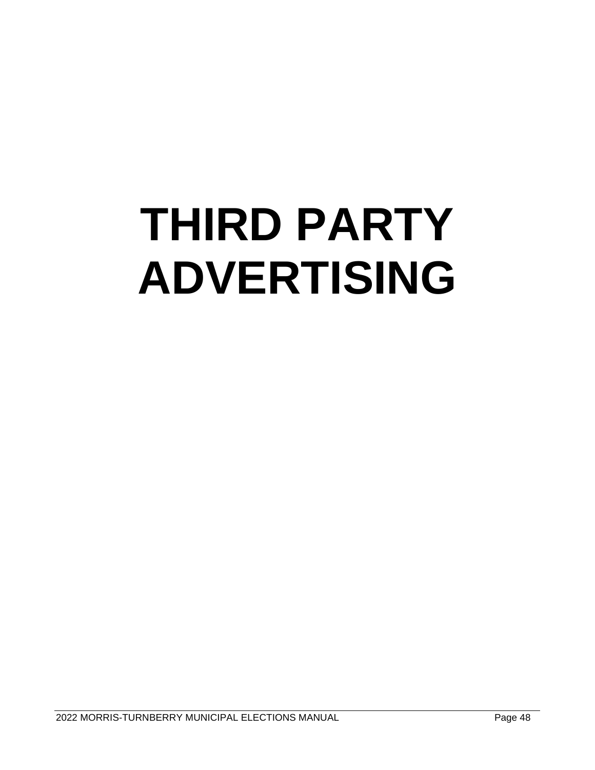# **THIRD PARTY ADVERTISING**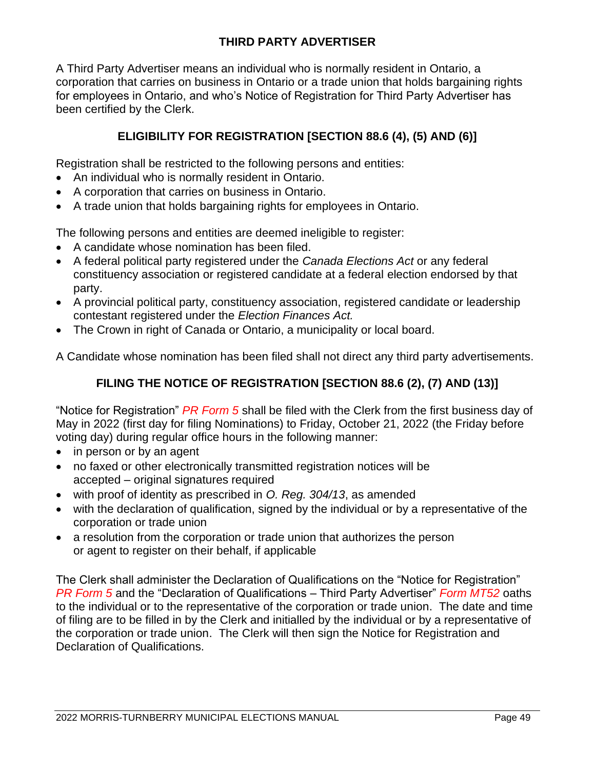#### **THIRD PARTY ADVERTISER**

A Third Party Advertiser means an individual who is normally resident in Ontario, a corporation that carries on business in Ontario or a trade union that holds bargaining rights for employees in Ontario, and who's Notice of Registration for Third Party Advertiser has been certified by the Clerk.

#### **ELIGIBILITY FOR REGISTRATION [SECTION 88.6 (4), (5) AND (6)]**

Registration shall be restricted to the following persons and entities:

- An individual who is normally resident in Ontario.
- A corporation that carries on business in Ontario.
- A trade union that holds bargaining rights for employees in Ontario.

The following persons and entities are deemed ineligible to register:

- A candidate whose nomination has been filed.
- A federal political party registered under the *Canada Elections Act* or any federal constituency association or registered candidate at a federal election endorsed by that party.
- A provincial political party, constituency association, registered candidate or leadership contestant registered under the *Election Finances Act.*
- The Crown in right of Canada or Ontario, a municipality or local board.

A Candidate whose nomination has been filed shall not direct any third party advertisements.

#### **FILING THE NOTICE OF REGISTRATION [SECTION 88.6 (2), (7) AND (13)]**

"Notice for Registration" *PR Form 5* shall be filed with the Clerk from the first business day of May in 2022 (first day for filing Nominations) to Friday, October 21, 2022 (the Friday before voting day) during regular office hours in the following manner:

- in person or by an agent
- no faxed or other electronically transmitted registration notices will be accepted – original signatures required
- with proof of identity as prescribed in *O. Reg. 304/13*, as amended
- with the declaration of qualification, signed by the individual or by a representative of the corporation or trade union
- a resolution from the corporation or trade union that authorizes the person or agent to register on their behalf, if applicable

The Clerk shall administer the Declaration of Qualifications on the "Notice for Registration" *PR Form 5* and the "Declaration of Qualifications – Third Party Advertiser" *Form MT52* oaths to the individual or to the representative of the corporation or trade union. The date and time of filing are to be filled in by the Clerk and initialled by the individual or by a representative of the corporation or trade union. The Clerk will then sign the Notice for Registration and Declaration of Qualifications.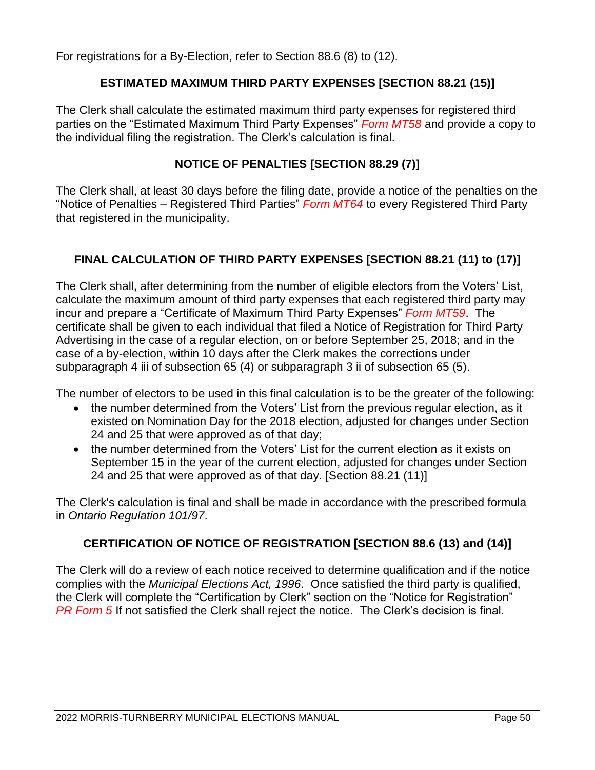For registrations for a By-Election, refer to Section 88.6 (8) to (12).

#### **ESTIMATED MAXIMUM THIRD PARTY EXPENSES [SECTION 88.21 (15)]**

The Clerk shall calculate the estimated maximum third party expenses for registered third parties on the "Estimated Maximum Third Party Expenses" *Form MT58* and provide a copy to the individual filing the registration. The Clerk's calculation is final.

#### **NOTICE OF PENALTIES [SECTION 88.29 (7)]**

The Clerk shall, at least 30 days before the filing date, provide a notice of the penalties on the "Notice of Penalties – Registered Third Parties" *Form MT64* to every Registered Third Party that registered in the municipality.

#### **FINAL CALCULATION OF THIRD PARTY EXPENSES [SECTION 88.21 (11) to (17)]**

The Clerk shall, after determining from the number of eligible electors from the Voters' List, calculate the maximum amount of third party expenses that each registered third party may incur and prepare a "Certificate of Maximum Third Party Expenses" *Form MT59*. The certificate shall be given to each individual that filed a Notice of Registration for Third Party Advertising in the case of a regular election, on or before September 25, 2018; and in the case of a by-election, within 10 days after the Clerk makes the corrections under subparagraph 4 iii of subsection 65 (4) or subparagraph 3 ii of subsection 65 (5).

The number of electors to be used in this final calculation is to be the greater of the following:

- the number determined from the Voters' List from the previous regular election, as it existed on Nomination Day for the 2018 election, adjusted for changes under Section 24 and 25 that were approved as of that day;
- the number determined from the Voters' List for the current election as it exists on September 15 in the year of the current election, adjusted for changes under Section 24 and 25 that were approved as of that day. [Section 88.21 (11)]

The Clerk's calculation is final and shall be made in accordance with the prescribed formula in *Ontario Regulation 101/97*.

#### **CERTIFICATION OF NOTICE OF REGISTRATION [SECTION 88.6 (13) and (14)]**

The Clerk will do a review of each notice received to determine qualification and if the notice complies with the *Municipal Elections Act, 1996*. Once satisfied the third party is qualified, the Clerk will complete the "Certification by Clerk" section on the "Notice for Registration" **PR Form 5** If not satisfied the Clerk shall reject the notice. The Clerk's decision is final.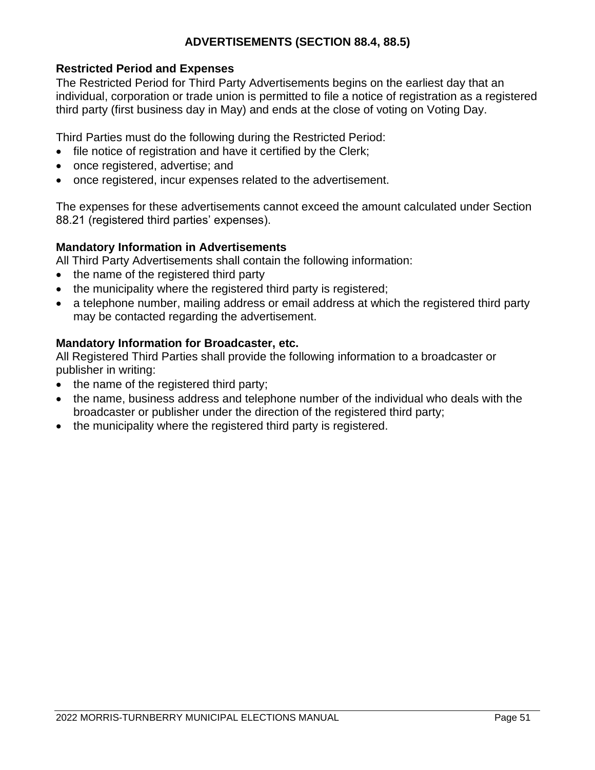#### **ADVERTISEMENTS (SECTION 88.4, 88.5)**

#### **Restricted Period and Expenses**

The Restricted Period for Third Party Advertisements begins on the earliest day that an individual, corporation or trade union is permitted to file a notice of registration as a registered third party (first business day in May) and ends at the close of voting on Voting Day.

Third Parties must do the following during the Restricted Period:

- file notice of registration and have it certified by the Clerk:
- once registered, advertise; and
- once registered, incur expenses related to the advertisement.

The expenses for these advertisements cannot exceed the amount calculated under Section 88.21 (registered third parties' expenses).

#### **Mandatory Information in Advertisements**

All Third Party Advertisements shall contain the following information:

- the name of the registered third party
- the municipality where the registered third party is registered;
- a telephone number, mailing address or email address at which the registered third party may be contacted regarding the advertisement.

#### **Mandatory Information for Broadcaster, etc.**

All Registered Third Parties shall provide the following information to a broadcaster or publisher in writing:

- the name of the registered third party;
- the name, business address and telephone number of the individual who deals with the broadcaster or publisher under the direction of the registered third party;
- the municipality where the registered third party is registered.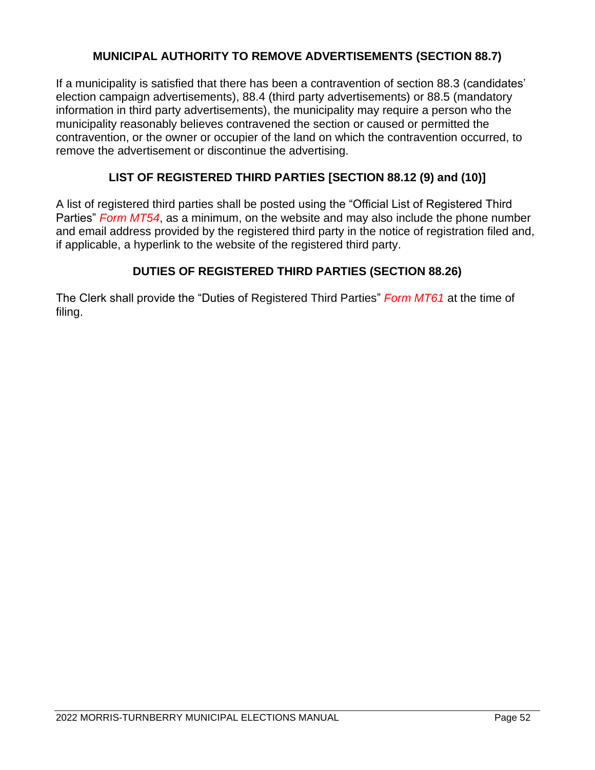#### **MUNICIPAL AUTHORITY TO REMOVE ADVERTISEMENTS (SECTION 88.7)**

If a municipality is satisfied that there has been a contravention of section 88.3 (candidates' election campaign advertisements), 88.4 (third party advertisements) or 88.5 (mandatory information in third party advertisements), the municipality may require a person who the municipality reasonably believes contravened the section or caused or permitted the contravention, or the owner or occupier of the land on which the contravention occurred, to remove the advertisement or discontinue the advertising.

#### **LIST OF REGISTERED THIRD PARTIES [SECTION 88.12 (9) and (10)]**

A list of registered third parties shall be posted using the "Official List of Registered Third Parties" *Form MT54*, as a minimum, on the website and may also include the phone number and email address provided by the registered third party in the notice of registration filed and, if applicable, a hyperlink to the website of the registered third party.

#### **DUTIES OF REGISTERED THIRD PARTIES (SECTION 88.26)**

The Clerk shall provide the "Duties of Registered Third Parties" *Form MT61* at the time of filing.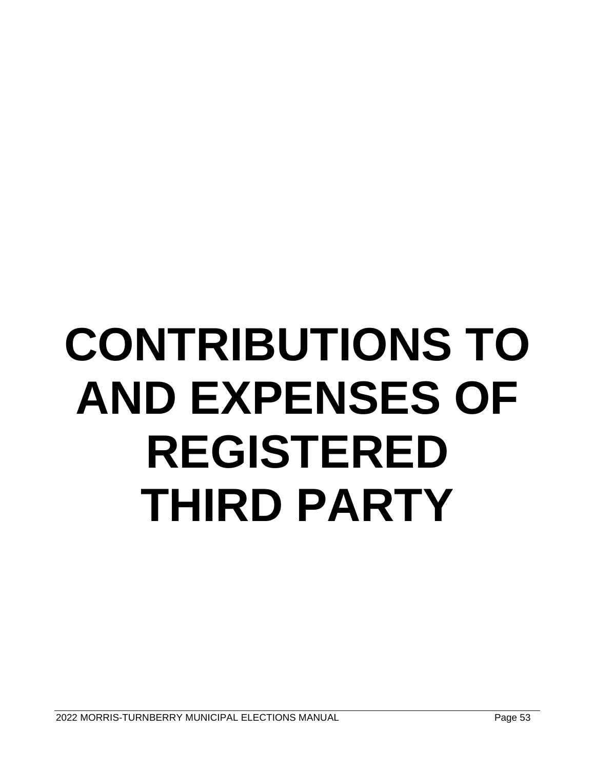# **CONTRIBUTIONS TO AND EXPENSES OF REGISTERED THIRD PARTY**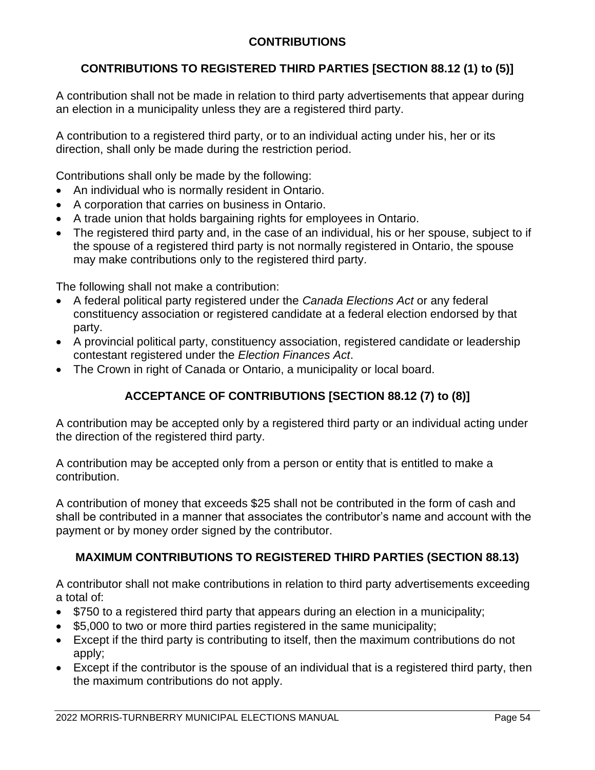## **CONTRIBUTIONS**

## **CONTRIBUTIONS TO REGISTERED THIRD PARTIES [SECTION 88.12 (1) to (5)]**

A contribution shall not be made in relation to third party advertisements that appear during an election in a municipality unless they are a registered third party.

A contribution to a registered third party, or to an individual acting under his, her or its direction, shall only be made during the restriction period.

Contributions shall only be made by the following:

- An individual who is normally resident in Ontario.
- A corporation that carries on business in Ontario.
- A trade union that holds bargaining rights for employees in Ontario.
- The registered third party and, in the case of an individual, his or her spouse, subject to if the spouse of a registered third party is not normally registered in Ontario, the spouse may make contributions only to the registered third party.

The following shall not make a contribution:

- A federal political party registered under the *Canada Elections Act* or any federal constituency association or registered candidate at a federal election endorsed by that party.
- A provincial political party, constituency association, registered candidate or leadership contestant registered under the *Election Finances Act*.
- The Crown in right of Canada or Ontario, a municipality or local board.

## **ACCEPTANCE OF CONTRIBUTIONS [SECTION 88.12 (7) to (8)]**

A contribution may be accepted only by a registered third party or an individual acting under the direction of the registered third party.

A contribution may be accepted only from a person or entity that is entitled to make a contribution.

A contribution of money that exceeds \$25 shall not be contributed in the form of cash and shall be contributed in a manner that associates the contributor's name and account with the payment or by money order signed by the contributor.

## **MAXIMUM CONTRIBUTIONS TO REGISTERED THIRD PARTIES (SECTION 88.13)**

A contributor shall not make contributions in relation to third party advertisements exceeding a total of:

- \$750 to a registered third party that appears during an election in a municipality;
- \$5,000 to two or more third parties registered in the same municipality;
- Except if the third party is contributing to itself, then the maximum contributions do not apply;
- Except if the contributor is the spouse of an individual that is a registered third party, then the maximum contributions do not apply.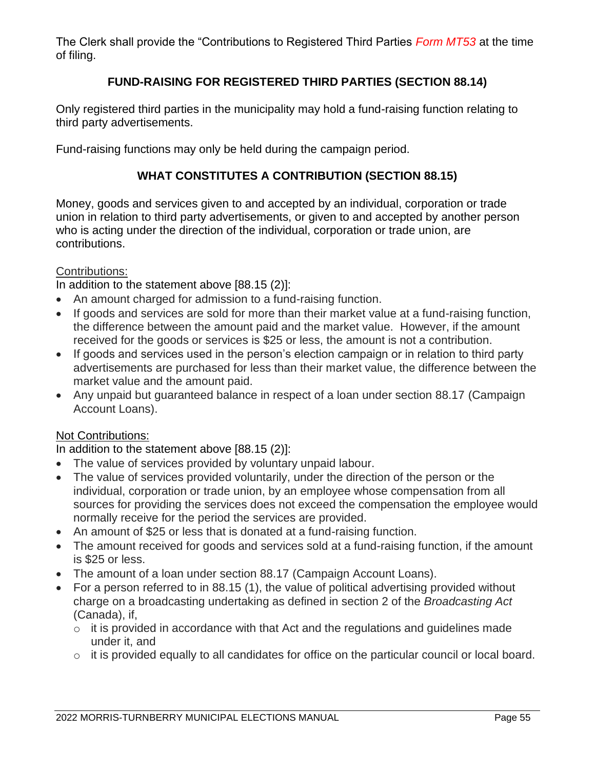The Clerk shall provide the "Contributions to Registered Third Parties *Form MT53* at the time of filing.

## **FUND-RAISING FOR REGISTERED THIRD PARTIES (SECTION 88.14)**

Only registered third parties in the municipality may hold a fund-raising function relating to third party advertisements.

Fund-raising functions may only be held during the campaign period.

## **WHAT CONSTITUTES A CONTRIBUTION (SECTION 88.15)**

Money, goods and services given to and accepted by an individual, corporation or trade union in relation to third party advertisements, or given to and accepted by another person who is acting under the direction of the individual, corporation or trade union, are contributions.

## Contributions:

In addition to the statement above [88.15 (2)]:

- An amount charged for admission to a fund-raising function.
- If goods and services are sold for more than their market value at a fund-raising function, the difference between the amount paid and the market value. However, if the amount received for the goods or services is \$25 or less, the amount is not a contribution.
- If goods and services used in the person's election campaign or in relation to third party advertisements are purchased for less than their market value, the difference between the market value and the amount paid.
- Any unpaid but guaranteed balance in respect of a loan under section 88.17 (Campaign Account Loans).

### Not Contributions:

In addition to the statement above [88.15 (2)]:

- The value of services provided by voluntary unpaid labour.
- The value of services provided voluntarily, under the direction of the person or the individual, corporation or trade union, by an employee whose compensation from all sources for providing the services does not exceed the compensation the employee would normally receive for the period the services are provided.
- An amount of \$25 or less that is donated at a fund-raising function.
- The amount received for goods and services sold at a fund-raising function, if the amount is \$25 or less.
- The amount of a loan under section 88.17 (Campaign Account Loans).
- For a person referred to in 88.15 (1), the value of political advertising provided without charge on a broadcasting undertaking as defined in section 2 of the *Broadcasting Act* (Canada), if,
	- $\circ$  it is provided in accordance with that Act and the regulations and guidelines made under it, and
	- o it is provided equally to all candidates for office on the particular council or local board.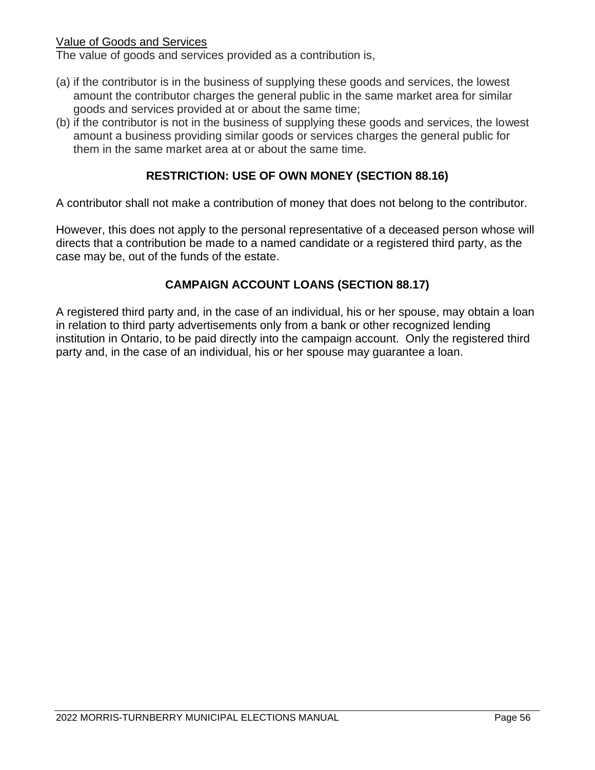## Value of Goods and Services

The value of goods and services provided as a contribution is,

- (a) if the contributor is in the business of supplying these goods and services, the lowest amount the contributor charges the general public in the same market area for similar goods and services provided at or about the same time;
- (b) if the contributor is not in the business of supplying these goods and services, the lowest amount a business providing similar goods or services charges the general public for them in the same market area at or about the same time.

## **RESTRICTION: USE OF OWN MONEY (SECTION 88.16)**

A contributor shall not make a contribution of money that does not belong to the contributor.

However, this does not apply to the personal representative of a deceased person whose will directs that a contribution be made to a named candidate or a registered third party, as the case may be, out of the funds of the estate.

## **CAMPAIGN ACCOUNT LOANS (SECTION 88.17)**

A registered third party and, in the case of an individual, his or her spouse, may obtain a loan in relation to third party advertisements only from a bank or other recognized lending institution in Ontario, to be paid directly into the campaign account. Only the registered third party and, in the case of an individual, his or her spouse may guarantee a loan.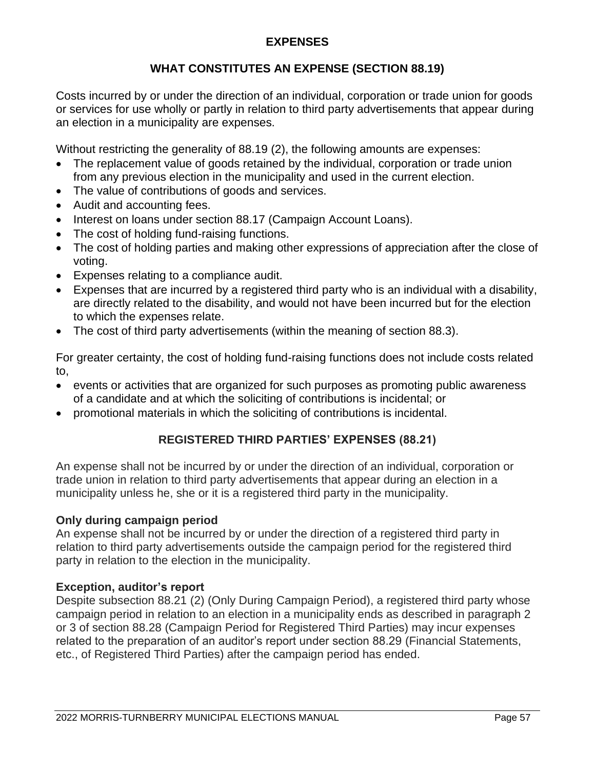## **EXPENSES**

## **WHAT CONSTITUTES AN EXPENSE (SECTION 88.19)**

Costs incurred by or under the direction of an individual, corporation or trade union for goods or services for use wholly or partly in relation to third party advertisements that appear during an election in a municipality are expenses.

Without restricting the generality of 88.19 (2), the following amounts are expenses:

- The replacement value of goods retained by the individual, corporation or trade union from any previous election in the municipality and used in the current election.
- The value of contributions of goods and services.
- Audit and accounting fees.
- Interest on loans under section 88.17 (Campaign Account Loans).
- The cost of holding fund-raising functions.
- The cost of holding parties and making other expressions of appreciation after the close of voting.
- Expenses relating to a compliance audit.
- Expenses that are incurred by a registered third party who is an individual with a disability, are directly related to the disability, and would not have been incurred but for the election to which the expenses relate.
- The cost of third party advertisements (within the meaning of section 88.3).

For greater certainty, the cost of holding fund-raising functions does not include costs related to,

- events or activities that are organized for such purposes as promoting public awareness of a candidate and at which the soliciting of contributions is incidental; or
- promotional materials in which the soliciting of contributions is incidental.

## **REGISTERED THIRD PARTIES' EXPENSES (88.21)**

An expense shall not be incurred by or under the direction of an individual, corporation or trade union in relation to third party advertisements that appear during an election in a municipality unless he, she or it is a registered third party in the municipality.

### **Only during campaign period**

An expense shall not be incurred by or under the direction of a registered third party in relation to third party advertisements outside the campaign period for the registered third party in relation to the election in the municipality.

### **Exception, auditor's report**

Despite subsection 88.21 (2) (Only During Campaign Period), a registered third party whose campaign period in relation to an election in a municipality ends as described in paragraph 2 or 3 of section 88.28 (Campaign Period for Registered Third Parties) may incur expenses related to the preparation of an auditor's report under section 88.29 (Financial Statements, etc., of Registered Third Parties) after the campaign period has ended.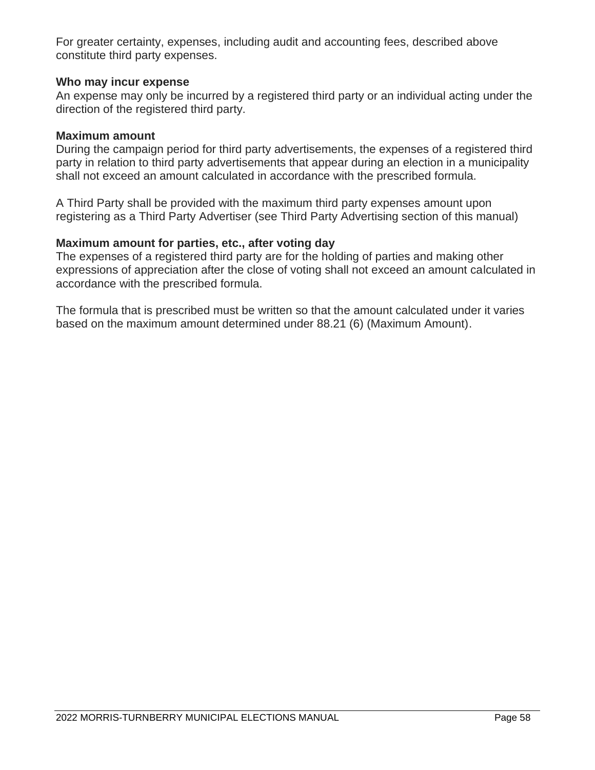For greater certainty, expenses, including audit and accounting fees, described above constitute third party expenses.

## **Who may incur expense**

An expense may only be incurred by a registered third party or an individual acting under the direction of the registered third party.

### **Maximum amount**

During the campaign period for third party advertisements, the expenses of a registered third party in relation to third party advertisements that appear during an election in a municipality shall not exceed an amount calculated in accordance with the prescribed formula.

A Third Party shall be provided with the maximum third party expenses amount upon registering as a Third Party Advertiser (see Third Party Advertising section of this manual)

### **Maximum amount for parties, etc., after voting day**

The expenses of a registered third party are for the holding of parties and making other expressions of appreciation after the close of voting shall not exceed an amount calculated in accordance with the prescribed formula.

The formula that is prescribed must be written so that the amount calculated under it varies based on the maximum amount determined under 88.21 (6) (Maximum Amount).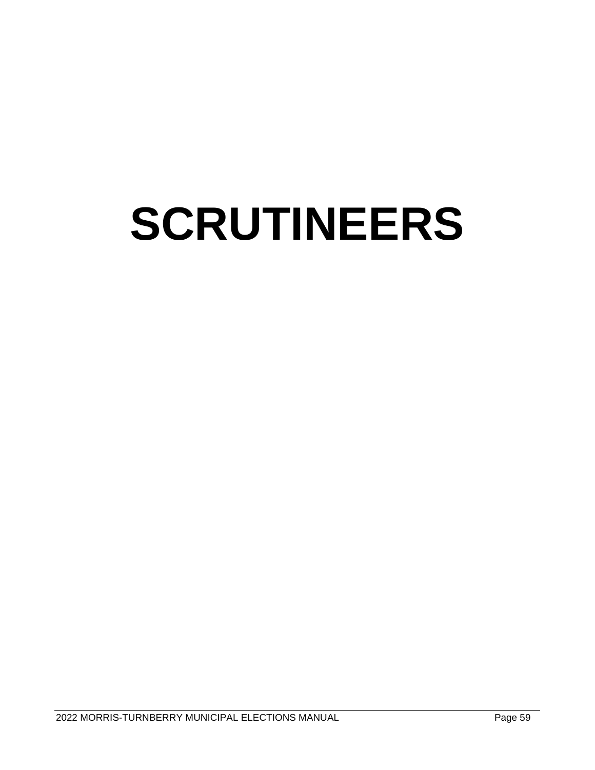## **SCRUTINEERS**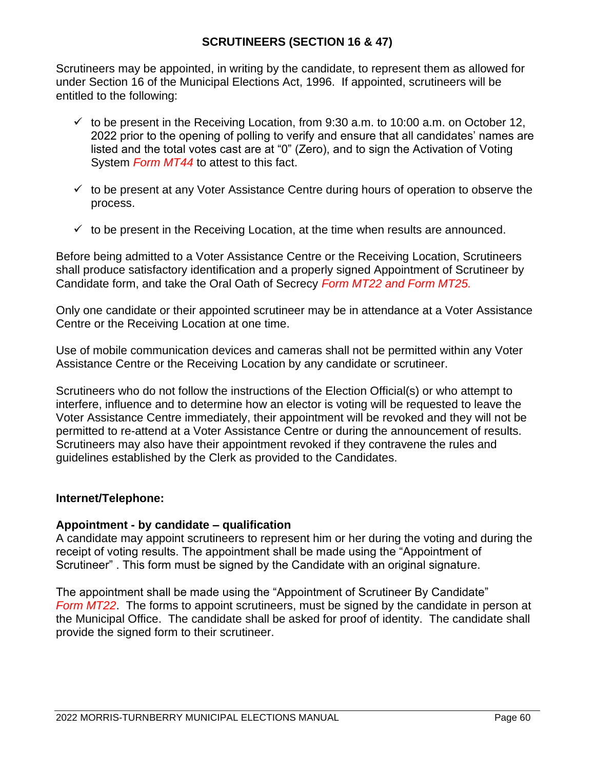## **SCRUTINEERS (SECTION 16 & 47)**

Scrutineers may be appointed, in writing by the candidate, to represent them as allowed for under Section 16 of the Municipal Elections Act, 1996. If appointed, scrutineers will be entitled to the following:

- $\checkmark$  to be present in the Receiving Location, from 9:30 a.m. to 10:00 a.m. on October 12, 2022 prior to the opening of polling to verify and ensure that all candidates' names are listed and the total votes cast are at "0" (Zero), and to sign the Activation of Voting System *Form MT44* to attest to this fact.
- $\checkmark$  to be present at any Voter Assistance Centre during hours of operation to observe the process.
- $\checkmark$  to be present in the Receiving Location, at the time when results are announced.

Before being admitted to a Voter Assistance Centre or the Receiving Location, Scrutineers shall produce satisfactory identification and a properly signed Appointment of Scrutineer by Candidate form, and take the Oral Oath of Secrecy *Form MT22 and Form MT25.*

Only one candidate or their appointed scrutineer may be in attendance at a Voter Assistance Centre or the Receiving Location at one time.

Use of mobile communication devices and cameras shall not be permitted within any Voter Assistance Centre or the Receiving Location by any candidate or scrutineer.

Scrutineers who do not follow the instructions of the Election Official(s) or who attempt to interfere, influence and to determine how an elector is voting will be requested to leave the Voter Assistance Centre immediately, their appointment will be revoked and they will not be permitted to re-attend at a Voter Assistance Centre or during the announcement of results. Scrutineers may also have their appointment revoked if they contravene the rules and guidelines established by the Clerk as provided to the Candidates.

### **Internet/Telephone:**

### **Appointment - by candidate – qualification**

A candidate may appoint scrutineers to represent him or her during the voting and during the receipt of voting results. The appointment shall be made using the "Appointment of Scrutineer" . This form must be signed by the Candidate with an original signature.

The appointment shall be made using the "Appointment of Scrutineer By Candidate" *Form MT22*. The forms to appoint scrutineers, must be signed by the candidate in person at the Municipal Office. The candidate shall be asked for proof of identity. The candidate shall provide the signed form to their scrutineer.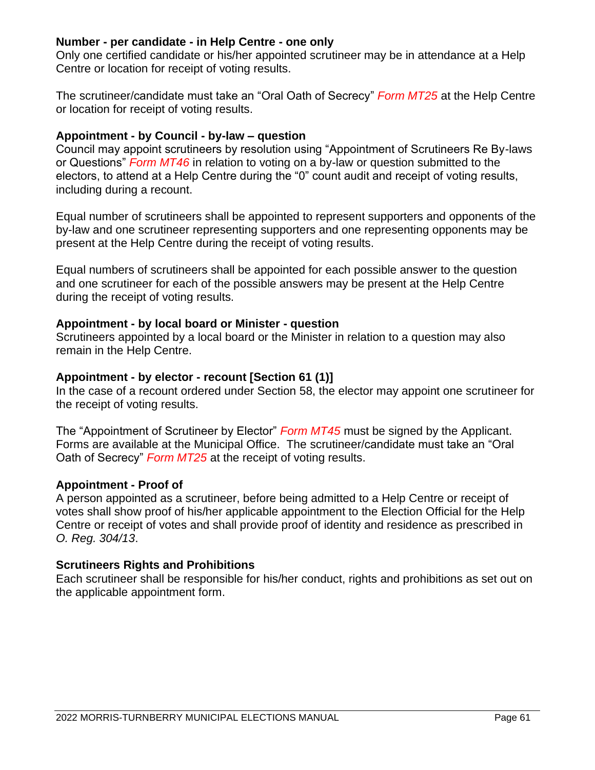### **Number - per candidate - in Help Centre - one only**

Only one certified candidate or his/her appointed scrutineer may be in attendance at a Help Centre or location for receipt of voting results.

The scrutineer/candidate must take an "Oral Oath of Secrecy" *Form MT25* at the Help Centre or location for receipt of voting results.

## **Appointment - by Council - by-law – question**

Council may appoint scrutineers by resolution using "Appointment of Scrutineers Re By-laws or Questions" *Form MT46* in relation to voting on a by-law or question submitted to the electors, to attend at a Help Centre during the "0" count audit and receipt of voting results, including during a recount.

Equal number of scrutineers shall be appointed to represent supporters and opponents of the by-law and one scrutineer representing supporters and one representing opponents may be present at the Help Centre during the receipt of voting results.

Equal numbers of scrutineers shall be appointed for each possible answer to the question and one scrutineer for each of the possible answers may be present at the Help Centre during the receipt of voting results.

## **Appointment - by local board or Minister - question**

Scrutineers appointed by a local board or the Minister in relation to a question may also remain in the Help Centre.

## **Appointment - by elector - recount [Section 61 (1)]**

In the case of a recount ordered under Section 58, the elector may appoint one scrutineer for the receipt of voting results.

The "Appointment of Scrutineer by Elector" *Form MT45* must be signed by the Applicant. Forms are available at the Municipal Office. The scrutineer/candidate must take an "Oral Oath of Secrecy" *Form MT25* at the receipt of voting results.

### **Appointment - Proof of**

A person appointed as a scrutineer, before being admitted to a Help Centre or receipt of votes shall show proof of his/her applicable appointment to the Election Official for the Help Centre or receipt of votes and shall provide proof of identity and residence as prescribed in *O. Reg. 304/13*.

## **Scrutineers Rights and Prohibitions**

Each scrutineer shall be responsible for his/her conduct, rights and prohibitions as set out on the applicable appointment form.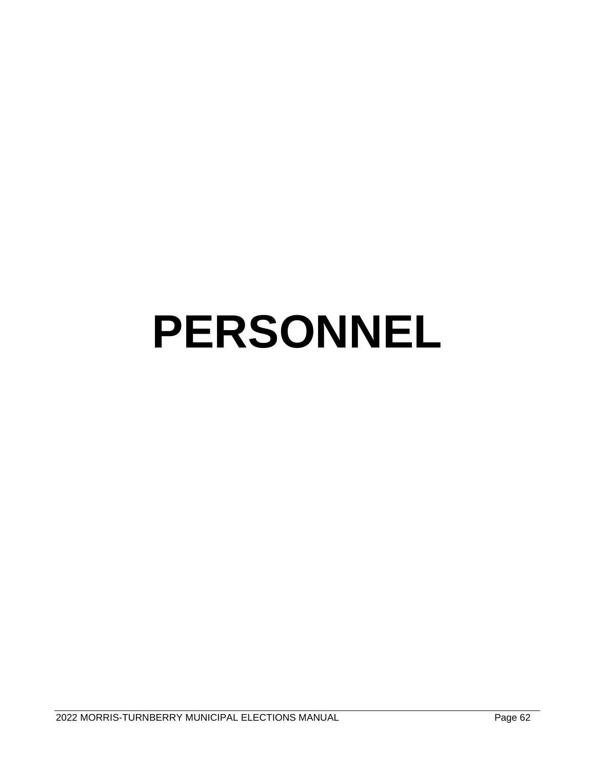## **PERSONNEL**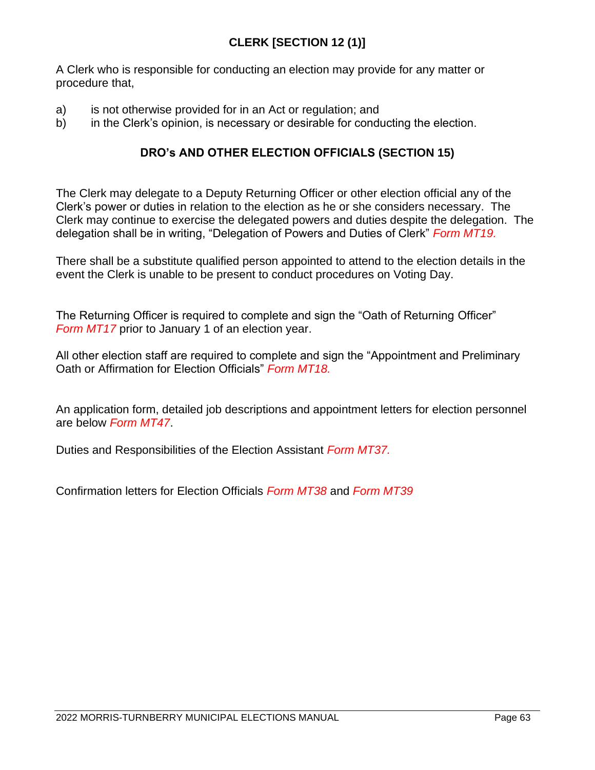A Clerk who is responsible for conducting an election may provide for any matter or procedure that,

- a) is not otherwise provided for in an Act or regulation; and
- b) in the Clerk's opinion, is necessary or desirable for conducting the election.

## **DRO's AND OTHER ELECTION OFFICIALS (SECTION 15)**

The Clerk may delegate to a Deputy Returning Officer or other election official any of the Clerk's power or duties in relation to the election as he or she considers necessary. The Clerk may continue to exercise the delegated powers and duties despite the delegation. The delegation shall be in writing, "Delegation of Powers and Duties of Clerk" *Form MT19.*

There shall be a substitute qualified person appointed to attend to the election details in the event the Clerk is unable to be present to conduct procedures on Voting Day.

The Returning Officer is required to complete and sign the "Oath of Returning Officer" *Form MT17* prior to January 1 of an election year.

All other election staff are required to complete and sign the "Appointment and Preliminary Oath or Affirmation for Election Officials" *Form MT18.*

An application form, detailed job descriptions and appointment letters for election personnel are below *Form MT47*.

Duties and Responsibilities of the Election Assistant *Form MT37.*

Confirmation letters for Election Officials *Form MT38* and *Form MT39*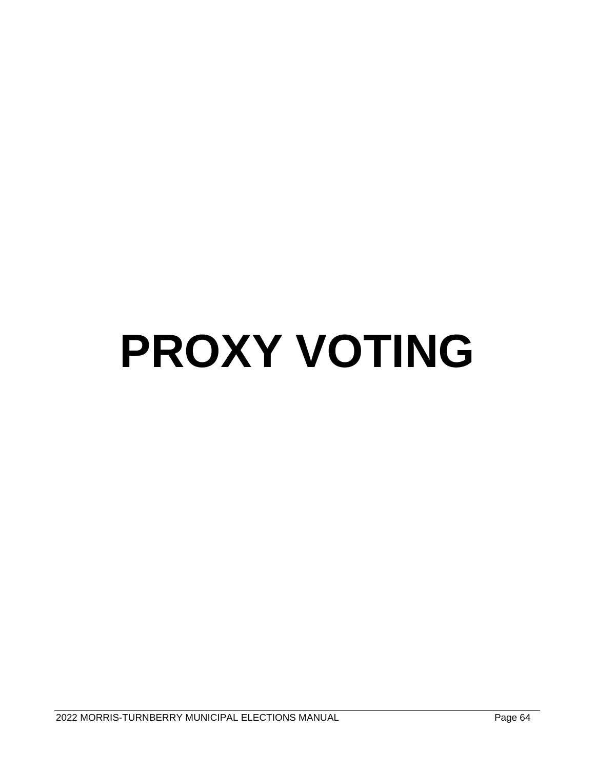## **PROXY VOTING**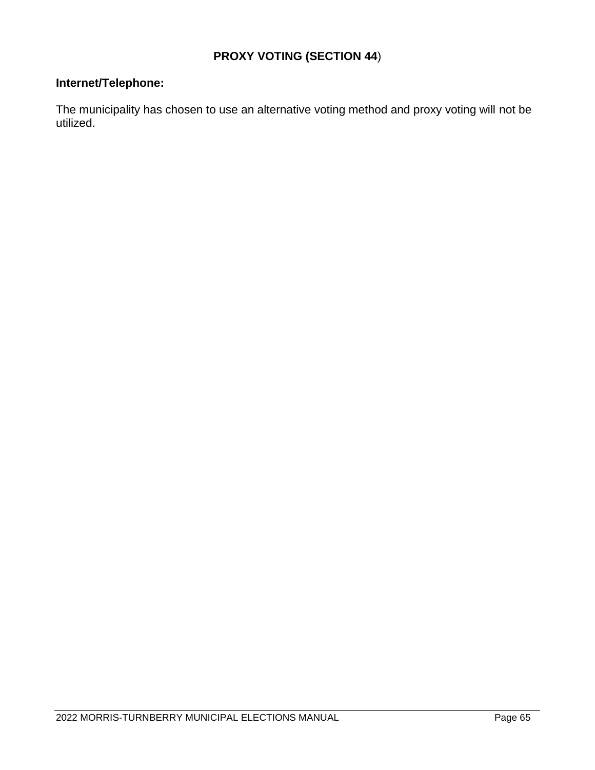## **PROXY VOTING (SECTION 44**)

## **Internet/Telephone:**

The municipality has chosen to use an alternative voting method and proxy voting will not be utilized.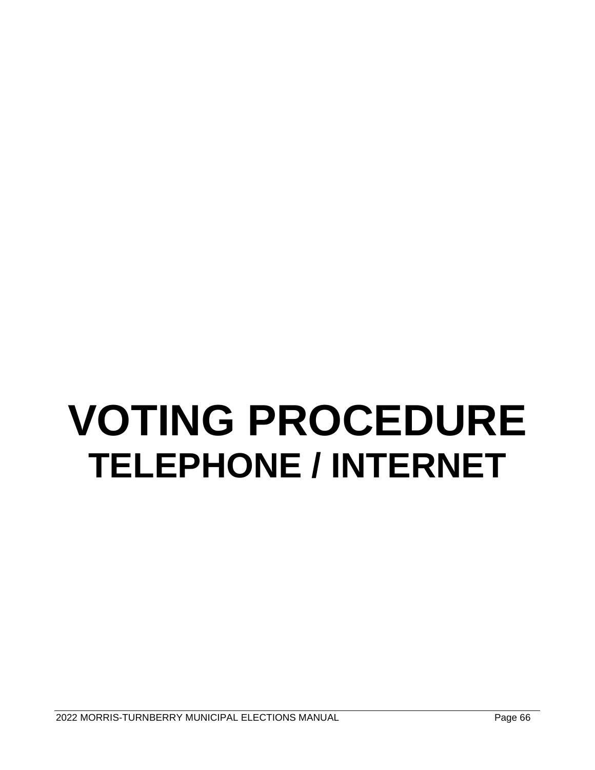## **VOTING PROCEDURE TELEPHONE / INTERNET**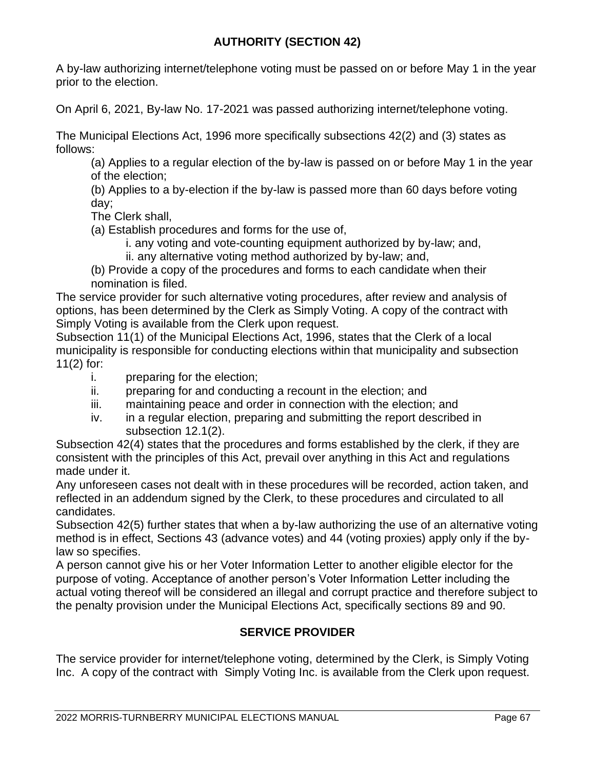## **AUTHORITY (SECTION 42)**

A by-law authorizing internet/telephone voting must be passed on or before May 1 in the year prior to the election.

On April 6, 2021, By-law No. 17-2021 was passed authorizing internet/telephone voting.

The Municipal Elections Act, 1996 more specifically subsections 42(2) and (3) states as follows:

(a) Applies to a regular election of the by-law is passed on or before May 1 in the year of the election;

(b) Applies to a by-election if the by-law is passed more than 60 days before voting day;

The Clerk shall,

(a) Establish procedures and forms for the use of,

i. any voting and vote-counting equipment authorized by by-law; and,

ii. any alternative voting method authorized by by-law; and,

(b) Provide a copy of the procedures and forms to each candidate when their nomination is filed.

The service provider for such alternative voting procedures, after review and analysis of options, has been determined by the Clerk as Simply Voting. A copy of the contract with Simply Voting is available from the Clerk upon request.

Subsection 11(1) of the Municipal Elections Act, 1996, states that the Clerk of a local municipality is responsible for conducting elections within that municipality and subsection 11(2) for:

- i. preparing for the election;
- ii. preparing for and conducting a recount in the election; and
- iii. maintaining peace and order in connection with the election; and
- iv. in a regular election, preparing and submitting the report described in subsection 12.1(2).

Subsection 42(4) states that the procedures and forms established by the clerk, if they are consistent with the principles of this Act, prevail over anything in this Act and regulations made under it.

Any unforeseen cases not dealt with in these procedures will be recorded, action taken, and reflected in an addendum signed by the Clerk, to these procedures and circulated to all candidates.

Subsection 42(5) further states that when a by-law authorizing the use of an alternative voting method is in effect, Sections 43 (advance votes) and 44 (voting proxies) apply only if the bylaw so specifies.

A person cannot give his or her Voter Information Letter to another eligible elector for the purpose of voting. Acceptance of another person's Voter Information Letter including the actual voting thereof will be considered an illegal and corrupt practice and therefore subject to the penalty provision under the Municipal Elections Act, specifically sections 89 and 90.

## **SERVICE PROVIDER**

The service provider for internet/telephone voting, determined by the Clerk, is Simply Voting Inc. A copy of the contract with Simply Voting Inc. is available from the Clerk upon request.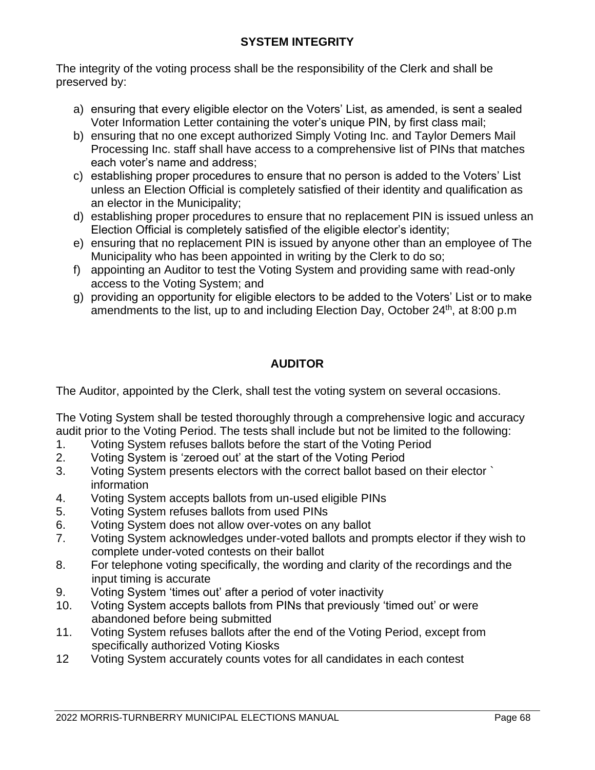The integrity of the voting process shall be the responsibility of the Clerk and shall be preserved by:

- a) ensuring that every eligible elector on the Voters' List, as amended, is sent a sealed Voter Information Letter containing the voter's unique PIN, by first class mail;
- b) ensuring that no one except authorized Simply Voting Inc. and Taylor Demers Mail Processing Inc. staff shall have access to a comprehensive list of PINs that matches each voter's name and address;
- c) establishing proper procedures to ensure that no person is added to the Voters' List unless an Election Official is completely satisfied of their identity and qualification as an elector in the Municipality;
- d) establishing proper procedures to ensure that no replacement PIN is issued unless an Election Official is completely satisfied of the eligible elector's identity;
- e) ensuring that no replacement PIN is issued by anyone other than an employee of The Municipality who has been appointed in writing by the Clerk to do so;
- f) appointing an Auditor to test the Voting System and providing same with read-only access to the Voting System; and
- g) providing an opportunity for eligible electors to be added to the Voters' List or to make amendments to the list, up to and including Election Day, October 24<sup>th</sup>, at 8:00 p.m

## **AUDITOR**

The Auditor, appointed by the Clerk, shall test the voting system on several occasions.

The Voting System shall be tested thoroughly through a comprehensive logic and accuracy audit prior to the Voting Period. The tests shall include but not be limited to the following:

- 1. Voting System refuses ballots before the start of the Voting Period
- 2. Voting System is 'zeroed out' at the start of the Voting Period
- 3. Voting System presents electors with the correct ballot based on their elector ` information
- 4. Voting System accepts ballots from un-used eligible PINs
- 5. Voting System refuses ballots from used PINs
- 6. Voting System does not allow over-votes on any ballot
- 7. Voting System acknowledges under-voted ballots and prompts elector if they wish to complete under-voted contests on their ballot
- 8. For telephone voting specifically, the wording and clarity of the recordings and the input timing is accurate
- 9. Voting System 'times out' after a period of voter inactivity
- 10. Voting System accepts ballots from PINs that previously 'timed out' or were abandoned before being submitted
- 11. Voting System refuses ballots after the end of the Voting Period, except from specifically authorized Voting Kiosks
- 12 Voting System accurately counts votes for all candidates in each contest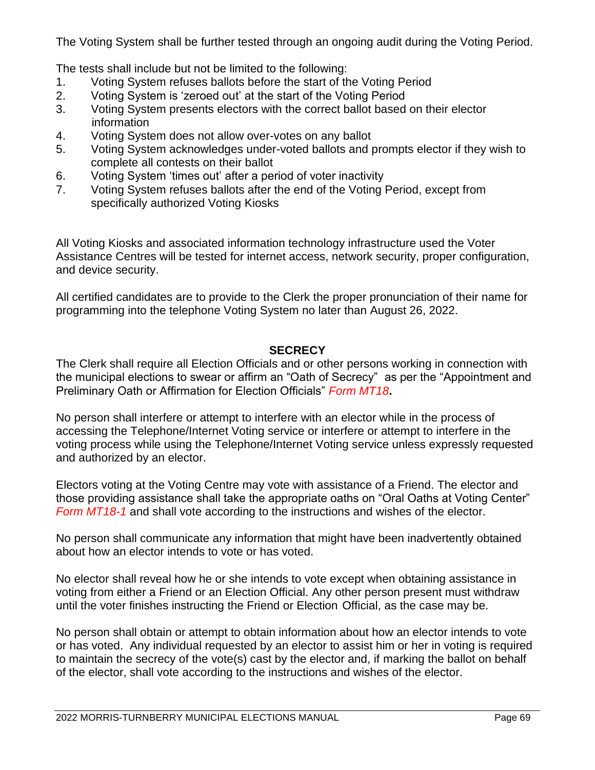The Voting System shall be further tested through an ongoing audit during the Voting Period.

The tests shall include but not be limited to the following:

- 1. Voting System refuses ballots before the start of the Voting Period
- 2. Voting System is 'zeroed out' at the start of the Voting Period
- 3. Voting System presents electors with the correct ballot based on their elector information
- 4. Voting System does not allow over-votes on any ballot
- 5. Voting System acknowledges under-voted ballots and prompts elector if they wish to complete all contests on their ballot
- 6. Voting System 'times out' after a period of voter inactivity
- 7. Voting System refuses ballots after the end of the Voting Period, except from specifically authorized Voting Kiosks

All Voting Kiosks and associated information technology infrastructure used the Voter Assistance Centres will be tested for internet access, network security, proper configuration, and device security.

All certified candidates are to provide to the Clerk the proper pronunciation of their name for programming into the telephone Voting System no later than August 26, 2022.

## **SECRECY**

The Clerk shall require all Election Officials and or other persons working in connection with the municipal elections to swear or affirm an "Oath of Secrecy" as per the "Appointment and Preliminary Oath or Affirmation for Election Officials" *Form MT18***.**

No person shall interfere or attempt to interfere with an elector while in the process of accessing the Telephone/Internet Voting service or interfere or attempt to interfere in the voting process while using the Telephone/Internet Voting service unless expressly requested and authorized by an elector.

Electors voting at the Voting Centre may vote with assistance of a Friend. The elector and those providing assistance shall take the appropriate oaths on "Oral Oaths at Voting Center" *Form MT18-1* and shall vote according to the instructions and wishes of the elector.

No person shall communicate any information that might have been inadvertently obtained about how an elector intends to vote or has voted.

No elector shall reveal how he or she intends to vote except when obtaining assistance in voting from either a Friend or an Election Official. Any other person present must withdraw until the voter finishes instructing the Friend or Election Official, as the case may be.

No person shall obtain or attempt to obtain information about how an elector intends to vote or has voted. Any individual requested by an elector to assist him or her in voting is required to maintain the secrecy of the vote(s) cast by the elector and, if marking the ballot on behalf of the elector, shall vote according to the instructions and wishes of the elector.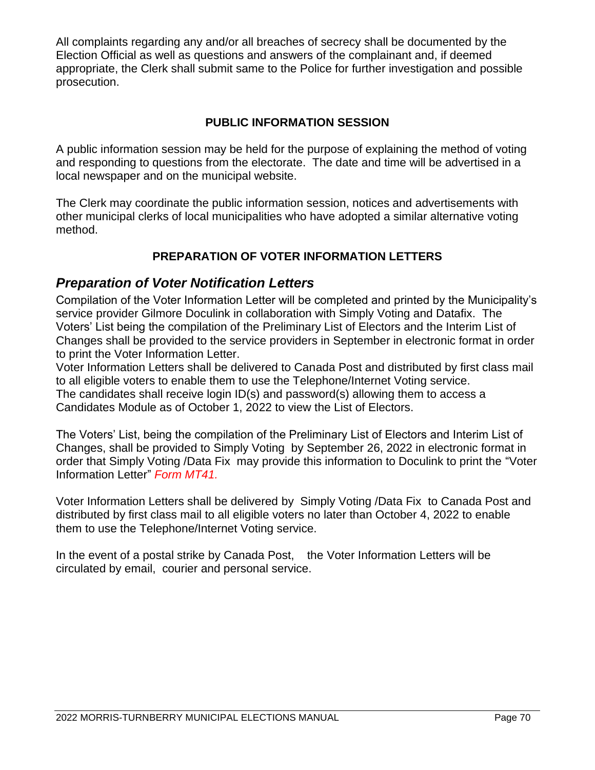All complaints regarding any and/or all breaches of secrecy shall be documented by the Election Official as well as questions and answers of the complainant and, if deemed appropriate, the Clerk shall submit same to the Police for further investigation and possible prosecution.

## **PUBLIC INFORMATION SESSION**

A public information session may be held for the purpose of explaining the method of voting and responding to questions from the electorate. The date and time will be advertised in a local newspaper and on the municipal website.

The Clerk may coordinate the public information session, notices and advertisements with other municipal clerks of local municipalities who have adopted a similar alternative voting method.

## **PREPARATION OF VOTER INFORMATION LETTERS**

## *Preparation of Voter Notification Letters*

Compilation of the Voter Information Letter will be completed and printed by the Municipality's service provider Gilmore Doculink in collaboration with Simply Voting and Datafix. The Voters' List being the compilation of the Preliminary List of Electors and the Interim List of Changes shall be provided to the service providers in September in electronic format in order to print the Voter Information Letter.

Voter Information Letters shall be delivered to Canada Post and distributed by first class mail to all eligible voters to enable them to use the Telephone/Internet Voting service. The candidates shall receive login ID(s) and password(s) allowing them to access a Candidates Module as of October 1, 2022 to view the List of Electors.

The Voters' List, being the compilation of the Preliminary List of Electors and Interim List of Changes, shall be provided to Simply Voting by September 26, 2022 in electronic format in order that Simply Voting /Data Fix may provide this information to Doculink to print the "Voter Information Letter" *Form MT41.*

Voter Information Letters shall be delivered by Simply Voting /Data Fix to Canada Post and distributed by first class mail to all eligible voters no later than October 4, 2022 to enable them to use the Telephone/Internet Voting service.

In the event of a postal strike by Canada Post, the Voter Information Letters will be circulated by email, courier and personal service.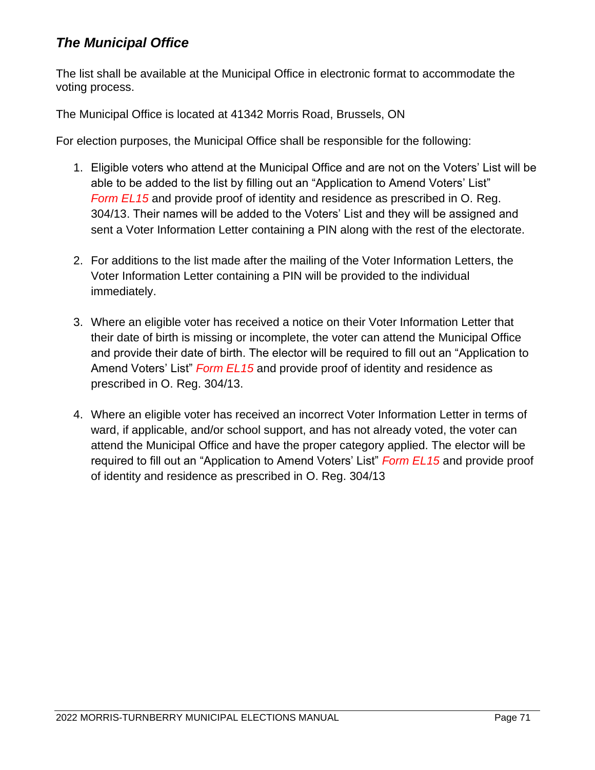## *The Municipal Office*

The list shall be available at the Municipal Office in electronic format to accommodate the voting process.

The Municipal Office is located at 41342 Morris Road, Brussels, ON

For election purposes, the Municipal Office shall be responsible for the following:

- 1. Eligible voters who attend at the Municipal Office and are not on the Voters' List will be able to be added to the list by filling out an "Application to Amend Voters' List" *Form EL15* and provide proof of identity and residence as prescribed in O. Reg. 304/13. Their names will be added to the Voters' List and they will be assigned and sent a Voter Information Letter containing a PIN along with the rest of the electorate.
- 2. For additions to the list made after the mailing of the Voter Information Letters, the Voter Information Letter containing a PIN will be provided to the individual immediately.
- 3. Where an eligible voter has received a notice on their Voter Information Letter that their date of birth is missing or incomplete, the voter can attend the Municipal Office and provide their date of birth. The elector will be required to fill out an "Application to Amend Voters' List" *Form EL15* and provide proof of identity and residence as prescribed in O. Reg. 304/13.
- 4. Where an eligible voter has received an incorrect Voter Information Letter in terms of ward, if applicable, and/or school support, and has not already voted, the voter can attend the Municipal Office and have the proper category applied. The elector will be required to fill out an "Application to Amend Voters' List" *Form EL15* and provide proof of identity and residence as prescribed in O. Reg. 304/13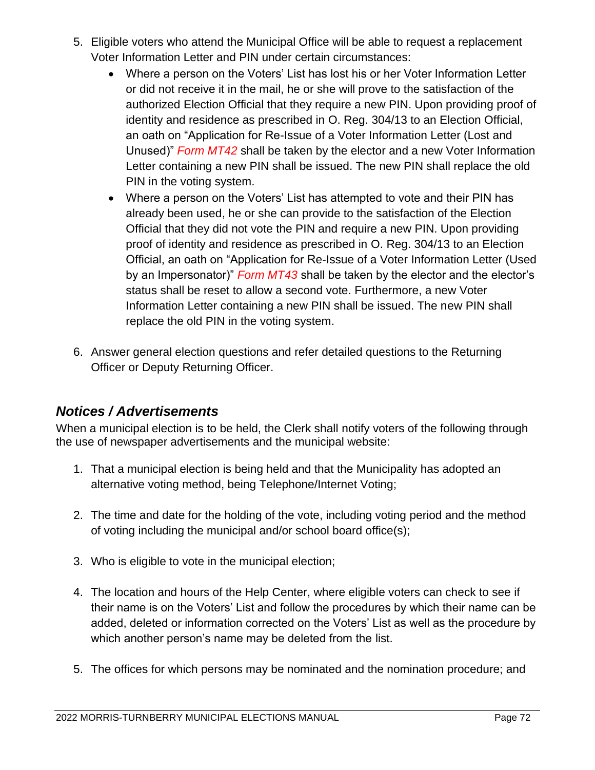- 5. Eligible voters who attend the Municipal Office will be able to request a replacement Voter Information Letter and PIN under certain circumstances:
	- Where a person on the Voters' List has lost his or her Voter Information Letter or did not receive it in the mail, he or she will prove to the satisfaction of the authorized Election Official that they require a new PIN. Upon providing proof of identity and residence as prescribed in O. Reg. 304/13 to an Election Official, an oath on "Application for Re-Issue of a Voter Information Letter (Lost and Unused)" *Form MT42* shall be taken by the elector and a new Voter Information Letter containing a new PIN shall be issued. The new PIN shall replace the old PIN in the voting system.
	- Where a person on the Voters' List has attempted to vote and their PIN has already been used, he or she can provide to the satisfaction of the Election Official that they did not vote the PIN and require a new PIN. Upon providing proof of identity and residence as prescribed in O. Reg. 304/13 to an Election Official, an oath on "Application for Re-Issue of a Voter Information Letter (Used by an Impersonator)" *Form MT43* shall be taken by the elector and the elector's status shall be reset to allow a second vote. Furthermore, a new Voter Information Letter containing a new PIN shall be issued. The new PIN shall replace the old PIN in the voting system.
- 6. Answer general election questions and refer detailed questions to the Returning Officer or Deputy Returning Officer.

## *Notices / Advertisements*

When a municipal election is to be held, the Clerk shall notify voters of the following through the use of newspaper advertisements and the municipal website:

- 1. That a municipal election is being held and that the Municipality has adopted an alternative voting method, being Telephone/Internet Voting;
- 2. The time and date for the holding of the vote, including voting period and the method of voting including the municipal and/or school board office(s);
- 3. Who is eligible to vote in the municipal election;
- 4. The location and hours of the Help Center, where eligible voters can check to see if their name is on the Voters' List and follow the procedures by which their name can be added, deleted or information corrected on the Voters' List as well as the procedure by which another person's name may be deleted from the list.
- 5. The offices for which persons may be nominated and the nomination procedure; and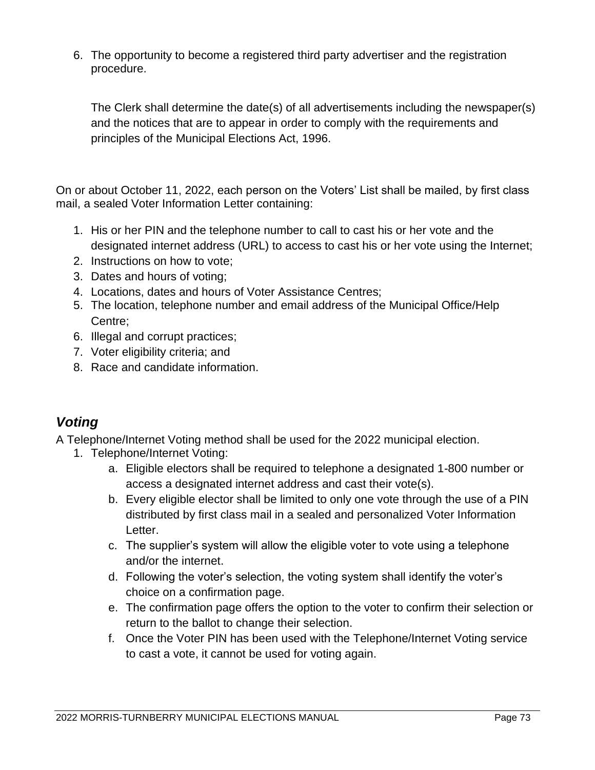6. The opportunity to become a registered third party advertiser and the registration procedure.

The Clerk shall determine the date(s) of all advertisements including the newspaper(s) and the notices that are to appear in order to comply with the requirements and principles of the Municipal Elections Act, 1996.

On or about October 11, 2022, each person on the Voters' List shall be mailed, by first class mail, a sealed Voter Information Letter containing:

- 1. His or her PIN and the telephone number to call to cast his or her vote and the designated internet address (URL) to access to cast his or her vote using the Internet;
- 2. Instructions on how to vote;
- 3. Dates and hours of voting;
- 4. Locations, dates and hours of Voter Assistance Centres;
- 5. The location, telephone number and email address of the Municipal Office/Help Centre;
- 6. Illegal and corrupt practices;
- 7. Voter eligibility criteria; and
- 8. Race and candidate information.

## *Voting*

A Telephone/Internet Voting method shall be used for the 2022 municipal election.

- 1. Telephone/Internet Voting:
	- a. Eligible electors shall be required to telephone a designated 1-800 number or access a designated internet address and cast their vote(s).
	- b. Every eligible elector shall be limited to only one vote through the use of a PIN distributed by first class mail in a sealed and personalized Voter Information Letter.
	- c. The supplier's system will allow the eligible voter to vote using a telephone and/or the internet.
	- d. Following the voter's selection, the voting system shall identify the voter's choice on a confirmation page.
	- e. The confirmation page offers the option to the voter to confirm their selection or return to the ballot to change their selection.
	- f. Once the Voter PIN has been used with the Telephone/Internet Voting service to cast a vote, it cannot be used for voting again.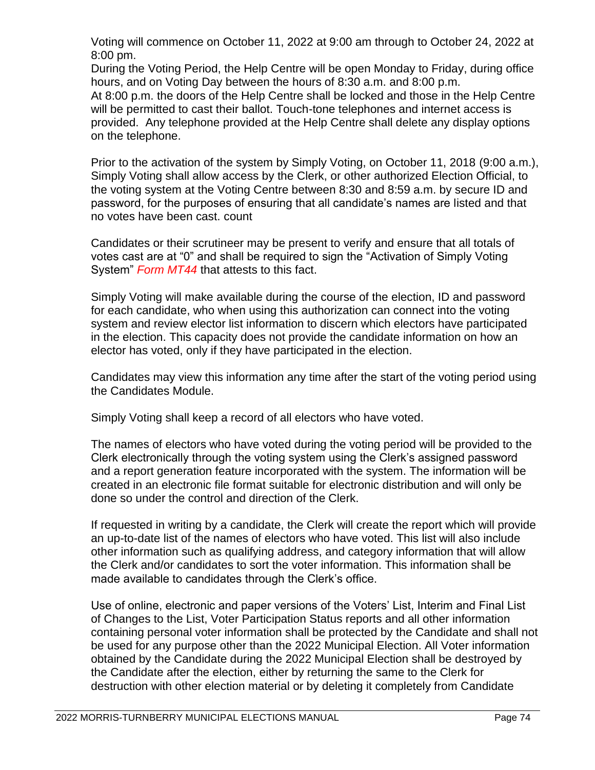Voting will commence on October 11, 2022 at 9:00 am through to October 24, 2022 at 8:00 pm.

During the Voting Period, the Help Centre will be open Monday to Friday, during office hours, and on Voting Day between the hours of 8:30 a.m. and 8:00 p.m. At 8:00 p.m. the doors of the Help Centre shall be locked and those in the Help Centre will be permitted to cast their ballot. Touch-tone telephones and internet access is provided. Any telephone provided at the Help Centre shall delete any display options on the telephone.

Prior to the activation of the system by Simply Voting, on October 11, 2018 (9:00 a.m.), Simply Voting shall allow access by the Clerk, or other authorized Election Official, to the voting system at the Voting Centre between 8:30 and 8:59 a.m. by secure ID and password, for the purposes of ensuring that all candidate's names are listed and that no votes have been cast. count

Candidates or their scrutineer may be present to verify and ensure that all totals of votes cast are at "0" and shall be required to sign the "Activation of Simply Voting System" *Form MT44* that attests to this fact.

Simply Voting will make available during the course of the election, ID and password for each candidate, who when using this authorization can connect into the voting system and review elector list information to discern which electors have participated in the election. This capacity does not provide the candidate information on how an elector has voted, only if they have participated in the election.

Candidates may view this information any time after the start of the voting period using the Candidates Module.

Simply Voting shall keep a record of all electors who have voted.

The names of electors who have voted during the voting period will be provided to the Clerk electronically through the voting system using the Clerk's assigned password and a report generation feature incorporated with the system. The information will be created in an electronic file format suitable for electronic distribution and will only be done so under the control and direction of the Clerk.

If requested in writing by a candidate, the Clerk will create the report which will provide an up-to-date list of the names of electors who have voted. This list will also include other information such as qualifying address, and category information that will allow the Clerk and/or candidates to sort the voter information. This information shall be made available to candidates through the Clerk's office.

Use of online, electronic and paper versions of the Voters' List, Interim and Final List of Changes to the List, Voter Participation Status reports and all other information containing personal voter information shall be protected by the Candidate and shall not be used for any purpose other than the 2022 Municipal Election. All Voter information obtained by the Candidate during the 2022 Municipal Election shall be destroyed by the Candidate after the election, either by returning the same to the Clerk for destruction with other election material or by deleting it completely from Candidate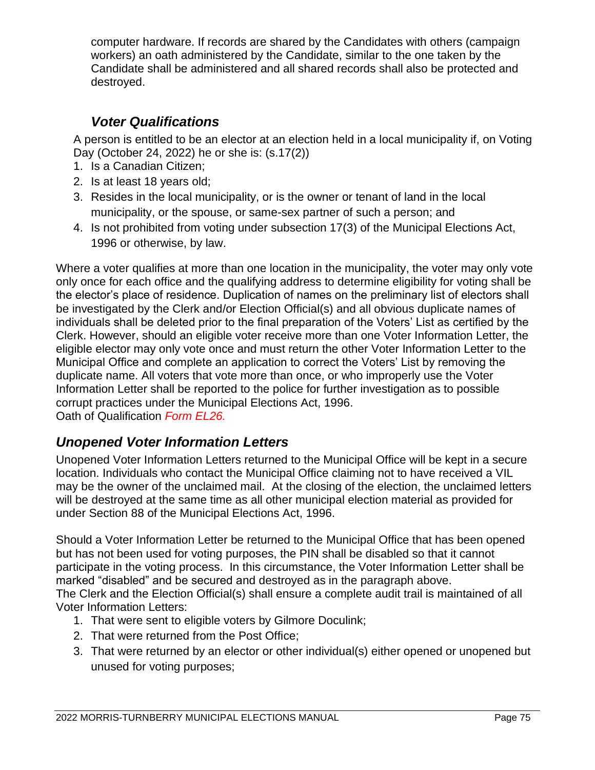computer hardware. If records are shared by the Candidates with others (campaign workers) an oath administered by the Candidate, similar to the one taken by the Candidate shall be administered and all shared records shall also be protected and destroyed.

## *Voter Qualifications*

A person is entitled to be an elector at an election held in a local municipality if, on Voting Day (October 24, 2022) he or she is: (s.17(2))

- 1. Is a Canadian Citizen;
- 2. Is at least 18 years old;
- 3. Resides in the local municipality, or is the owner or tenant of land in the local municipality, or the spouse, or same-sex partner of such a person; and
- 4. Is not prohibited from voting under subsection 17(3) of the Municipal Elections Act, 1996 or otherwise, by law.

Where a voter qualifies at more than one location in the municipality, the voter may only vote only once for each office and the qualifying address to determine eligibility for voting shall be the elector's place of residence. Duplication of names on the preliminary list of electors shall be investigated by the Clerk and/or Election Official(s) and all obvious duplicate names of individuals shall be deleted prior to the final preparation of the Voters' List as certified by the Clerk. However, should an eligible voter receive more than one Voter Information Letter, the eligible elector may only vote once and must return the other Voter Information Letter to the Municipal Office and complete an application to correct the Voters' List by removing the duplicate name. All voters that vote more than once, or who improperly use the Voter Information Letter shall be reported to the police for further investigation as to possible corrupt practices under the Municipal Elections Act, 1996. Oath of Qualification *Form EL26.*

## *Unopened Voter Information Letters*

Unopened Voter Information Letters returned to the Municipal Office will be kept in a secure location. Individuals who contact the Municipal Office claiming not to have received a VIL may be the owner of the unclaimed mail. At the closing of the election, the unclaimed letters will be destroyed at the same time as all other municipal election material as provided for under Section 88 of the Municipal Elections Act, 1996.

Should a Voter Information Letter be returned to the Municipal Office that has been opened but has not been used for voting purposes, the PIN shall be disabled so that it cannot participate in the voting process. In this circumstance, the Voter Information Letter shall be marked "disabled" and be secured and destroyed as in the paragraph above.

The Clerk and the Election Official(s) shall ensure a complete audit trail is maintained of all Voter Information Letters:

- 1. That were sent to eligible voters by Gilmore Doculink;
- 2. That were returned from the Post Office;
- 3. That were returned by an elector or other individual(s) either opened or unopened but unused for voting purposes;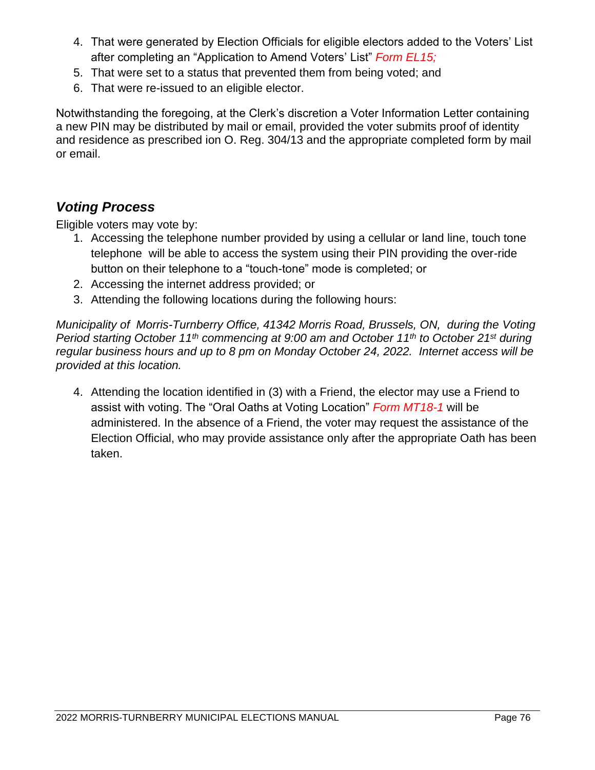- 4. That were generated by Election Officials for eligible electors added to the Voters' List after completing an "Application to Amend Voters' List" *Form EL15;*
- 5. That were set to a status that prevented them from being voted; and
- 6. That were re-issued to an eligible elector.

Notwithstanding the foregoing, at the Clerk's discretion a Voter Information Letter containing a new PIN may be distributed by mail or email, provided the voter submits proof of identity and residence as prescribed ion O. Reg. 304/13 and the appropriate completed form by mail or email.

## *Voting Process*

Eligible voters may vote by:

- 1. Accessing the telephone number provided by using a cellular or land line, touch tone telephone will be able to access the system using their PIN providing the over-ride button on their telephone to a "touch-tone" mode is completed; or
- 2. Accessing the internet address provided; or
- 3. Attending the following locations during the following hours:

*Municipality of Morris-Turnberry Office, 41342 Morris Road, Brussels, ON, during the Voting Period starting October 11th commencing at 9:00 am and October 11th to October 21st during regular business hours and up to 8 pm on Monday October 24, 2022. Internet access will be provided at this location.*

4. Attending the location identified in (3) with a Friend, the elector may use a Friend to assist with voting. The "Oral Oaths at Voting Location" *Form MT18-1* will be administered. In the absence of a Friend, the voter may request the assistance of the Election Official, who may provide assistance only after the appropriate Oath has been taken.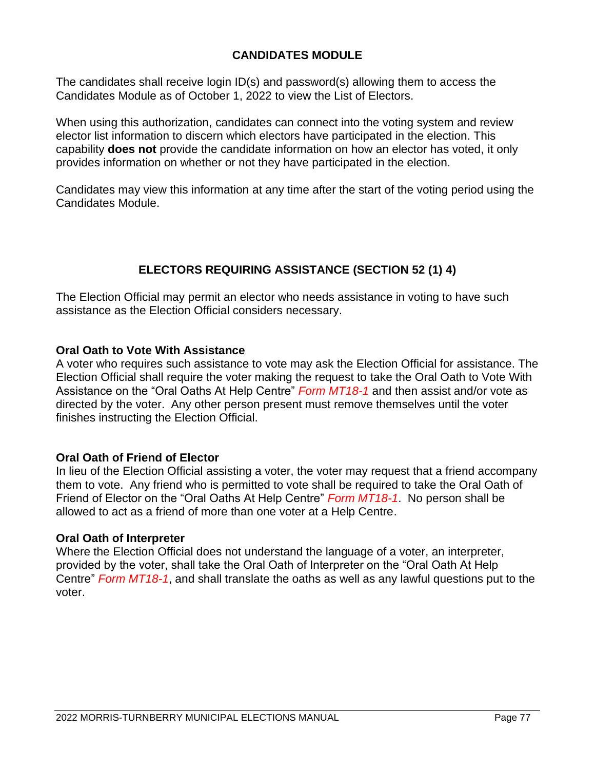## **CANDIDATES MODULE**

The candidates shall receive login ID(s) and password(s) allowing them to access the Candidates Module as of October 1, 2022 to view the List of Electors.

When using this authorization, candidates can connect into the voting system and review elector list information to discern which electors have participated in the election. This capability **does not** provide the candidate information on how an elector has voted, it only provides information on whether or not they have participated in the election.

Candidates may view this information at any time after the start of the voting period using the Candidates Module.

## **ELECTORS REQUIRING ASSISTANCE (SECTION 52 (1) 4)**

The Election Official may permit an elector who needs assistance in voting to have such assistance as the Election Official considers necessary.

### **Oral Oath to Vote With Assistance**

A voter who requires such assistance to vote may ask the Election Official for assistance. The Election Official shall require the voter making the request to take the Oral Oath to Vote With Assistance on the "Oral Oaths At Help Centre" *Form MT18-1* and then assist and/or vote as directed by the voter. Any other person present must remove themselves until the voter finishes instructing the Election Official.

### **Oral Oath of Friend of Elector**

In lieu of the Election Official assisting a voter, the voter may request that a friend accompany them to vote. Any friend who is permitted to vote shall be required to take the Oral Oath of Friend of Elector on the "Oral Oaths At Help Centre" *Form MT18-1*. No person shall be allowed to act as a friend of more than one voter at a Help Centre.

#### **Oral Oath of Interpreter**

Where the Election Official does not understand the language of a voter, an interpreter, provided by the voter, shall take the Oral Oath of Interpreter on the "Oral Oath At Help Centre" *Form MT18-1*, and shall translate the oaths as well as any lawful questions put to the voter.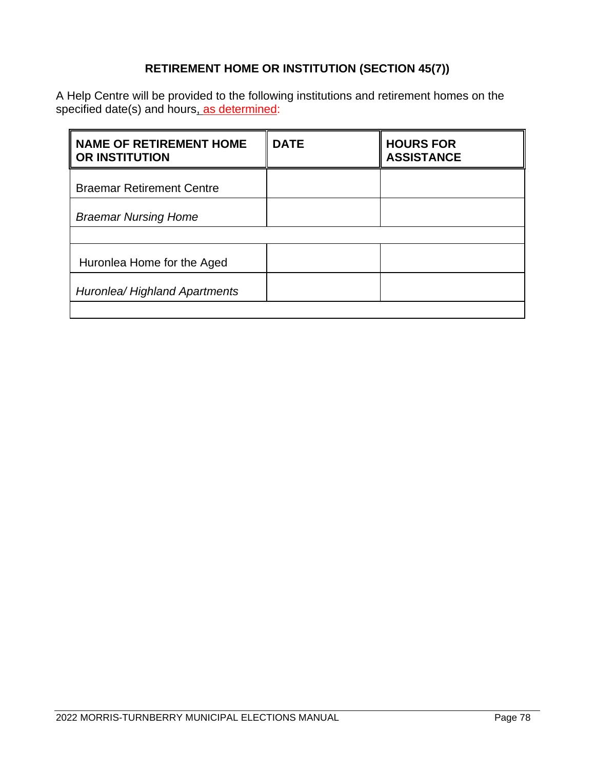## **RETIREMENT HOME OR INSTITUTION (SECTION 45(7))**

A Help Centre will be provided to the following institutions and retirement homes on the specified date(s) and hours<u>, as determined</u>:

| <b>NAME OF RETIREMENT HOME</b><br><b>OR INSTITUTION</b> | <b>DATE</b> | <b>HOURS FOR</b><br><b>ASSISTANCE</b> |
|---------------------------------------------------------|-------------|---------------------------------------|
| <b>Braemar Retirement Centre</b>                        |             |                                       |
| <b>Braemar Nursing Home</b>                             |             |                                       |
|                                                         |             |                                       |
| Huronlea Home for the Aged                              |             |                                       |
| Huronlea/ Highland Apartments                           |             |                                       |
|                                                         |             |                                       |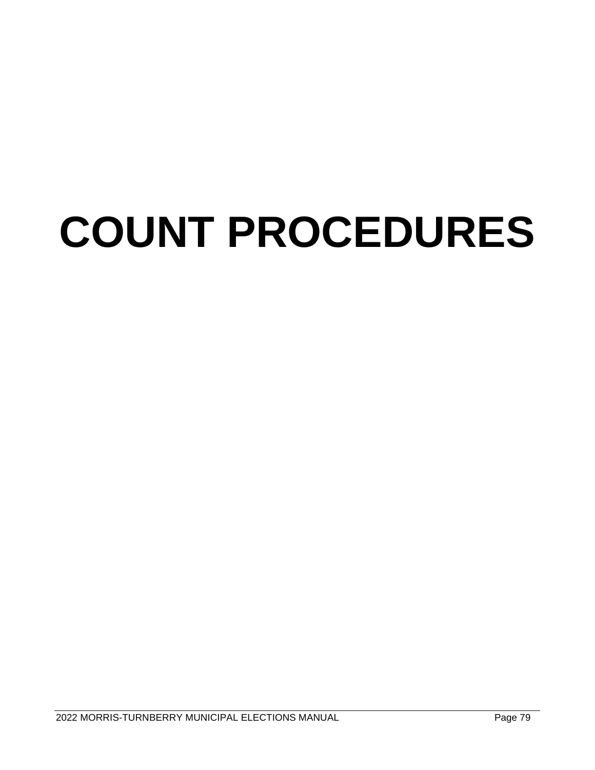# **COUNT PROCEDURES**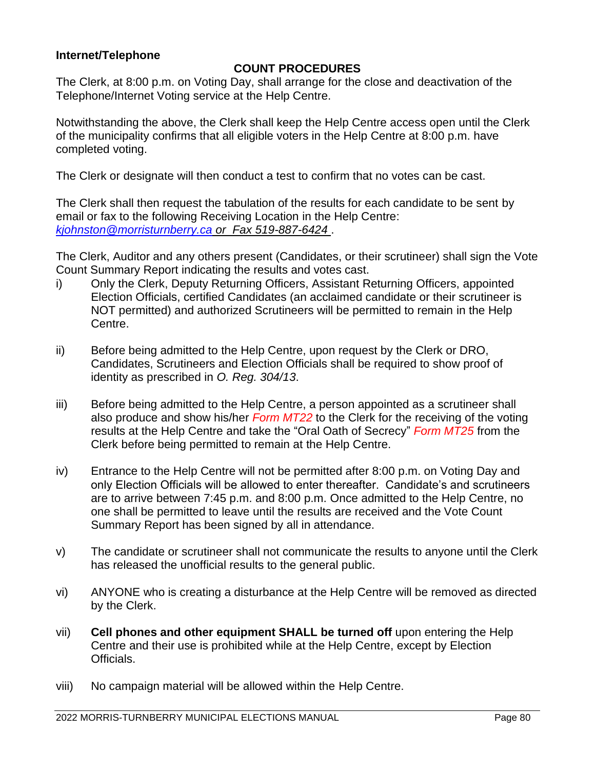### **Internet/Telephone**

## **COUNT PROCEDURES**

The Clerk, at 8:00 p.m. on Voting Day, shall arrange for the close and deactivation of the Telephone/Internet Voting service at the Help Centre.

Notwithstanding the above, the Clerk shall keep the Help Centre access open until the Clerk of the municipality confirms that all eligible voters in the Help Centre at 8:00 p.m. have completed voting.

The Clerk or designate will then conduct a test to confirm that no votes can be cast.

The Clerk shall then request the tabulation of the results for each candidate to be sent by email or fax to the following Receiving Location in the Help Centre: *[kjohnston@morristurnberry.ca](mailto:kjohnston@morristurnberry.ca) or Fax 519-887-6424* .

The Clerk, Auditor and any others present (Candidates, or their scrutineer) shall sign the Vote Count Summary Report indicating the results and votes cast.

- i) Only the Clerk, Deputy Returning Officers, Assistant Returning Officers, appointed Election Officials, certified Candidates (an acclaimed candidate or their scrutineer is NOT permitted) and authorized Scrutineers will be permitted to remain in the Help Centre.
- ii) Before being admitted to the Help Centre, upon request by the Clerk or DRO, Candidates, Scrutineers and Election Officials shall be required to show proof of identity as prescribed in *O. Reg. 304/13*.
- iii) Before being admitted to the Help Centre, a person appointed as a scrutineer shall also produce and show his/her *Form MT22* to the Clerk for the receiving of the voting results at the Help Centre and take the "Oral Oath of Secrecy" *Form MT25* from the Clerk before being permitted to remain at the Help Centre.
- iv) Entrance to the Help Centre will not be permitted after 8:00 p.m. on Voting Day and only Election Officials will be allowed to enter thereafter. Candidate's and scrutineers are to arrive between 7:45 p.m. and 8:00 p.m. Once admitted to the Help Centre, no one shall be permitted to leave until the results are received and the Vote Count Summary Report has been signed by all in attendance.
- v) The candidate or scrutineer shall not communicate the results to anyone until the Clerk has released the unofficial results to the general public.
- vi) ANYONE who is creating a disturbance at the Help Centre will be removed as directed by the Clerk.
- vii) **Cell phones and other equipment SHALL be turned off** upon entering the Help Centre and their use is prohibited while at the Help Centre, except by Election Officials.
- viii) No campaign material will be allowed within the Help Centre.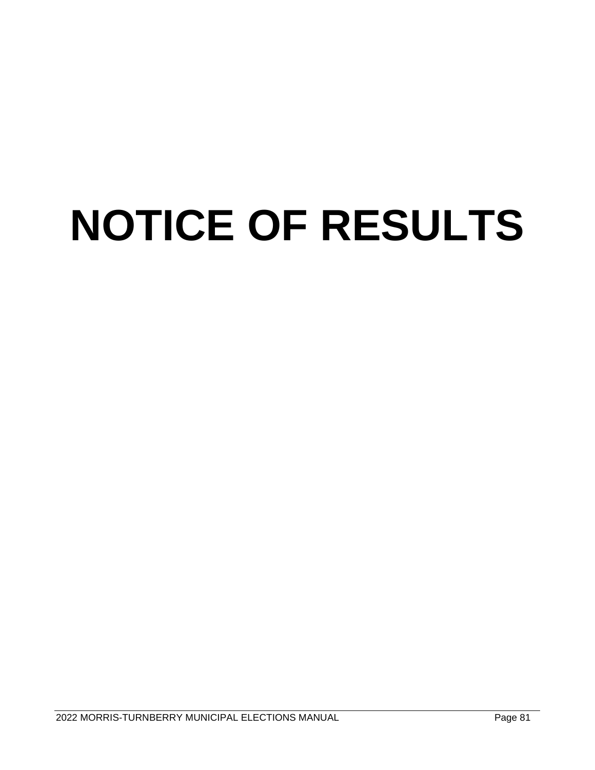## **NOTICE OF RESULTS**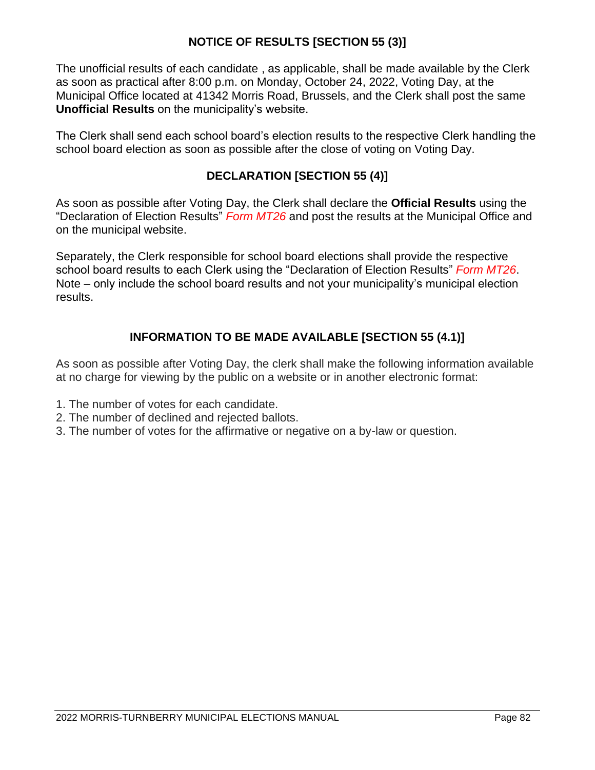## **NOTICE OF RESULTS [SECTION 55 (3)]**

The unofficial results of each candidate , as applicable, shall be made available by the Clerk as soon as practical after 8:00 p.m. on Monday, October 24, 2022, Voting Day, at the Municipal Office located at 41342 Morris Road, Brussels, and the Clerk shall post the same **Unofficial Results** on the municipality's website.

The Clerk shall send each school board's election results to the respective Clerk handling the school board election as soon as possible after the close of voting on Voting Day.

## **DECLARATION [SECTION 55 (4)]**

As soon as possible after Voting Day, the Clerk shall declare the **Official Results** using the "Declaration of Election Results" *Form MT26* and post the results at the Municipal Office and on the municipal website.

Separately, the Clerk responsible for school board elections shall provide the respective school board results to each Clerk using the "Declaration of Election Results" *Form MT26*. Note – only include the school board results and not your municipality's municipal election results.

## **INFORMATION TO BE MADE AVAILABLE [SECTION 55 (4.1)]**

As soon as possible after Voting Day, the clerk shall make the following information available at no charge for viewing by the public on a website or in another electronic format:

- 1. The number of votes for each candidate.
- 2. The number of declined and rejected ballots.
- 3. The number of votes for the affirmative or negative on a by-law or question.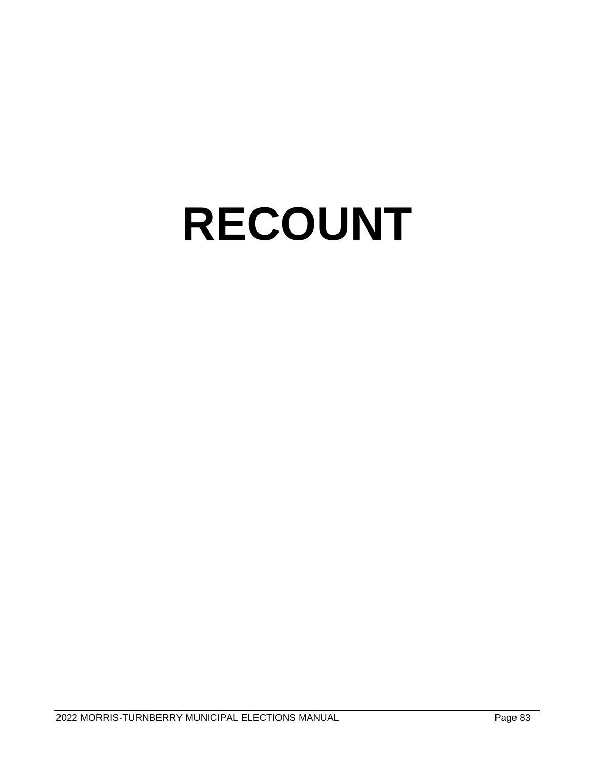## **RECOUNT**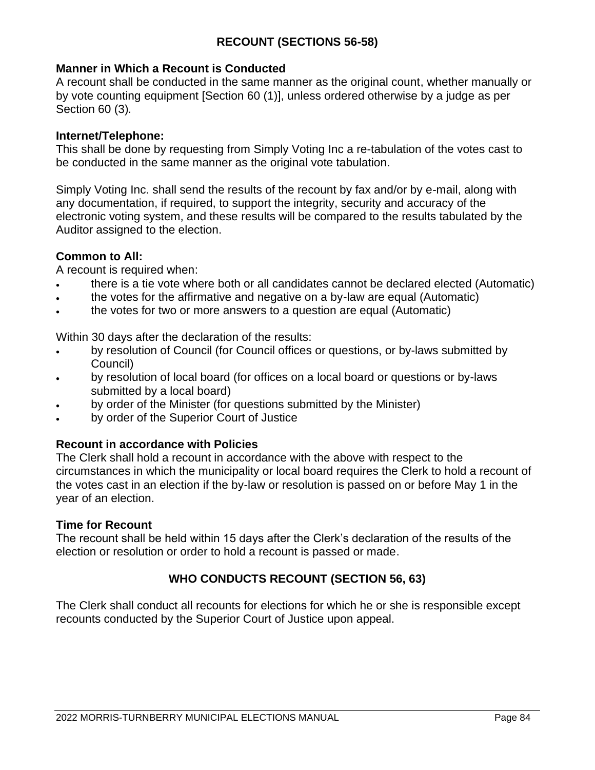## **RECOUNT (SECTIONS 56-58)**

### **Manner in Which a Recount is Conducted**

A recount shall be conducted in the same manner as the original count, whether manually or by vote counting equipment [Section 60 (1)], unless ordered otherwise by a judge as per Section 60 (3)*.*

#### **Internet/Telephone:**

This shall be done by requesting from Simply Voting Inc a re-tabulation of the votes cast to be conducted in the same manner as the original vote tabulation.

Simply Voting Inc. shall send the results of the recount by fax and/or by e-mail, along with any documentation, if required, to support the integrity, security and accuracy of the electronic voting system, and these results will be compared to the results tabulated by the Auditor assigned to the election.

### **Common to All:**

A recount is required when:

- there is a tie vote where both or all candidates cannot be declared elected (Automatic)
- the votes for the affirmative and negative on a by-law are equal (Automatic)
- the votes for two or more answers to a question are equal (Automatic)

Within 30 days after the declaration of the results:

- by resolution of Council (for Council offices or questions, or by-laws submitted by Council)
- by resolution of local board (for offices on a local board or questions or by-laws submitted by a local board)
- by order of the Minister (for questions submitted by the Minister)
- by order of the Superior Court of Justice

### **Recount in accordance with Policies**

The Clerk shall hold a recount in accordance with the above with respect to the circumstances in which the municipality or local board requires the Clerk to hold a recount of the votes cast in an election if the by-law or resolution is passed on or before May 1 in the year of an election.

#### **Time for Recount**

The recount shall be held within 15 days after the Clerk's declaration of the results of the election or resolution or order to hold a recount is passed or made.

## **WHO CONDUCTS RECOUNT (SECTION 56, 63)**

The Clerk shall conduct all recounts for elections for which he or she is responsible except recounts conducted by the Superior Court of Justice upon appeal.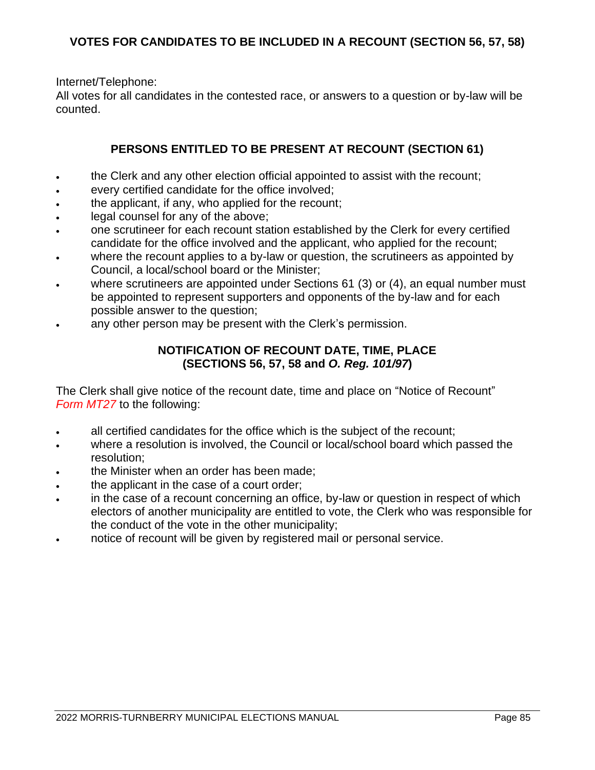Internet/Telephone:

All votes for all candidates in the contested race, or answers to a question or by-law will be counted.

## **PERSONS ENTITLED TO BE PRESENT AT RECOUNT (SECTION 61)**

- the Clerk and any other election official appointed to assist with the recount;
- every certified candidate for the office involved;
- the applicant, if any, who applied for the recount;
- legal counsel for any of the above:
- one scrutineer for each recount station established by the Clerk for every certified candidate for the office involved and the applicant, who applied for the recount;
- where the recount applies to a by-law or question, the scrutineers as appointed by Council, a local/school board or the Minister;
- where scrutineers are appointed under Sections 61 (3) or (4), an equal number must be appointed to represent supporters and opponents of the by-law and for each possible answer to the question;
- any other person may be present with the Clerk's permission.

### **NOTIFICATION OF RECOUNT DATE, TIME, PLACE (SECTIONS 56, 57, 58 and** *O. Reg. 101/97***)**

The Clerk shall give notice of the recount date, time and place on "Notice of Recount" *Form MT27* to the following:

- all certified candidates for the office which is the subject of the recount;
- where a resolution is involved, the Council or local/school board which passed the resolution;
- the Minister when an order has been made;
- the applicant in the case of a court order;
- in the case of a recount concerning an office, by-law or question in respect of which electors of another municipality are entitled to vote, the Clerk who was responsible for the conduct of the vote in the other municipality;
- notice of recount will be given by registered mail or personal service.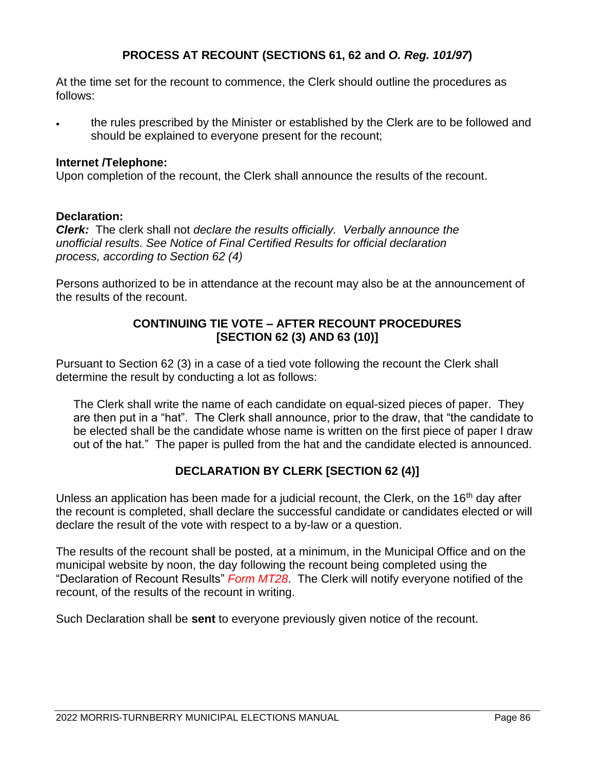## **PROCESS AT RECOUNT (SECTIONS 61, 62 and** *O. Reg. 101/97***)**

At the time set for the recount to commence, the Clerk should outline the procedures as follows:

• the rules prescribed by the Minister or established by the Clerk are to be followed and should be explained to everyone present for the recount;

#### **Internet /Telephone:**

Upon completion of the recount, the Clerk shall announce the results of the recount.

#### **Declaration:**

*Clerk:* The clerk shall not *declare the results officially. Verbally announce the unofficial results. See Notice of Final Certified Results for official declaration process, according to Section 62 (4)*

Persons authorized to be in attendance at the recount may also be at the announcement of the results of the recount.

### **CONTINUING TIE VOTE – AFTER RECOUNT PROCEDURES [SECTION 62 (3) AND 63 (10)]**

Pursuant to Section 62 (3) in a case of a tied vote following the recount the Clerk shall determine the result by conducting a lot as follows:

The Clerk shall write the name of each candidate on equal-sized pieces of paper. They are then put in a "hat". The Clerk shall announce, prior to the draw, that "the candidate to be elected shall be the candidate whose name is written on the first piece of paper I draw out of the hat." The paper is pulled from the hat and the candidate elected is announced.

### **DECLARATION BY CLERK [SECTION 62 (4)]**

Unless an application has been made for a judicial recount, the Clerk, on the 16<sup>th</sup> day after the recount is completed, shall declare the successful candidate or candidates elected or will declare the result of the vote with respect to a by-law or a question.

The results of the recount shall be posted, at a minimum, in the Municipal Office and on the municipal website by noon, the day following the recount being completed using the "Declaration of Recount Results" *Form MT28*. The Clerk will notify everyone notified of the recount, of the results of the recount in writing.

Such Declaration shall be **sent** to everyone previously given notice of the recount.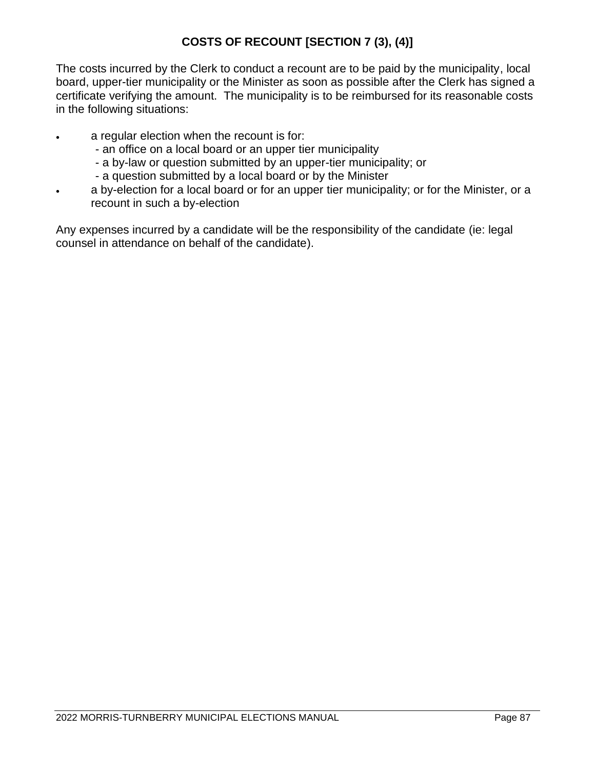## **COSTS OF RECOUNT [SECTION 7 (3), (4)]**

The costs incurred by the Clerk to conduct a recount are to be paid by the municipality, local board, upper-tier municipality or the Minister as soon as possible after the Clerk has signed a certificate verifying the amount. The municipality is to be reimbursed for its reasonable costs in the following situations:

- a regular election when the recount is for:
	- an office on a local board or an upper tier municipality
	- a by-law or question submitted by an upper-tier municipality; or
	- a question submitted by a local board or by the Minister
- a by-election for a local board or for an upper tier municipality; or for the Minister, or a recount in such a by-election

Any expenses incurred by a candidate will be the responsibility of the candidate (ie: legal counsel in attendance on behalf of the candidate).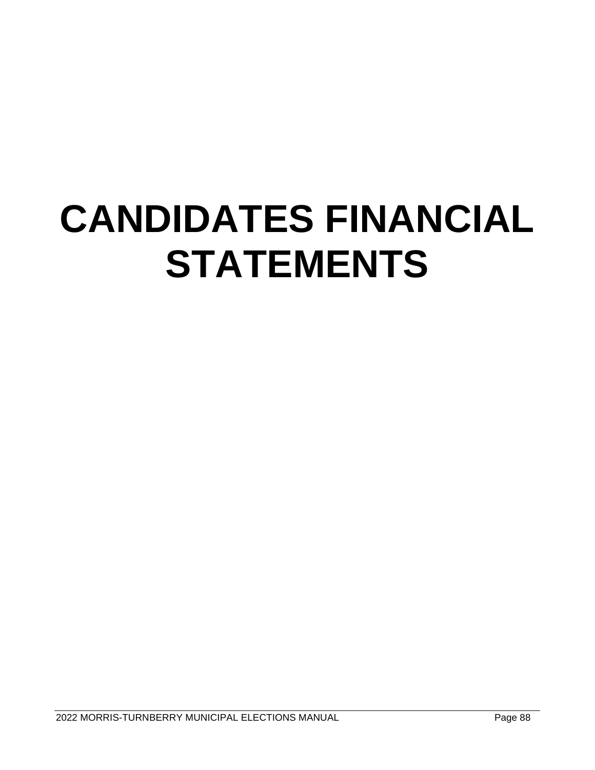## **CANDIDATES FINANCIAL STATEMENTS**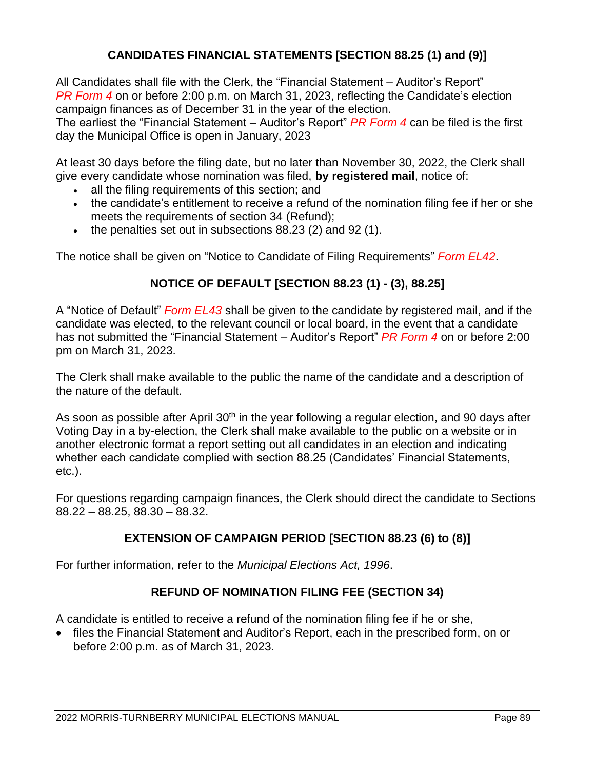#### **CANDIDATES FINANCIAL STATEMENTS [SECTION 88.25 (1) and (9)]**

All Candidates shall file with the Clerk, the "Financial Statement – Auditor's Report" *PR Form 4* on or before 2:00 p.m. on March 31, 2023, reflecting the Candidate's election campaign finances as of December 31 in the year of the election.

The earliest the "Financial Statement – Auditor's Report" *PR Form 4* can be filed is the first day the Municipal Office is open in January, 2023

At least 30 days before the filing date, but no later than November 30, 2022, the Clerk shall give every candidate whose nomination was filed, **by registered mail**, notice of:

- all the filing requirements of this section; and
- the candidate's entitlement to receive a refund of the nomination filing fee if her or she meets the requirements of section 34 (Refund);
- the penalties set out in subsections 88.23 (2) and 92 (1).

The notice shall be given on "Notice to Candidate of Filing Requirements" *Form EL42*.

#### **NOTICE OF DEFAULT [SECTION 88.23 (1) - (3), 88.25]**

A "Notice of Default" *Form EL43* shall be given to the candidate by registered mail, and if the candidate was elected, to the relevant council or local board, in the event that a candidate has not submitted the "Financial Statement – Auditor's Report" *PR Form 4* on or before 2:00 pm on March 31, 2023.

The Clerk shall make available to the public the name of the candidate and a description of the nature of the default.

As soon as possible after April 30<sup>th</sup> in the year following a regular election, and 90 days after Voting Day in a by-election, the Clerk shall make available to the public on a website or in another electronic format a report setting out all candidates in an election and indicating whether each candidate complied with section 88.25 (Candidates' Financial Statements, etc.).

For questions regarding campaign finances, the Clerk should direct the candidate to Sections 88.22 – 88.25, 88.30 – 88.32.

#### **EXTENSION OF CAMPAIGN PERIOD [SECTION 88.23 (6) to (8)]**

For further information, refer to the *Municipal Elections Act, 1996*.

#### **REFUND OF NOMINATION FILING FEE (SECTION 34)**

A candidate is entitled to receive a refund of the nomination filing fee if he or she,

• files the Financial Statement and Auditor's Report, each in the prescribed form, on or before 2:00 p.m. as of March 31, 2023.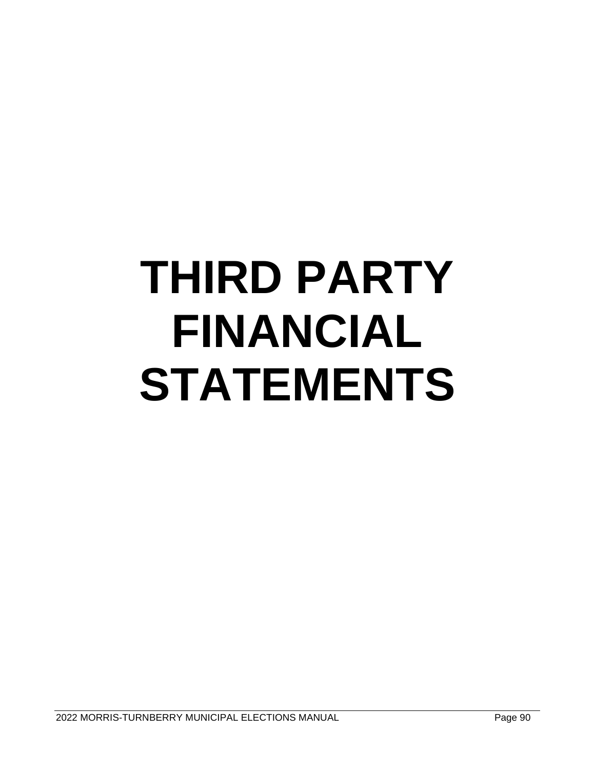# **THIRD PARTY FINANCIAL STATEMENTS**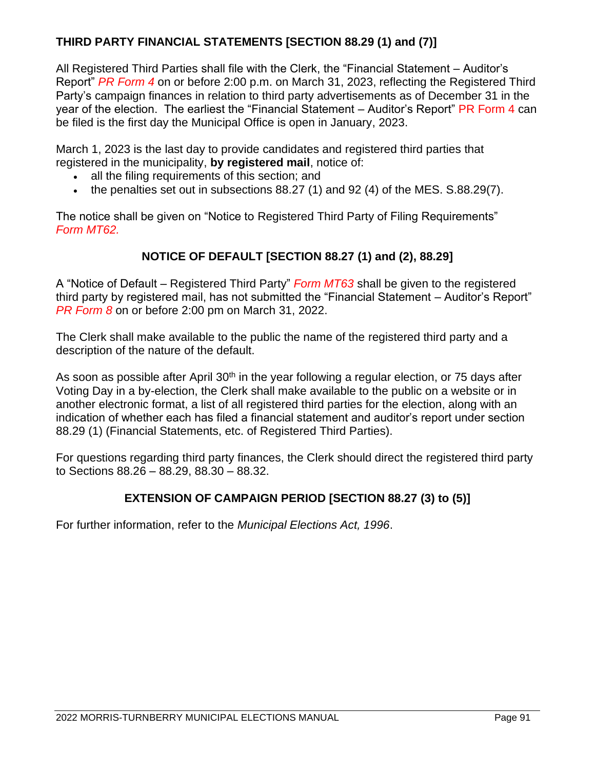#### **THIRD PARTY FINANCIAL STATEMENTS [SECTION 88.29 (1) and (7)]**

All Registered Third Parties shall file with the Clerk, the "Financial Statement – Auditor's Report" *PR Form 4* on or before 2:00 p.m. on March 31, 2023, reflecting the Registered Third Party's campaign finances in relation to third party advertisements as of December 31 in the year of the election. The earliest the "Financial Statement – Auditor's Report" PR Form 4 can be filed is the first day the Municipal Office is open in January, 2023.

March 1, 2023 is the last day to provide candidates and registered third parties that registered in the municipality, **by registered mail**, notice of:

- all the filing requirements of this section; and
- the penalties set out in subsections  $88.27(1)$  and  $92(4)$  of the MES, S.88.29(7).

The notice shall be given on "Notice to Registered Third Party of Filing Requirements" *Form MT62.*

#### **NOTICE OF DEFAULT [SECTION 88.27 (1) and (2), 88.29]**

A "Notice of Default – Registered Third Party" *Form MT63* shall be given to the registered third party by registered mail, has not submitted the "Financial Statement – Auditor's Report" *PR Form 8* on or before 2:00 pm on March 31, 2022.

The Clerk shall make available to the public the name of the registered third party and a description of the nature of the default.

As soon as possible after April 30<sup>th</sup> in the year following a regular election, or 75 days after Voting Day in a by-election, the Clerk shall make available to the public on a website or in another electronic format, a list of all registered third parties for the election, along with an indication of whether each has filed a financial statement and auditor's report under section 88.29 (1) (Financial Statements, etc. of Registered Third Parties).

For questions regarding third party finances, the Clerk should direct the registered third party to Sections 88.26 – 88.29, 88.30 – 88.32.

#### **EXTENSION OF CAMPAIGN PERIOD [SECTION 88.27 (3) to (5)]**

For further information, refer to the *Municipal Elections Act, 1996*.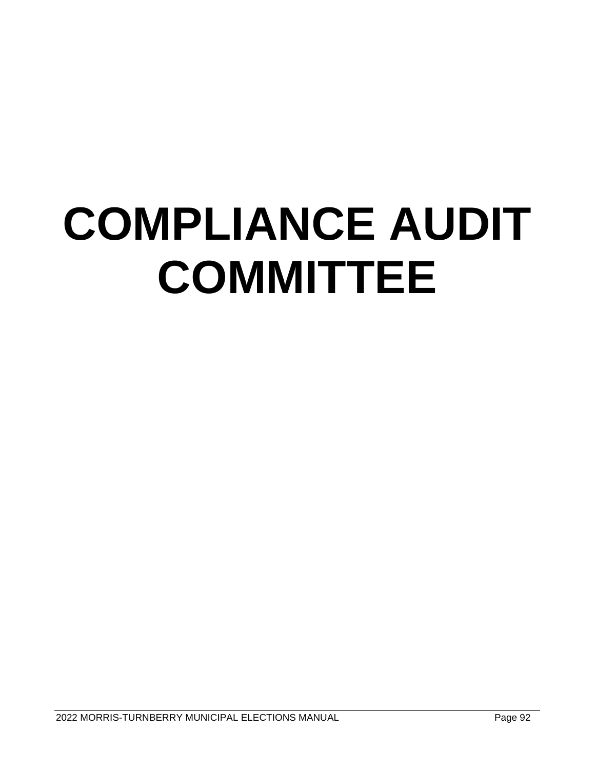# **COMPLIANCE AUDIT COMMITTEE**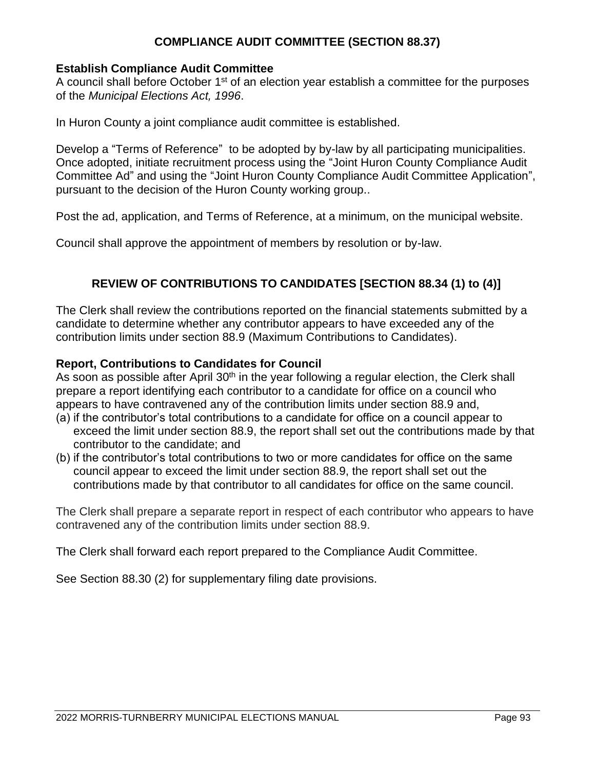#### **COMPLIANCE AUDIT COMMITTEE (SECTION 88.37)**

#### **Establish Compliance Audit Committee**

A council shall before October 1<sup>st</sup> of an election year establish a committee for the purposes of the *Municipal Elections Act, 1996*.

In Huron County a joint compliance audit committee is established.

Develop a "Terms of Reference" to be adopted by by-law by all participating municipalities. Once adopted, initiate recruitment process using the "Joint Huron County Compliance Audit Committee Ad" and using the "Joint Huron County Compliance Audit Committee Application", pursuant to the decision of the Huron County working group..

Post the ad, application, and Terms of Reference, at a minimum, on the municipal website.

Council shall approve the appointment of members by resolution or by-law.

#### **REVIEW OF CONTRIBUTIONS TO CANDIDATES [SECTION 88.34 (1) to (4)]**

The Clerk shall review the contributions reported on the financial statements submitted by a candidate to determine whether any contributor appears to have exceeded any of the contribution limits under section 88.9 (Maximum Contributions to Candidates).

#### **Report, Contributions to Candidates for Council**

As soon as possible after April 30<sup>th</sup> in the year following a regular election, the Clerk shall prepare a report identifying each contributor to a candidate for office on a council who appears to have contravened any of the contribution limits under section 88.9 and,

- (a) if the contributor's total contributions to a candidate for office on a council appear to exceed the limit under section 88.9, the report shall set out the contributions made by that contributor to the candidate; and
- (b) if the contributor's total contributions to two or more candidates for office on the same council appear to exceed the limit under section 88.9, the report shall set out the contributions made by that contributor to all candidates for office on the same council.

The Clerk shall prepare a separate report in respect of each contributor who appears to have contravened any of the contribution limits under section 88.9.

The Clerk shall forward each report prepared to the Compliance Audit Committee.

See Section 88.30 (2) for supplementary filing date provisions.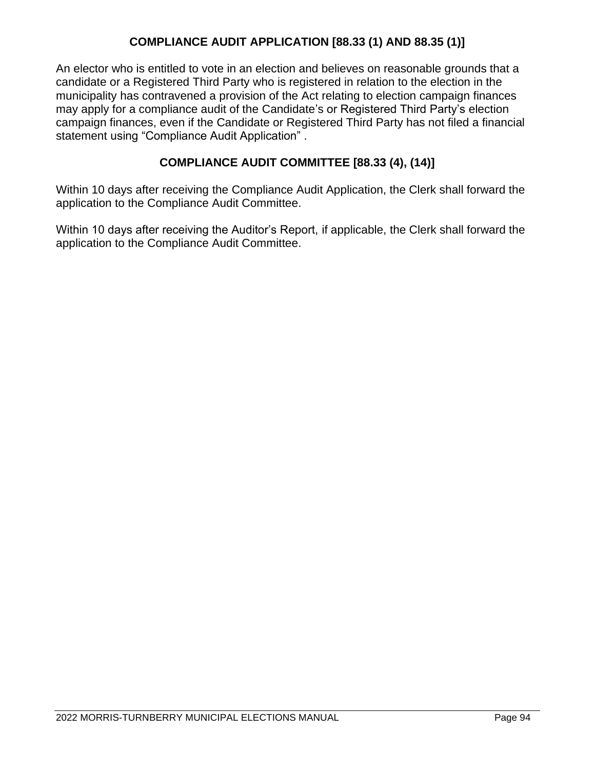#### **COMPLIANCE AUDIT APPLICATION [88.33 (1) AND 88.35 (1)]**

An elector who is entitled to vote in an election and believes on reasonable grounds that a candidate or a Registered Third Party who is registered in relation to the election in the municipality has contravened a provision of the Act relating to election campaign finances may apply for a compliance audit of the Candidate's or Registered Third Party's election campaign finances, even if the Candidate or Registered Third Party has not filed a financial statement using "Compliance Audit Application" .

#### **COMPLIANCE AUDIT COMMITTEE [88.33 (4), (14)]**

Within 10 days after receiving the Compliance Audit Application, the Clerk shall forward the application to the Compliance Audit Committee.

Within 10 days after receiving the Auditor's Report, if applicable, the Clerk shall forward the application to the Compliance Audit Committee.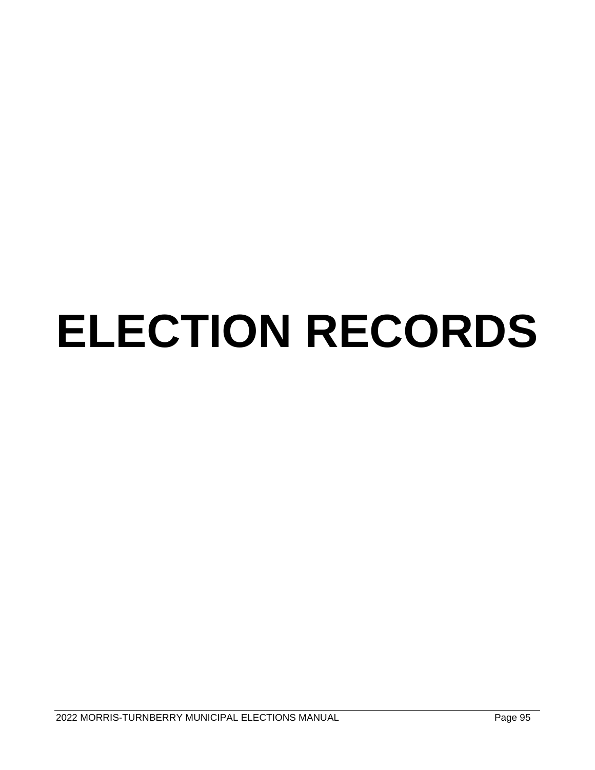# **ELECTION RECORDS**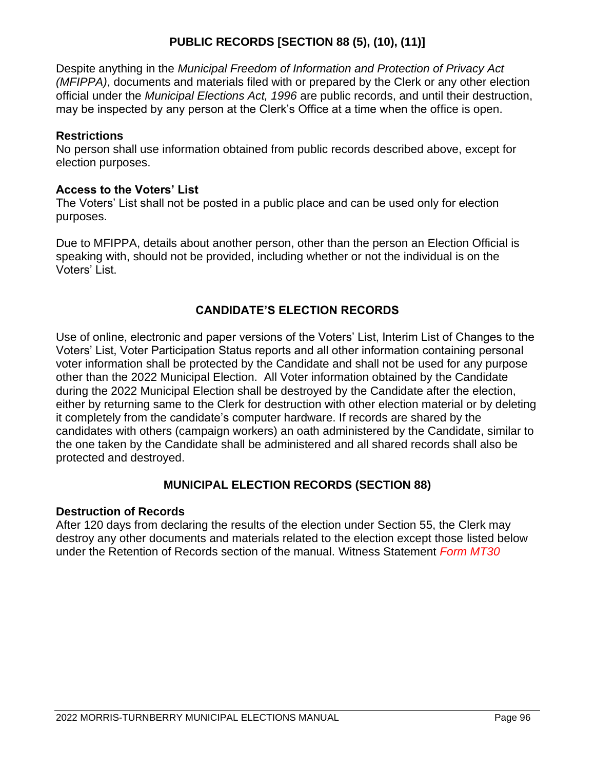#### **PUBLIC RECORDS [SECTION 88 (5), (10), (11)]**

Despite anything in the *Municipal Freedom of Information and Protection of Privacy Act (MFIPPA)*, documents and materials filed with or prepared by the Clerk or any other election official under the *Municipal Elections Act, 1996* are public records, and until their destruction, may be inspected by any person at the Clerk's Office at a time when the office is open.

#### **Restrictions**

No person shall use information obtained from public records described above, except for election purposes.

#### **Access to the Voters' List**

The Voters' List shall not be posted in a public place and can be used only for election purposes.

Due to MFIPPA, details about another person, other than the person an Election Official is speaking with, should not be provided, including whether or not the individual is on the Voters' List.

#### **CANDIDATE'S ELECTION RECORDS**

Use of online, electronic and paper versions of the Voters' List, Interim List of Changes to the Voters' List, Voter Participation Status reports and all other information containing personal voter information shall be protected by the Candidate and shall not be used for any purpose other than the 2022 Municipal Election. All Voter information obtained by the Candidate during the 2022 Municipal Election shall be destroyed by the Candidate after the election, either by returning same to the Clerk for destruction with other election material or by deleting it completely from the candidate's computer hardware. If records are shared by the candidates with others (campaign workers) an oath administered by the Candidate, similar to the one taken by the Candidate shall be administered and all shared records shall also be protected and destroyed.

#### **MUNICIPAL ELECTION RECORDS (SECTION 88)**

#### **Destruction of Records**

After 120 days from declaring the results of the election under Section 55, the Clerk may destroy any other documents and materials related to the election except those listed below under the Retention of Records section of the manual. Witness Statement *Form MT30*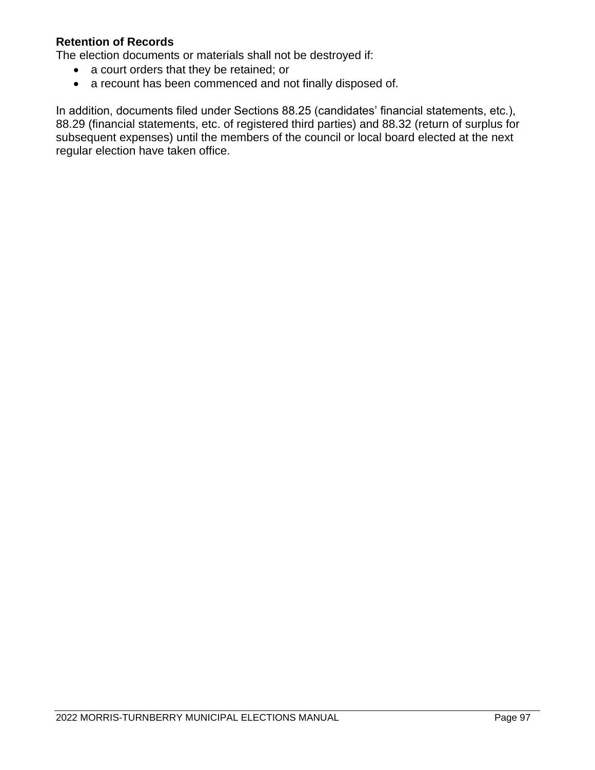#### **Retention of Records**

The election documents or materials shall not be destroyed if:

- a court orders that they be retained; or
- a recount has been commenced and not finally disposed of.

In addition, documents filed under Sections 88.25 (candidates' financial statements, etc.), 88.29 (financial statements, etc. of registered third parties) and 88.32 (return of surplus for subsequent expenses) until the members of the council or local board elected at the next regular election have taken office.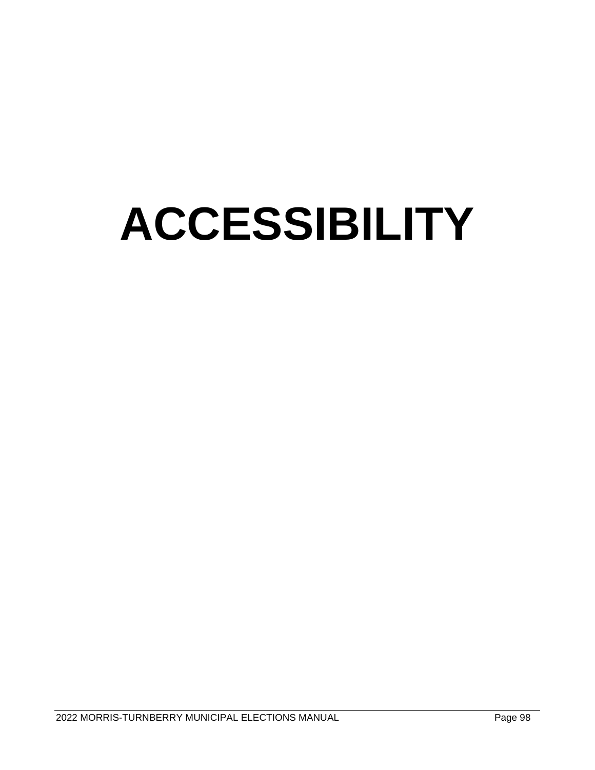### **ACCESSIBILITY**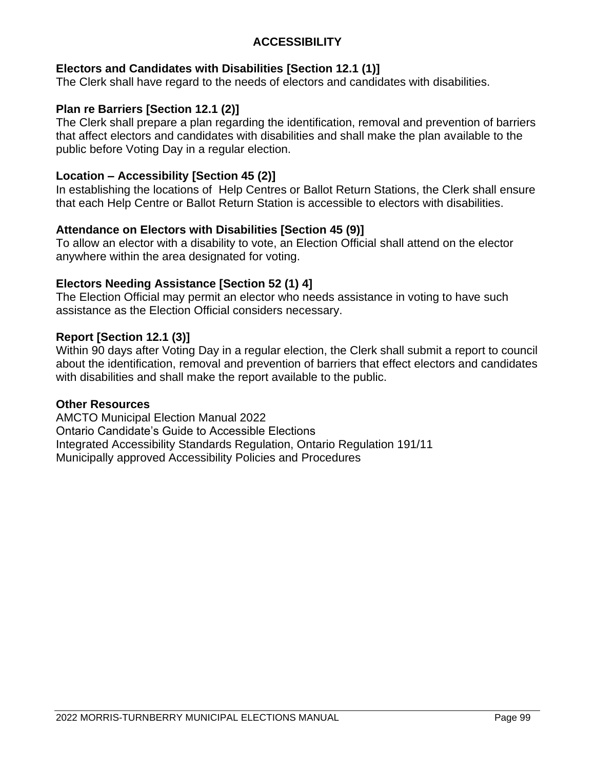#### **ACCESSIBILITY**

#### **Electors and Candidates with Disabilities [Section 12.1 (1)]**

The Clerk shall have regard to the needs of electors and candidates with disabilities.

#### **Plan re Barriers [Section 12.1 (2)]**

The Clerk shall prepare a plan regarding the identification, removal and prevention of barriers that affect electors and candidates with disabilities and shall make the plan available to the public before Voting Day in a regular election.

#### **Location – Accessibility [Section 45 (2)]**

In establishing the locations of Help Centres or Ballot Return Stations, the Clerk shall ensure that each Help Centre or Ballot Return Station is accessible to electors with disabilities.

#### **Attendance on Electors with Disabilities [Section 45 (9)]**

To allow an elector with a disability to vote, an Election Official shall attend on the elector anywhere within the area designated for voting.

#### **Electors Needing Assistance [Section 52 (1) 4]**

The Election Official may permit an elector who needs assistance in voting to have such assistance as the Election Official considers necessary.

#### **Report [Section 12.1 (3)]**

Within 90 days after Voting Day in a regular election, the Clerk shall submit a report to council about the identification, removal and prevention of barriers that effect electors and candidates with disabilities and shall make the report available to the public.

#### **Other Resources**

AMCTO Municipal Election Manual 2022 Ontario Candidate's Guide to Accessible Elections Integrated Accessibility Standards Regulation, Ontario Regulation 191/11 Municipally approved Accessibility Policies and Procedures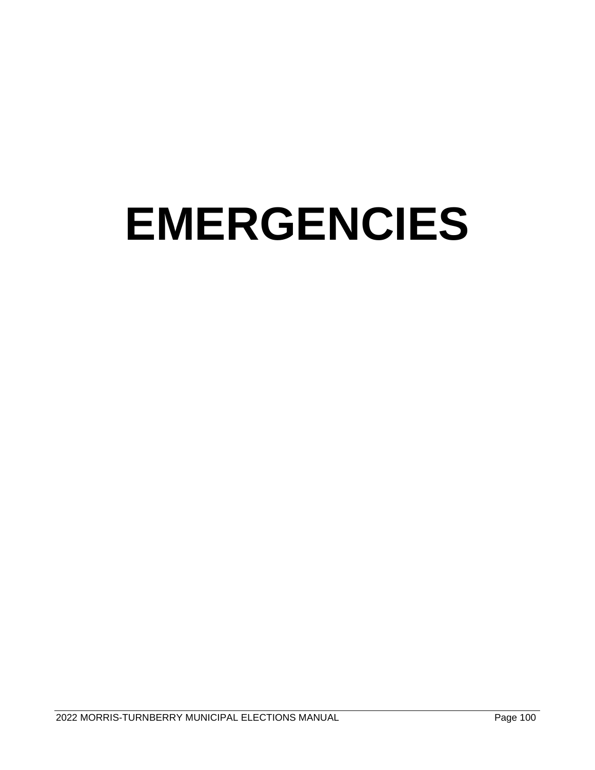## **EMERGENCIES**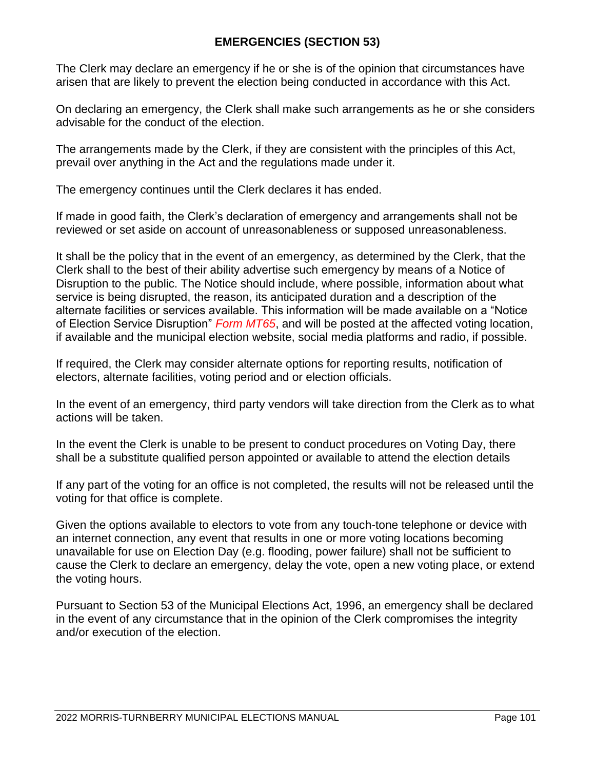#### **EMERGENCIES (SECTION 53)**

The Clerk may declare an emergency if he or she is of the opinion that circumstances have arisen that are likely to prevent the election being conducted in accordance with this Act.

On declaring an emergency, the Clerk shall make such arrangements as he or she considers advisable for the conduct of the election.

The arrangements made by the Clerk, if they are consistent with the principles of this Act, prevail over anything in the Act and the regulations made under it.

The emergency continues until the Clerk declares it has ended.

If made in good faith, the Clerk's declaration of emergency and arrangements shall not be reviewed or set aside on account of unreasonableness or supposed unreasonableness.

It shall be the policy that in the event of an emergency, as determined by the Clerk, that the Clerk shall to the best of their ability advertise such emergency by means of a Notice of Disruption to the public. The Notice should include, where possible, information about what service is being disrupted, the reason, its anticipated duration and a description of the alternate facilities or services available. This information will be made available on a "Notice of Election Service Disruption" *Form MT65*, and will be posted at the affected voting location, if available and the municipal election website, social media platforms and radio, if possible.

If required, the Clerk may consider alternate options for reporting results, notification of electors, alternate facilities, voting period and or election officials.

In the event of an emergency, third party vendors will take direction from the Clerk as to what actions will be taken.

In the event the Clerk is unable to be present to conduct procedures on Voting Day, there shall be a substitute qualified person appointed or available to attend the election details

If any part of the voting for an office is not completed, the results will not be released until the voting for that office is complete.

Given the options available to electors to vote from any touch-tone telephone or device with an internet connection, any event that results in one or more voting locations becoming unavailable for use on Election Day (e.g. flooding, power failure) shall not be sufficient to cause the Clerk to declare an emergency, delay the vote, open a new voting place, or extend the voting hours.

Pursuant to Section 53 of the Municipal Elections Act, 1996, an emergency shall be declared in the event of any circumstance that in the opinion of the Clerk compromises the integrity and/or execution of the election.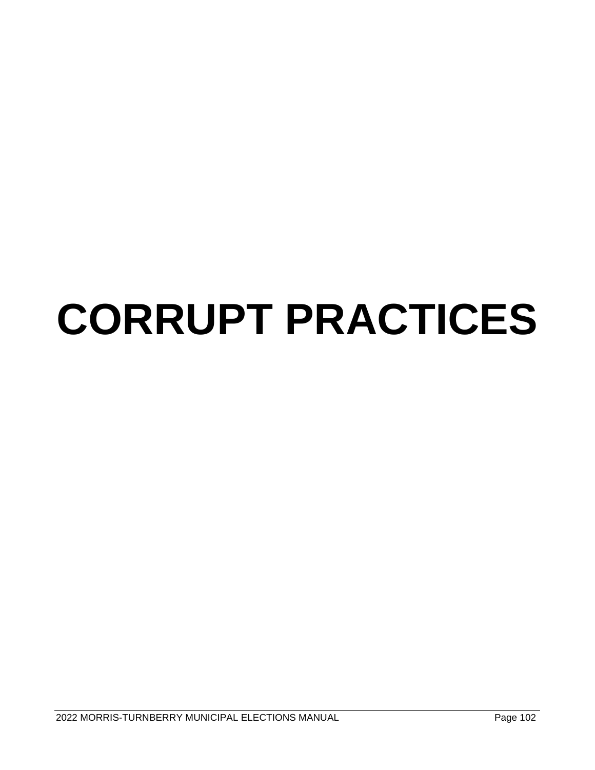## **CORRUPT PRACTICES**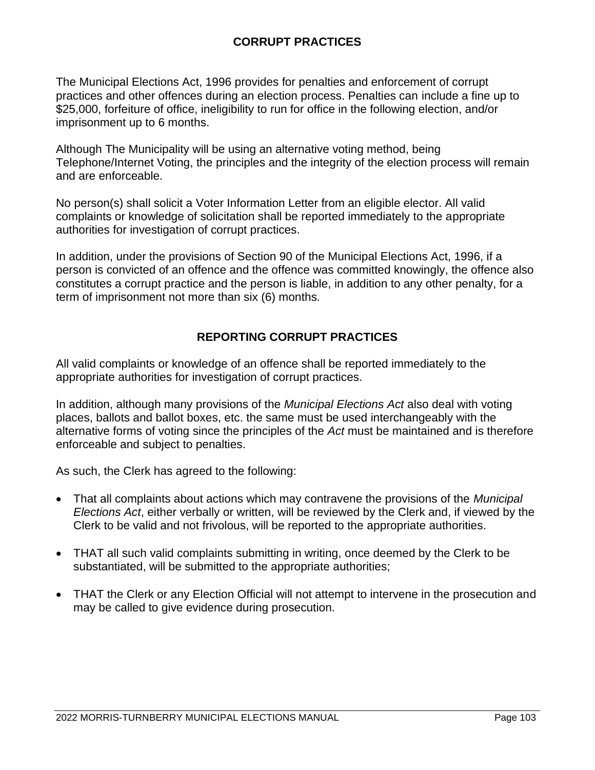#### **CORRUPT PRACTICES**

The Municipal Elections Act, 1996 provides for penalties and enforcement of corrupt practices and other offences during an election process. Penalties can include a fine up to \$25,000, forfeiture of office, ineligibility to run for office in the following election, and/or imprisonment up to 6 months.

Although The Municipality will be using an alternative voting method, being Telephone/Internet Voting, the principles and the integrity of the election process will remain and are enforceable.

No person(s) shall solicit a Voter Information Letter from an eligible elector. All valid complaints or knowledge of solicitation shall be reported immediately to the appropriate authorities for investigation of corrupt practices.

In addition, under the provisions of Section 90 of the Municipal Elections Act, 1996, if a person is convicted of an offence and the offence was committed knowingly, the offence also constitutes a corrupt practice and the person is liable, in addition to any other penalty, for a term of imprisonment not more than six (6) months.

#### **REPORTING CORRUPT PRACTICES**

All valid complaints or knowledge of an offence shall be reported immediately to the appropriate authorities for investigation of corrupt practices.

In addition, although many provisions of the *Municipal Elections Act* also deal with voting places, ballots and ballot boxes, etc. the same must be used interchangeably with the alternative forms of voting since the principles of the *Act* must be maintained and is therefore enforceable and subject to penalties.

As such, the Clerk has agreed to the following:

- That all complaints about actions which may contravene the provisions of the *Municipal Elections Act*, either verbally or written, will be reviewed by the Clerk and, if viewed by the Clerk to be valid and not frivolous, will be reported to the appropriate authorities.
- THAT all such valid complaints submitting in writing, once deemed by the Clerk to be substantiated, will be submitted to the appropriate authorities;
- THAT the Clerk or any Election Official will not attempt to intervene in the prosecution and may be called to give evidence during prosecution.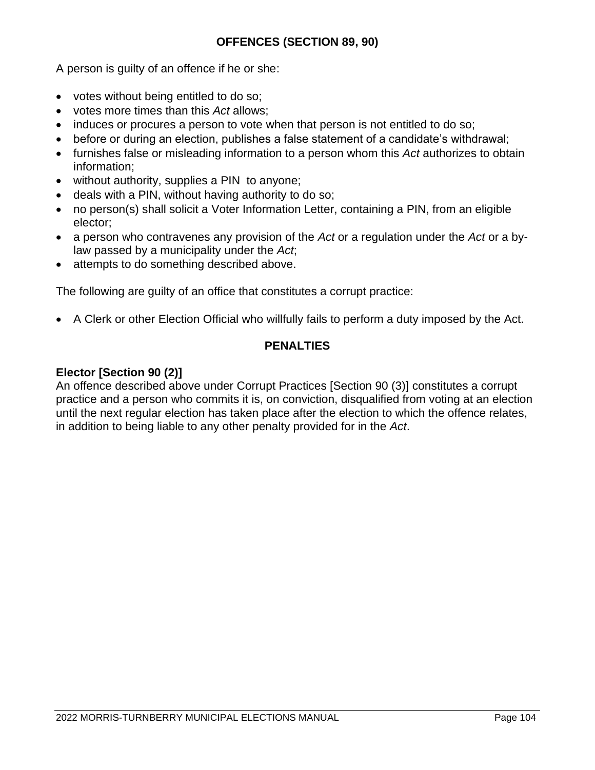A person is guilty of an offence if he or she:

- votes without being entitled to do so;
- votes more times than this *Act* allows;
- induces or procures a person to vote when that person is not entitled to do so;
- before or during an election, publishes a false statement of a candidate's withdrawal;
- furnishes false or misleading information to a person whom this *Act* authorizes to obtain information;
- without authority, supplies a PIN to anyone;
- deals with a PIN, without having authority to do so;
- no person(s) shall solicit a Voter Information Letter, containing a PIN, from an eligible elector;
- a person who contravenes any provision of the *Act* or a regulation under the *Act* or a bylaw passed by a municipality under the *Act*;
- attempts to do something described above.

The following are guilty of an office that constitutes a corrupt practice:

• A Clerk or other Election Official who willfully fails to perform a duty imposed by the Act.

#### **PENALTIES**

#### **Elector [Section 90 (2)]**

An offence described above under Corrupt Practices [Section 90 (3)] constitutes a corrupt practice and a person who commits it is, on conviction, disqualified from voting at an election until the next regular election has taken place after the election to which the offence relates, in addition to being liable to any other penalty provided for in the *Act*.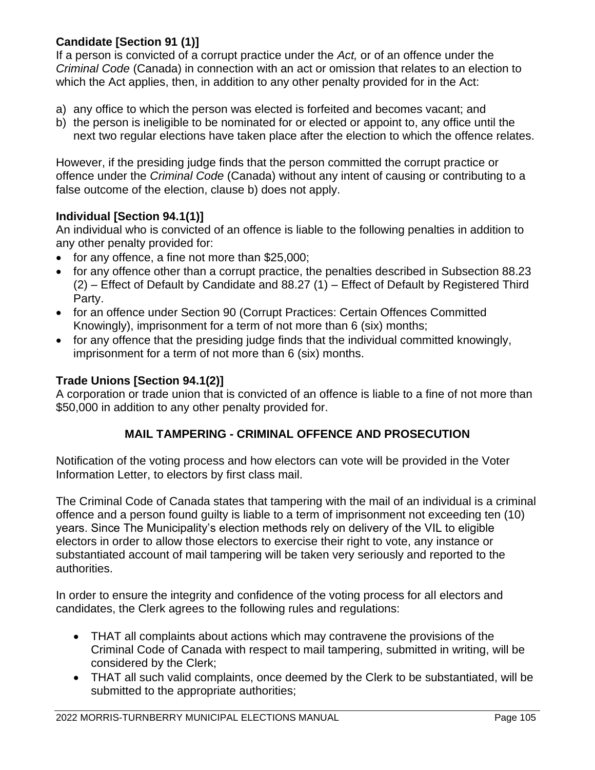#### **Candidate [Section 91 (1)]**

If a person is convicted of a corrupt practice under the *Act,* or of an offence under the *Criminal Code* (Canada) in connection with an act or omission that relates to an election to which the Act applies, then, in addition to any other penalty provided for in the Act:

- a) any office to which the person was elected is forfeited and becomes vacant; and
- b) the person is ineligible to be nominated for or elected or appoint to, any office until the next two regular elections have taken place after the election to which the offence relates.

However, if the presiding judge finds that the person committed the corrupt practice or offence under the *Criminal Code* (Canada) without any intent of causing or contributing to a false outcome of the election, clause b) does not apply.

#### **Individual [Section 94.1(1)]**

An individual who is convicted of an offence is liable to the following penalties in addition to any other penalty provided for:

- for any offence, a fine not more than \$25,000;
- for any offence other than a corrupt practice, the penalties described in Subsection 88.23 (2) – Effect of Default by Candidate and 88.27 (1) – Effect of Default by Registered Third Party.
- for an offence under Section 90 (Corrupt Practices: Certain Offences Committed Knowingly), imprisonment for a term of not more than 6 (six) months;
- for any offence that the presiding judge finds that the individual committed knowingly, imprisonment for a term of not more than 6 (six) months.

#### **Trade Unions [Section 94.1(2)]**

A corporation or trade union that is convicted of an offence is liable to a fine of not more than \$50,000 in addition to any other penalty provided for.

#### **MAIL TAMPERING - CRIMINAL OFFENCE AND PROSECUTION**

Notification of the voting process and how electors can vote will be provided in the Voter Information Letter, to electors by first class mail.

The Criminal Code of Canada states that tampering with the mail of an individual is a criminal offence and a person found guilty is liable to a term of imprisonment not exceeding ten (10) years. Since The Municipality's election methods rely on delivery of the VIL to eligible electors in order to allow those electors to exercise their right to vote, any instance or substantiated account of mail tampering will be taken very seriously and reported to the authorities.

In order to ensure the integrity and confidence of the voting process for all electors and candidates, the Clerk agrees to the following rules and regulations:

- THAT all complaints about actions which may contravene the provisions of the Criminal Code of Canada with respect to mail tampering, submitted in writing, will be considered by the Clerk;
- THAT all such valid complaints, once deemed by the Clerk to be substantiated, will be submitted to the appropriate authorities;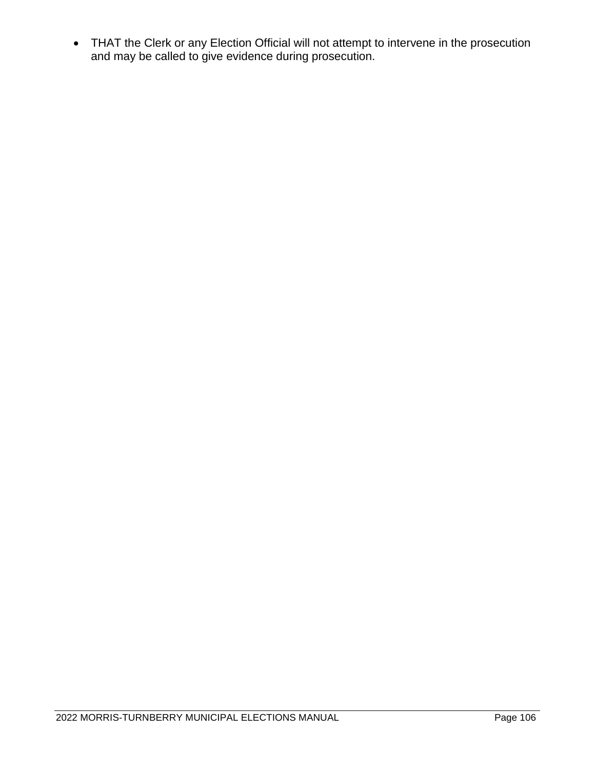• THAT the Clerk or any Election Official will not attempt to intervene in the prosecution and may be called to give evidence during prosecution.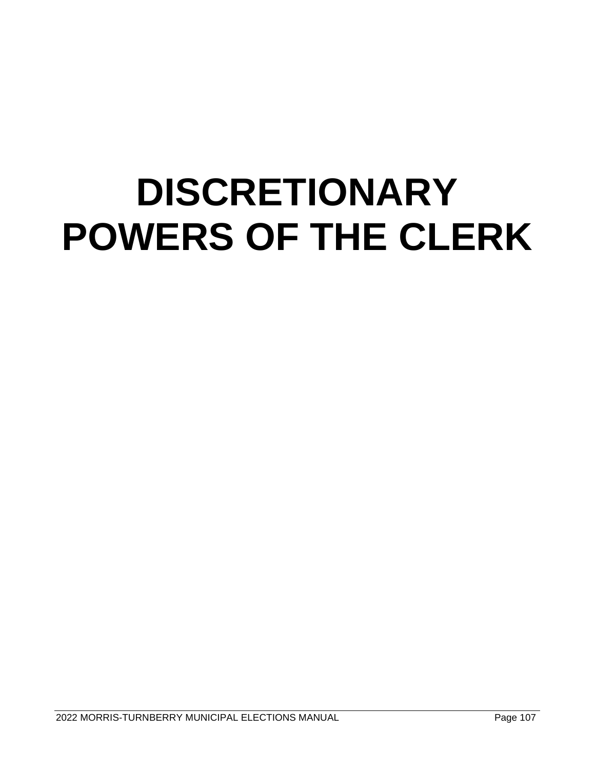### **DISCRETIONARY POWERS OF THE CLERK**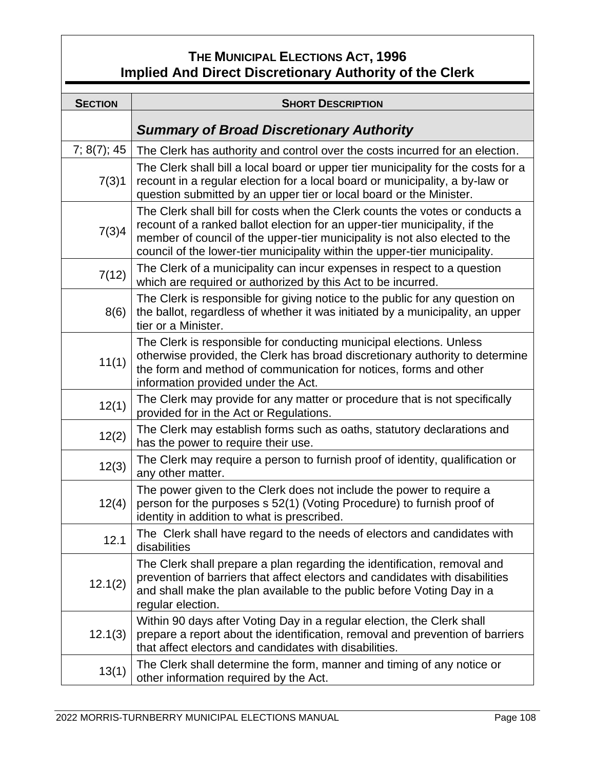#### **THE MUNICIPAL ELECTIONS ACT, 1996 Implied And Direct Discretionary Authority of the Clerk**

| <b>SECTION</b> | <b>SHORT DESCRIPTION</b>                                                                                                                                                                                                                                                                                                |  |
|----------------|-------------------------------------------------------------------------------------------------------------------------------------------------------------------------------------------------------------------------------------------------------------------------------------------------------------------------|--|
|                | <b>Summary of Broad Discretionary Authority</b>                                                                                                                                                                                                                                                                         |  |
| 7; 8(7); 45    | The Clerk has authority and control over the costs incurred for an election.                                                                                                                                                                                                                                            |  |
| 7(3)1          | The Clerk shall bill a local board or upper tier municipality for the costs for a<br>recount in a regular election for a local board or municipality, a by-law or<br>question submitted by an upper tier or local board or the Minister.                                                                                |  |
| 7(3)4          | The Clerk shall bill for costs when the Clerk counts the votes or conducts a<br>recount of a ranked ballot election for an upper-tier municipality, if the<br>member of council of the upper-tier municipality is not also elected to the<br>council of the lower-tier municipality within the upper-tier municipality. |  |
| 7(12)          | The Clerk of a municipality can incur expenses in respect to a question<br>which are required or authorized by this Act to be incurred.                                                                                                                                                                                 |  |
| 8(6)           | The Clerk is responsible for giving notice to the public for any question on<br>the ballot, regardless of whether it was initiated by a municipality, an upper<br>tier or a Minister.                                                                                                                                   |  |
| 11(1)          | The Clerk is responsible for conducting municipal elections. Unless<br>otherwise provided, the Clerk has broad discretionary authority to determine<br>the form and method of communication for notices, forms and other<br>information provided under the Act.                                                         |  |
| 12(1)          | The Clerk may provide for any matter or procedure that is not specifically<br>provided for in the Act or Regulations.                                                                                                                                                                                                   |  |
| 12(2)          | The Clerk may establish forms such as oaths, statutory declarations and<br>has the power to require their use.                                                                                                                                                                                                          |  |
| 12(3)          | The Clerk may require a person to furnish proof of identity, qualification or<br>any other matter.                                                                                                                                                                                                                      |  |
| 12(4)          | The power given to the Clerk does not include the power to require a<br>person for the purposes s 52(1) (Voting Procedure) to furnish proof of<br>identity in addition to what is prescribed.                                                                                                                           |  |
| 12.1           | The Clerk shall have regard to the needs of electors and candidates with<br>disabilities                                                                                                                                                                                                                                |  |
| 12.1(2)        | The Clerk shall prepare a plan regarding the identification, removal and<br>prevention of barriers that affect electors and candidates with disabilities<br>and shall make the plan available to the public before Voting Day in a<br>regular election.                                                                 |  |
| 12.1(3)        | Within 90 days after Voting Day in a regular election, the Clerk shall<br>prepare a report about the identification, removal and prevention of barriers<br>that affect electors and candidates with disabilities.                                                                                                       |  |
| 13(1)          | The Clerk shall determine the form, manner and timing of any notice or<br>other information required by the Act.                                                                                                                                                                                                        |  |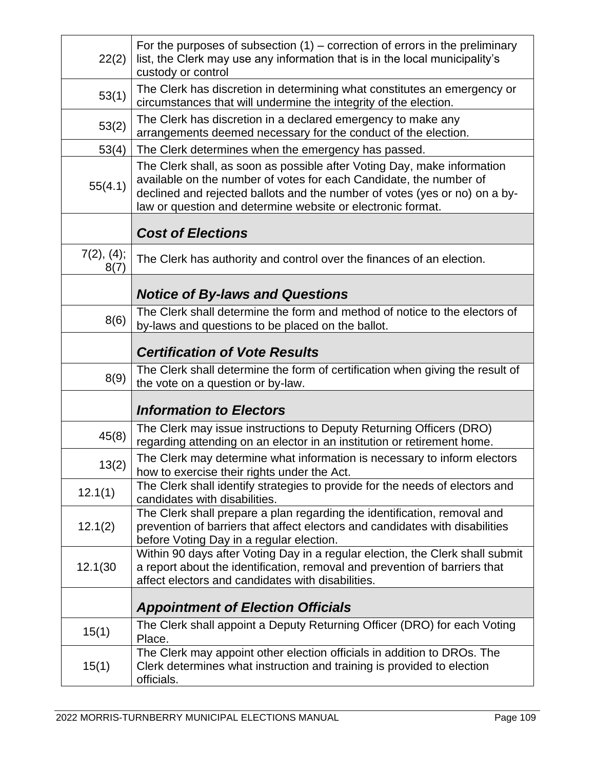| 22(2)              | For the purposes of subsection $(1)$ – correction of errors in the preliminary<br>list, the Clerk may use any information that is in the local municipality's<br>custody or control                                                                                                        |  |
|--------------------|--------------------------------------------------------------------------------------------------------------------------------------------------------------------------------------------------------------------------------------------------------------------------------------------|--|
| 53(1)              | The Clerk has discretion in determining what constitutes an emergency or<br>circumstances that will undermine the integrity of the election.                                                                                                                                               |  |
| 53(2)              | The Clerk has discretion in a declared emergency to make any<br>arrangements deemed necessary for the conduct of the election.                                                                                                                                                             |  |
| 53(4)              | The Clerk determines when the emergency has passed.                                                                                                                                                                                                                                        |  |
| 55(4.1)            | The Clerk shall, as soon as possible after Voting Day, make information<br>available on the number of votes for each Candidate, the number of<br>declined and rejected ballots and the number of votes (yes or no) on a by-<br>law or question and determine website or electronic format. |  |
|                    | <b>Cost of Elections</b>                                                                                                                                                                                                                                                                   |  |
| 7(2), (4);<br>8(7) | The Clerk has authority and control over the finances of an election.                                                                                                                                                                                                                      |  |
|                    | <b>Notice of By-laws and Questions</b>                                                                                                                                                                                                                                                     |  |
| 8(6)               | The Clerk shall determine the form and method of notice to the electors of<br>by-laws and questions to be placed on the ballot.                                                                                                                                                            |  |
|                    | <b>Certification of Vote Results</b>                                                                                                                                                                                                                                                       |  |
| 8(9)               | The Clerk shall determine the form of certification when giving the result of<br>the vote on a question or by-law.                                                                                                                                                                         |  |
|                    | <b>Information to Electors</b>                                                                                                                                                                                                                                                             |  |
| 45(8)              | The Clerk may issue instructions to Deputy Returning Officers (DRO)<br>regarding attending on an elector in an institution or retirement home.                                                                                                                                             |  |
| 13(2)              | The Clerk may determine what information is necessary to inform electors<br>how to exercise their rights under the Act.                                                                                                                                                                    |  |
| 12.1(1)            | The Clerk shall identify strategies to provide for the needs of electors and<br>candidates with disabilities.                                                                                                                                                                              |  |
| 12.1(2)            | The Clerk shall prepare a plan regarding the identification, removal and<br>prevention of barriers that affect electors and candidates with disabilities<br>before Voting Day in a regular election.                                                                                       |  |
| 12.1(30            | Within 90 days after Voting Day in a regular election, the Clerk shall submit<br>a report about the identification, removal and prevention of barriers that<br>affect electors and candidates with disabilities.                                                                           |  |
|                    | <b>Appointment of Election Officials</b>                                                                                                                                                                                                                                                   |  |
| 15(1)              | The Clerk shall appoint a Deputy Returning Officer (DRO) for each Voting<br>Place.                                                                                                                                                                                                         |  |
| 15(1)              | The Clerk may appoint other election officials in addition to DROs. The<br>Clerk determines what instruction and training is provided to election<br>officials.                                                                                                                            |  |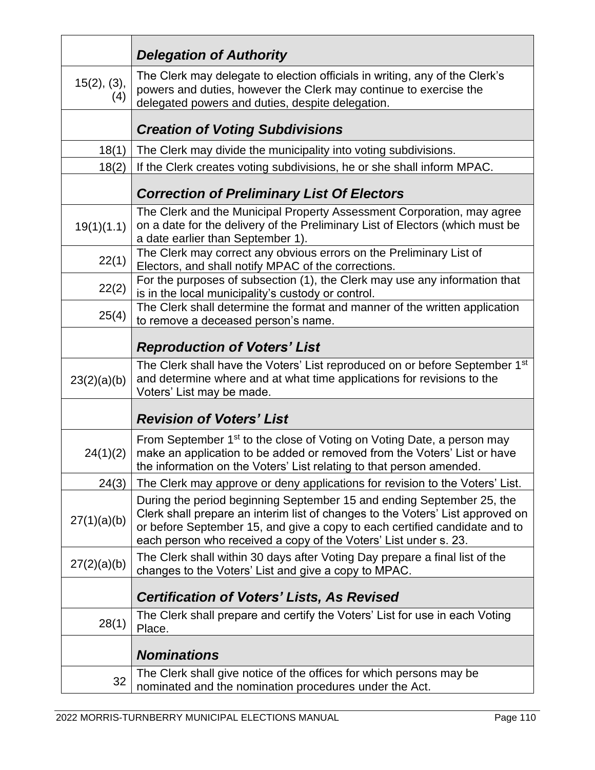|                    | <b>Delegation of Authority</b>                                                                                                                                                                                                                                                                            |  |
|--------------------|-----------------------------------------------------------------------------------------------------------------------------------------------------------------------------------------------------------------------------------------------------------------------------------------------------------|--|
| 15(2), (3),<br>(4) | The Clerk may delegate to election officials in writing, any of the Clerk's<br>powers and duties, however the Clerk may continue to exercise the<br>delegated powers and duties, despite delegation.                                                                                                      |  |
|                    | <b>Creation of Voting Subdivisions</b>                                                                                                                                                                                                                                                                    |  |
| 18(1)              | The Clerk may divide the municipality into voting subdivisions.                                                                                                                                                                                                                                           |  |
| 18(2)              | If the Clerk creates voting subdivisions, he or she shall inform MPAC.                                                                                                                                                                                                                                    |  |
|                    | <b>Correction of Preliminary List Of Electors</b>                                                                                                                                                                                                                                                         |  |
| 19(1)(1.1)         | The Clerk and the Municipal Property Assessment Corporation, may agree<br>on a date for the delivery of the Preliminary List of Electors (which must be<br>a date earlier than September 1).                                                                                                              |  |
| 22(1)              | The Clerk may correct any obvious errors on the Preliminary List of<br>Electors, and shall notify MPAC of the corrections.                                                                                                                                                                                |  |
| 22(2)              | For the purposes of subsection (1), the Clerk may use any information that<br>is in the local municipality's custody or control.                                                                                                                                                                          |  |
| 25(4)              | The Clerk shall determine the format and manner of the written application<br>to remove a deceased person's name.                                                                                                                                                                                         |  |
|                    | <b>Reproduction of Voters' List</b>                                                                                                                                                                                                                                                                       |  |
| 23(2)(a)(b)        | The Clerk shall have the Voters' List reproduced on or before September 1st<br>and determine where and at what time applications for revisions to the<br>Voters' List may be made.                                                                                                                        |  |
|                    | <b>Revision of Voters' List</b>                                                                                                                                                                                                                                                                           |  |
| 24(1)(2)           | From September 1 <sup>st</sup> to the close of Voting on Voting Date, a person may<br>make an application to be added or removed from the Voters' List or have<br>the information on the Voters' List relating to that person amended.                                                                    |  |
| 24(3)              | The Clerk may approve or deny applications for revision to the Voters' List.                                                                                                                                                                                                                              |  |
| 27(1)(a)(b)        | During the period beginning September 15 and ending September 25, the<br>Clerk shall prepare an interim list of changes to the Voters' List approved on<br>or before September 15, and give a copy to each certified candidate and to<br>each person who received a copy of the Voters' List under s. 23. |  |
| 27(2)(a)(b)        | The Clerk shall within 30 days after Voting Day prepare a final list of the<br>changes to the Voters' List and give a copy to MPAC.                                                                                                                                                                       |  |
|                    | <b>Certification of Voters' Lists, As Revised</b>                                                                                                                                                                                                                                                         |  |
| 28(1)              | The Clerk shall prepare and certify the Voters' List for use in each Voting<br>Place.                                                                                                                                                                                                                     |  |
|                    | <b>Nominations</b>                                                                                                                                                                                                                                                                                        |  |
| 32                 | The Clerk shall give notice of the offices for which persons may be<br>nominated and the nomination procedures under the Act.                                                                                                                                                                             |  |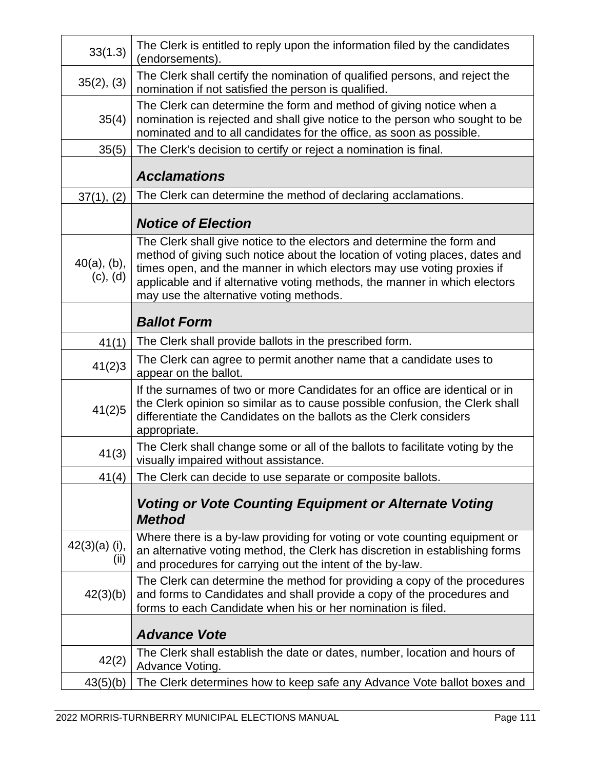| 33(1.3)                    | The Clerk is entitled to reply upon the information filed by the candidates<br>(endorsements).                                                                                                                                                                                                                                                           |  |
|----------------------------|----------------------------------------------------------------------------------------------------------------------------------------------------------------------------------------------------------------------------------------------------------------------------------------------------------------------------------------------------------|--|
| 35(2), (3)                 | The Clerk shall certify the nomination of qualified persons, and reject the<br>nomination if not satisfied the person is qualified.                                                                                                                                                                                                                      |  |
| 35(4)                      | The Clerk can determine the form and method of giving notice when a<br>nomination is rejected and shall give notice to the person who sought to be<br>nominated and to all candidates for the office, as soon as possible.                                                                                                                               |  |
| 35(5)                      | The Clerk's decision to certify or reject a nomination is final.                                                                                                                                                                                                                                                                                         |  |
|                            | <b>Acclamations</b>                                                                                                                                                                                                                                                                                                                                      |  |
| 37(1), (2)                 | The Clerk can determine the method of declaring acclamations.                                                                                                                                                                                                                                                                                            |  |
|                            | <b>Notice of Election</b>                                                                                                                                                                                                                                                                                                                                |  |
| $40(a)$ , (b),<br>(c), (d) | The Clerk shall give notice to the electors and determine the form and<br>method of giving such notice about the location of voting places, dates and<br>times open, and the manner in which electors may use voting proxies if<br>applicable and if alternative voting methods, the manner in which electors<br>may use the alternative voting methods. |  |
|                            | <b>Ballot Form</b>                                                                                                                                                                                                                                                                                                                                       |  |
| 41(1)                      | The Clerk shall provide ballots in the prescribed form.                                                                                                                                                                                                                                                                                                  |  |
| 41(2)3                     | The Clerk can agree to permit another name that a candidate uses to<br>appear on the ballot.                                                                                                                                                                                                                                                             |  |
| 41(2)5                     | If the surnames of two or more Candidates for an office are identical or in<br>the Clerk opinion so similar as to cause possible confusion, the Clerk shall<br>differentiate the Candidates on the ballots as the Clerk considers<br>appropriate.                                                                                                        |  |
| 41(3)                      | The Clerk shall change some or all of the ballots to facilitate voting by the<br>visually impaired without assistance.                                                                                                                                                                                                                                   |  |
| 41(4)                      | The Clerk can decide to use separate or composite ballots.                                                                                                                                                                                                                                                                                               |  |
|                            | <b>Voting or Vote Counting Equipment or Alternate Voting</b><br><b>Method</b>                                                                                                                                                                                                                                                                            |  |
| $42(3)(a)$ (i),<br>(ii)    | Where there is a by-law providing for voting or vote counting equipment or<br>an alternative voting method, the Clerk has discretion in establishing forms<br>and procedures for carrying out the intent of the by-law.                                                                                                                                  |  |
| 42(3)(b)                   | The Clerk can determine the method for providing a copy of the procedures<br>and forms to Candidates and shall provide a copy of the procedures and<br>forms to each Candidate when his or her nomination is filed.                                                                                                                                      |  |
|                            | <b>Advance Vote</b>                                                                                                                                                                                                                                                                                                                                      |  |
| 42(2)                      | The Clerk shall establish the date or dates, number, location and hours of<br>Advance Voting.                                                                                                                                                                                                                                                            |  |
| 43(5)(b)                   | The Clerk determines how to keep safe any Advance Vote ballot boxes and                                                                                                                                                                                                                                                                                  |  |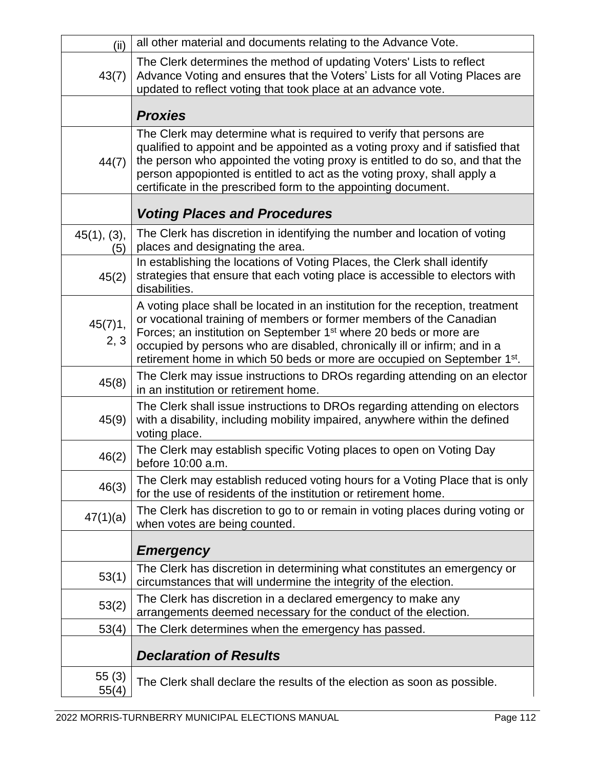| (ii)               | all other material and documents relating to the Advance Vote.                                                                                                                                                                                                                                                                                                                                              |  |
|--------------------|-------------------------------------------------------------------------------------------------------------------------------------------------------------------------------------------------------------------------------------------------------------------------------------------------------------------------------------------------------------------------------------------------------------|--|
| 43(7)              | The Clerk determines the method of updating Voters' Lists to reflect<br>Advance Voting and ensures that the Voters' Lists for all Voting Places are<br>updated to reflect voting that took place at an advance vote.                                                                                                                                                                                        |  |
|                    | <b>Proxies</b>                                                                                                                                                                                                                                                                                                                                                                                              |  |
| 44(7)              | The Clerk may determine what is required to verify that persons are<br>qualified to appoint and be appointed as a voting proxy and if satisfied that<br>the person who appointed the voting proxy is entitled to do so, and that the<br>person appopionted is entitled to act as the voting proxy, shall apply a<br>certificate in the prescribed form to the appointing document.                          |  |
|                    | <b>Voting Places and Procedures</b>                                                                                                                                                                                                                                                                                                                                                                         |  |
| 45(1), (3),<br>(5) | The Clerk has discretion in identifying the number and location of voting<br>places and designating the area.                                                                                                                                                                                                                                                                                               |  |
| 45(2)              | In establishing the locations of Voting Places, the Clerk shall identify<br>strategies that ensure that each voting place is accessible to electors with<br>disabilities.                                                                                                                                                                                                                                   |  |
| 45(7)1,<br>2, 3    | A voting place shall be located in an institution for the reception, treatment<br>or vocational training of members or former members of the Canadian<br>Forces; an institution on September 1 <sup>st</sup> where 20 beds or more are<br>occupied by persons who are disabled, chronically ill or infirm; and in a<br>retirement home in which 50 beds or more are occupied on September 1 <sup>st</sup> . |  |
| 45(8)              | The Clerk may issue instructions to DROs regarding attending on an elector<br>in an institution or retirement home.                                                                                                                                                                                                                                                                                         |  |
| 45(9)              | The Clerk shall issue instructions to DROs regarding attending on electors<br>with a disability, including mobility impaired, anywhere within the defined<br>voting place.                                                                                                                                                                                                                                  |  |
| 46(2)              | The Clerk may establish specific Voting places to open on Voting Day<br>before 10:00 a.m.                                                                                                                                                                                                                                                                                                                   |  |
| 46(3)              | The Clerk may establish reduced voting hours for a Voting Place that is only<br>for the use of residents of the institution or retirement home.                                                                                                                                                                                                                                                             |  |
| 47(1)(a)           | The Clerk has discretion to go to or remain in voting places during voting or<br>when votes are being counted.                                                                                                                                                                                                                                                                                              |  |
|                    | <b>Emergency</b>                                                                                                                                                                                                                                                                                                                                                                                            |  |
| 53(1)              | The Clerk has discretion in determining what constitutes an emergency or<br>circumstances that will undermine the integrity of the election.                                                                                                                                                                                                                                                                |  |
| 53(2)              | The Clerk has discretion in a declared emergency to make any<br>arrangements deemed necessary for the conduct of the election.                                                                                                                                                                                                                                                                              |  |
| 53(4)              | The Clerk determines when the emergency has passed.                                                                                                                                                                                                                                                                                                                                                         |  |
|                    | <b>Declaration of Results</b>                                                                                                                                                                                                                                                                                                                                                                               |  |
| 55(3)<br>55(4)     | The Clerk shall declare the results of the election as soon as possible.                                                                                                                                                                                                                                                                                                                                    |  |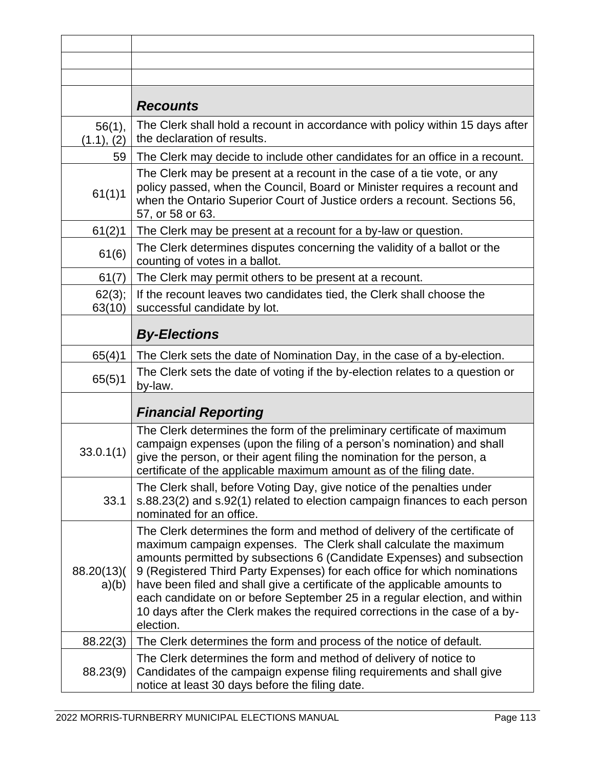|                      | <b>Recounts</b>                                                                                                                                                                                                                                                                                                                                                                                                                                                                                                                                              |  |
|----------------------|--------------------------------------------------------------------------------------------------------------------------------------------------------------------------------------------------------------------------------------------------------------------------------------------------------------------------------------------------------------------------------------------------------------------------------------------------------------------------------------------------------------------------------------------------------------|--|
| 56(1),<br>(1.1), (2) | The Clerk shall hold a recount in accordance with policy within 15 days after<br>the declaration of results.                                                                                                                                                                                                                                                                                                                                                                                                                                                 |  |
| 59                   | The Clerk may decide to include other candidates for an office in a recount.                                                                                                                                                                                                                                                                                                                                                                                                                                                                                 |  |
| 61(1)1               | The Clerk may be present at a recount in the case of a tie vote, or any<br>policy passed, when the Council, Board or Minister requires a recount and<br>when the Ontario Superior Court of Justice orders a recount. Sections 56,<br>57, or 58 or 63.                                                                                                                                                                                                                                                                                                        |  |
| 61(2)1               | The Clerk may be present at a recount for a by-law or question.                                                                                                                                                                                                                                                                                                                                                                                                                                                                                              |  |
| 61(6)                | The Clerk determines disputes concerning the validity of a ballot or the<br>counting of votes in a ballot.                                                                                                                                                                                                                                                                                                                                                                                                                                                   |  |
| 61(7)                | The Clerk may permit others to be present at a recount.                                                                                                                                                                                                                                                                                                                                                                                                                                                                                                      |  |
| 62(3);<br>63(10)     | If the recount leaves two candidates tied, the Clerk shall choose the<br>successful candidate by lot.                                                                                                                                                                                                                                                                                                                                                                                                                                                        |  |
|                      | <b>By-Elections</b>                                                                                                                                                                                                                                                                                                                                                                                                                                                                                                                                          |  |
| 65(4)1               | The Clerk sets the date of Nomination Day, in the case of a by-election.                                                                                                                                                                                                                                                                                                                                                                                                                                                                                     |  |
| 65(5)1               | The Clerk sets the date of voting if the by-election relates to a question or<br>by-law.                                                                                                                                                                                                                                                                                                                                                                                                                                                                     |  |
|                      | <b>Financial Reporting</b>                                                                                                                                                                                                                                                                                                                                                                                                                                                                                                                                   |  |
| 33.0.1(1)            | The Clerk determines the form of the preliminary certificate of maximum<br>campaign expenses (upon the filing of a person's nomination) and shall<br>give the person, or their agent filing the nomination for the person, a<br>certificate of the applicable maximum amount as of the filing date.                                                                                                                                                                                                                                                          |  |
| 33.1                 | The Clerk shall, before Voting Day, give notice of the penalties under<br>s.88.23(2) and s.92(1) related to election campaign finances to each person<br>nominated for an office.                                                                                                                                                                                                                                                                                                                                                                            |  |
| 88.20(13)(<br>a)(b)  | The Clerk determines the form and method of delivery of the certificate of<br>maximum campaign expenses. The Clerk shall calculate the maximum<br>amounts permitted by subsections 6 (Candidate Expenses) and subsection<br>9 (Registered Third Party Expenses) for each office for which nominations<br>have been filed and shall give a certificate of the applicable amounts to<br>each candidate on or before September 25 in a regular election, and within<br>10 days after the Clerk makes the required corrections in the case of a by-<br>election. |  |
| 88.22(3)             | The Clerk determines the form and process of the notice of default.                                                                                                                                                                                                                                                                                                                                                                                                                                                                                          |  |
| 88.23(9)             | The Clerk determines the form and method of delivery of notice to<br>Candidates of the campaign expense filing requirements and shall give<br>notice at least 30 days before the filing date.                                                                                                                                                                                                                                                                                                                                                                |  |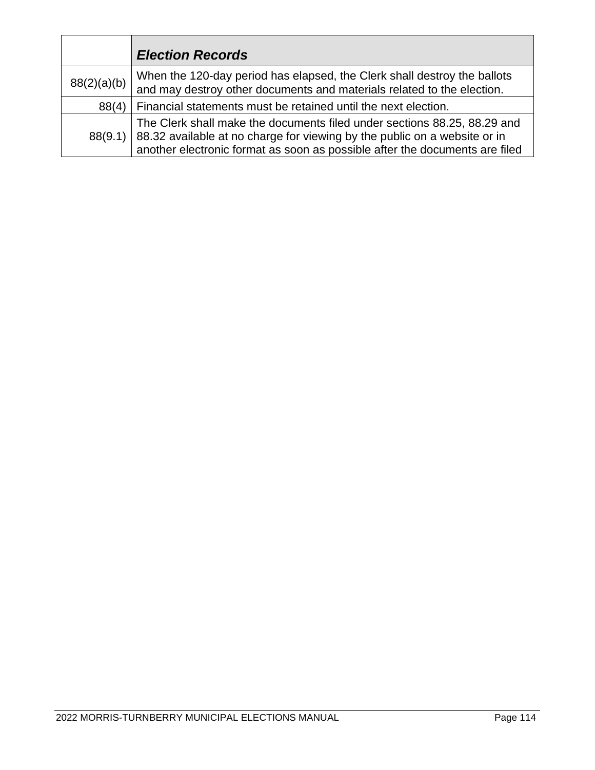|             | <b>Election Records</b>                                                                                                                                                                                                              |
|-------------|--------------------------------------------------------------------------------------------------------------------------------------------------------------------------------------------------------------------------------------|
| 88(2)(a)(b) | When the 120-day period has elapsed, the Clerk shall destroy the ballots<br>and may destroy other documents and materials related to the election.                                                                                   |
| 88(4)       | Financial statements must be retained until the next election.                                                                                                                                                                       |
| 88(9.1)     | The Clerk shall make the documents filed under sections 88.25, 88.29 and<br>88.32 available at no charge for viewing by the public on a website or in<br>another electronic format as soon as possible after the documents are filed |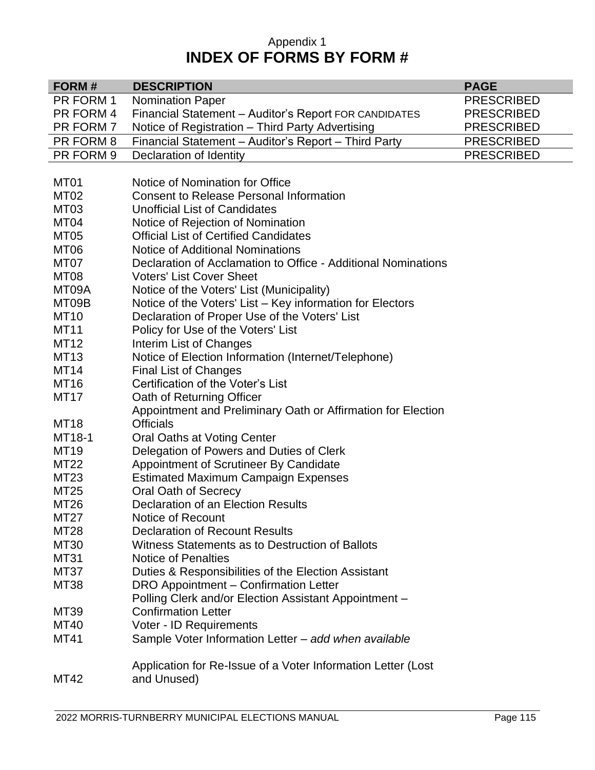#### Appendix 1 **INDEX OF FORMS BY FORM #**

| FORM#            | <b>DESCRIPTION</b>                                            | <b>PAGE</b>       |
|------------------|---------------------------------------------------------------|-------------------|
| PR FORM 1        | <b>Nomination Paper</b>                                       | <b>PRESCRIBED</b> |
| PR FORM 4        | Financial Statement - Auditor's Report FOR CANDIDATES         | <b>PRESCRIBED</b> |
| PR FORM 7        | Notice of Registration - Third Party Advertising              | <b>PRESCRIBED</b> |
| PR FORM 8        | Financial Statement - Auditor's Report - Third Party          | <b>PRESCRIBED</b> |
| PR FORM 9        | Declaration of Identity                                       | <b>PRESCRIBED</b> |
|                  |                                                               |                   |
| MT <sub>01</sub> | Notice of Nomination for Office                               |                   |
| MT <sub>02</sub> | <b>Consent to Release Personal Information</b>                |                   |
| MT <sub>03</sub> | <b>Unofficial List of Candidates</b>                          |                   |
| MT <sub>04</sub> | Notice of Rejection of Nomination                             |                   |
| MT <sub>05</sub> | <b>Official List of Certified Candidates</b>                  |                   |
| MT <sub>06</sub> | <b>Notice of Additional Nominations</b>                       |                   |
| MT07             | Declaration of Acclamation to Office - Additional Nominations |                   |
| MT <sub>08</sub> | <b>Voters' List Cover Sheet</b>                               |                   |
| MT09A            | Notice of the Voters' List (Municipality)                     |                   |
| MT09B            | Notice of the Voters' List - Key information for Electors     |                   |
| <b>MT10</b>      | Declaration of Proper Use of the Voters' List                 |                   |
| <b>MT11</b>      | Policy for Use of the Voters' List                            |                   |
| <b>MT12</b>      | Interim List of Changes                                       |                   |
| <b>MT13</b>      | Notice of Election Information (Internet/Telephone)           |                   |
| <b>MT14</b>      | <b>Final List of Changes</b>                                  |                   |
| <b>MT16</b>      | Certification of the Voter's List                             |                   |
| <b>MT17</b>      | Oath of Returning Officer                                     |                   |
|                  | Appointment and Preliminary Oath or Affirmation for Election  |                   |
| <b>MT18</b>      | <b>Officials</b>                                              |                   |
| MT18-1           | Oral Oaths at Voting Center                                   |                   |
| <b>MT19</b>      | Delegation of Powers and Duties of Clerk                      |                   |
| MT22             | Appointment of Scrutineer By Candidate                        |                   |
| MT23             | <b>Estimated Maximum Campaign Expenses</b>                    |                   |
| MT25             | <b>Oral Oath of Secrecy</b>                                   |                   |
| <b>MT26</b>      | Declaration of an Election Results                            |                   |
| MT27             | Notice of Recount                                             |                   |
| <b>MT28</b>      | <b>Declaration of Recount Results</b>                         |                   |
| <b>MT30</b>      | Witness Statements as to Destruction of Ballots               |                   |
| <b>MT31</b>      | <b>Notice of Penalties</b>                                    |                   |
| MT37             | Duties & Responsibilities of the Election Assistant           |                   |
| <b>MT38</b>      | DRO Appointment - Confirmation Letter                         |                   |
|                  | Polling Clerk and/or Election Assistant Appointment -         |                   |
| MT39             | <b>Confirmation Letter</b>                                    |                   |
| <b>MT40</b>      | Voter - ID Requirements                                       |                   |
| <b>MT41</b>      | Sample Voter Information Letter - add when available          |                   |
|                  |                                                               |                   |
|                  | Application for Re-Issue of a Voter Information Letter (Lost  |                   |
| MT42             | and Unused)                                                   |                   |